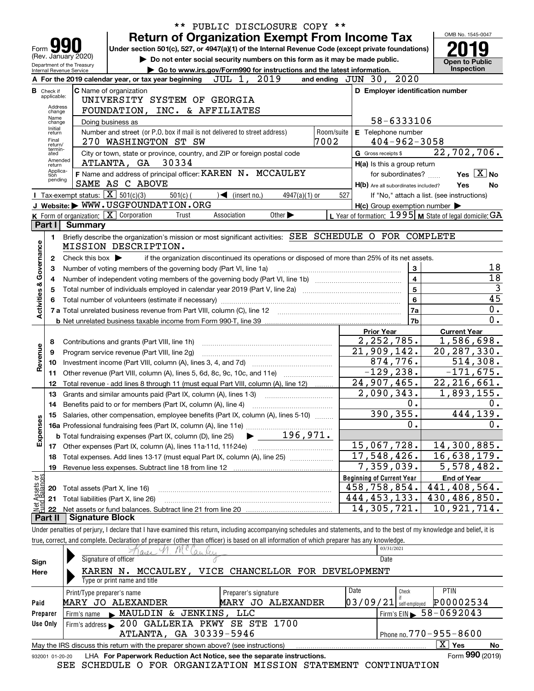|                   |                                  |                                                   |                                                                                                                                                                                                                                |           | PUBLIC DISCLOSURE COPY **                                                                       |                             |                         |            |                                     |                    |                                                                                                                  |                 |
|-------------------|----------------------------------|---------------------------------------------------|--------------------------------------------------------------------------------------------------------------------------------------------------------------------------------------------------------------------------------|-----------|-------------------------------------------------------------------------------------------------|-----------------------------|-------------------------|------------|-------------------------------------|--------------------|------------------------------------------------------------------------------------------------------------------|-----------------|
|                   |                                  |                                                   | <b>Return of Organization Exempt From Income Tax</b>                                                                                                                                                                           |           |                                                                                                 |                             |                         |            |                                     |                    | OMB No. 1545-0047                                                                                                |                 |
| Form              |                                  |                                                   | Under section 501(c), 527, or 4947(a)(1) of the Internal Revenue Code (except private foundations)                                                                                                                             |           |                                                                                                 |                             |                         |            |                                     |                    |                                                                                                                  |                 |
|                   |                                  | (Rev. January 2020)<br>Department of the Treasury |                                                                                                                                                                                                                                |           | Do not enter social security numbers on this form as it may be made public.                     |                             |                         |            |                                     |                    | <b>Open to Public</b>                                                                                            |                 |
|                   |                                  | Internal Revenue Service                          |                                                                                                                                                                                                                                |           | ► Go to www.irs.gov/Form990 for instructions and the latest information.                        |                             |                         |            |                                     |                    | <b>Inspection</b>                                                                                                |                 |
|                   |                                  |                                                   | A For the 2019 calendar year, or tax year beginning                                                                                                                                                                            |           | JUL 1, 2019                                                                                     |                             | and ending JUN 30, 2020 |            |                                     |                    |                                                                                                                  |                 |
|                   | <b>B</b> Check if<br>applicable: |                                                   | <b>C</b> Name of organization                                                                                                                                                                                                  |           |                                                                                                 |                             |                         |            |                                     |                    | D Employer identification number                                                                                 |                 |
|                   | Address                          |                                                   | UNIVERSITY SYSTEM OF GEORGIA                                                                                                                                                                                                   |           |                                                                                                 |                             |                         |            |                                     |                    |                                                                                                                  |                 |
|                   | change<br>Name                   |                                                   | FOUNDATION, INC. & AFFILIATES                                                                                                                                                                                                  |           |                                                                                                 |                             |                         |            |                                     |                    |                                                                                                                  |                 |
|                   | change<br>Initial                |                                                   | Doing business as                                                                                                                                                                                                              |           |                                                                                                 |                             |                         |            |                                     | 58-6333106         |                                                                                                                  |                 |
|                   | return<br>Final                  |                                                   | Number and street (or P.O. box if mail is not delivered to street address)                                                                                                                                                     |           |                                                                                                 |                             | Room/suite              |            | E Telephone number                  |                    |                                                                                                                  |                 |
|                   | return/<br>termin-               |                                                   | 270 WASHINGTON ST SW                                                                                                                                                                                                           |           |                                                                                                 |                             | 7002                    |            |                                     | $404 - 962 - 3058$ |                                                                                                                  |                 |
|                   | ated<br>Amended                  |                                                   | City or town, state or province, country, and ZIP or foreign postal code                                                                                                                                                       |           |                                                                                                 |                             |                         |            | G Gross receipts \$                 |                    | 22,702,706.                                                                                                      |                 |
|                   | return<br>Applica-               |                                                   | 30334<br>ATLANTA, GA                                                                                                                                                                                                           |           |                                                                                                 |                             |                         |            | H(a) Is this a group return         |                    |                                                                                                                  |                 |
|                   | tion<br>pending                  |                                                   | F Name and address of principal officer: KAREN N. MCCAULEY<br>SAME AS C ABOVE                                                                                                                                                  |           |                                                                                                 |                             |                         |            |                                     | for subordinates?  | Yes $X$ No                                                                                                       |                 |
|                   |                                  | Tax-exempt status: $\boxed{\mathbf{X}}$ 501(c)(3) |                                                                                                                                                                                                                                |           |                                                                                                 |                             |                         |            | H(b) Are all subordinates included? |                    | Yes                                                                                                              | No              |
|                   |                                  |                                                   | $501(c)$ (<br>J Website: WWW.USGFOUNDATION.ORG                                                                                                                                                                                 |           | $\sqrt{\frac{1}{1}}$ (insert no.)                                                               | $4947(a)(1)$ or             |                         | 527        |                                     |                    | If "No," attach a list. (see instructions)                                                                       |                 |
|                   |                                  |                                                   | $K$ Form of organization: $X$ Corporation                                                                                                                                                                                      | Trust     | Association                                                                                     | Other $\blacktriangleright$ |                         |            |                                     |                    | $H(c)$ Group exemption number $\blacktriangleright$<br>L Year of formation: $1995$ M State of legal domicile: GA |                 |
|                   | Part I                           | Summary                                           |                                                                                                                                                                                                                                |           |                                                                                                 |                             |                         |            |                                     |                    |                                                                                                                  |                 |
|                   | 1.                               |                                                   | Briefly describe the organization's mission or most significant activities: SEE SCHEDULE O FOR COMPLETE                                                                                                                        |           |                                                                                                 |                             |                         |            |                                     |                    |                                                                                                                  |                 |
|                   |                                  |                                                   | MISSION DESCRIPTION.                                                                                                                                                                                                           |           |                                                                                                 |                             |                         |            |                                     |                    |                                                                                                                  |                 |
| Governance        | $\mathbf{2}$                     | Check this box $\blacktriangleright$              |                                                                                                                                                                                                                                |           | if the organization discontinued its operations or disposed of more than 25% of its net assets. |                             |                         |            |                                     |                    |                                                                                                                  |                 |
|                   | 3                                |                                                   |                                                                                                                                                                                                                                |           |                                                                                                 |                             |                         |            |                                     | 3                  |                                                                                                                  | 18              |
|                   |                                  |                                                   | Number of voting members of the governing body (Part VI, line 1a)                                                                                                                                                              |           |                                                                                                 |                             |                         |            |                                     | 4                  |                                                                                                                  | 18              |
|                   | 4                                |                                                   |                                                                                                                                                                                                                                |           |                                                                                                 |                             |                         |            |                                     | 5                  |                                                                                                                  | $\overline{3}$  |
| Activities &      | 5                                |                                                   |                                                                                                                                                                                                                                |           |                                                                                                 |                             |                         |            |                                     |                    |                                                                                                                  | $\overline{45}$ |
|                   | 6                                |                                                   | Total number of volunteers (estimate if necessary) manufactured content to the content of volunteers (estimate if necessary) manufactured content to the content of the content of the content of the content of the content o |           |                                                                                                 |                             |                         |            |                                     | 6                  |                                                                                                                  | 0.              |
|                   |                                  |                                                   |                                                                                                                                                                                                                                |           |                                                                                                 |                             |                         |            |                                     | 7a                 |                                                                                                                  | 0.              |
|                   |                                  |                                                   |                                                                                                                                                                                                                                |           |                                                                                                 |                             |                         |            |                                     | 7b                 |                                                                                                                  |                 |
|                   |                                  |                                                   |                                                                                                                                                                                                                                |           |                                                                                                 |                             |                         |            | <b>Prior Year</b>                   |                    | <b>Current Year</b>                                                                                              |                 |
|                   | 8                                |                                                   | Contributions and grants (Part VIII, line 1h)                                                                                                                                                                                  |           |                                                                                                 | 2, 252, 785.                |                         | 1,586,698. |                                     |                    |                                                                                                                  |                 |
| Revenue           | 9                                |                                                   | Program service revenue (Part VIII, line 2g)                                                                                                                                                                                   |           |                                                                                                 |                             | 21,909,142.             |            | $\overline{20, 287, 330}$ .         |                    |                                                                                                                  |                 |
|                   | 10                               |                                                   |                                                                                                                                                                                                                                |           |                                                                                                 |                             |                         |            | 874,776.                            |                    | 514,308.                                                                                                         |                 |
|                   | 11                               |                                                   |                                                                                                                                                                                                                                |           |                                                                                                 |                             |                         |            | $-129, 238.$                        |                    | $-171,675.$                                                                                                      |                 |
|                   | 12                               |                                                   | Total revenue - add lines 8 through 11 (must equal Part VIII, column (A), line 12)                                                                                                                                             |           |                                                                                                 |                             |                         |            | 24,907,465.                         |                    | $\overline{22,216,661.}$                                                                                         |                 |
|                   | 13                               |                                                   | Grants and similar amounts paid (Part IX, column (A), lines 1-3)                                                                                                                                                               |           |                                                                                                 |                             |                         |            | 2,090,343.                          |                    | 1,893,155.                                                                                                       |                 |
|                   | 14                               |                                                   |                                                                                                                                                                                                                                |           |                                                                                                 |                             |                         |            |                                     | 0.                 |                                                                                                                  | 0.              |
|                   |                                  |                                                   | 15 Salaries, other compensation, employee benefits (Part IX, column (A), lines 5-10)                                                                                                                                           |           |                                                                                                 | 390, 355.                   |                         | 444, 139.  |                                     |                    |                                                                                                                  |                 |
| Expenses          |                                  |                                                   |                                                                                                                                                                                                                                |           |                                                                                                 |                             |                         |            |                                     | 0.                 |                                                                                                                  | $0$ .           |
|                   |                                  |                                                   | <b>b</b> Total fundraising expenses (Part IX, column (D), line 25)                                                                                                                                                             |           |                                                                                                 | 196,971.                    |                         |            |                                     |                    |                                                                                                                  |                 |
|                   |                                  |                                                   |                                                                                                                                                                                                                                |           |                                                                                                 |                             |                         |            | 15,067,728.                         |                    | 14,300,885.                                                                                                      |                 |
|                   | 18                               |                                                   | Total expenses. Add lines 13-17 (must equal Part IX, column (A), line 25)                                                                                                                                                      |           |                                                                                                 |                             |                         |            | 17,548,426.                         |                    | 16,638,179.                                                                                                      |                 |
|                   | 19                               |                                                   |                                                                                                                                                                                                                                |           |                                                                                                 |                             |                         |            | 7,359,039.                          |                    | 5,578,482.                                                                                                       |                 |
| ិមី<br>CBS        |                                  |                                                   |                                                                                                                                                                                                                                |           |                                                                                                 |                             |                         |            | <b>Beginning of Current Year</b>    |                    | <b>End of Year</b>                                                                                               |                 |
| Assets<br>dBalanc | 20                               | Total assets (Part X, line 16)                    |                                                                                                                                                                                                                                |           |                                                                                                 |                             |                         |            | 458,758,854.                        |                    | $\overline{441,408}$ , 564.                                                                                      |                 |
|                   | 21                               |                                                   | Total liabilities (Part X, line 26)                                                                                                                                                                                            |           |                                                                                                 |                             |                         |            | 444, 453, 133.                      |                    | 430,486,850.                                                                                                     |                 |
| Jet               | 22                               |                                                   |                                                                                                                                                                                                                                |           |                                                                                                 |                             |                         |            | 14,305,721.                         |                    | 10,921,714.                                                                                                      |                 |
|                   | Part II                          | Signature Block                                   |                                                                                                                                                                                                                                |           |                                                                                                 |                             |                         |            |                                     |                    |                                                                                                                  |                 |
|                   |                                  |                                                   | Under penalties of perjury, I declare that I have examined this return, including accompanying schedules and statements, and to the best of my knowledge and belief, it is                                                     |           |                                                                                                 |                             |                         |            |                                     |                    |                                                                                                                  |                 |
|                   |                                  |                                                   | true, correct, and complete. Declaration of preparer (other than officer) is based on all information of which preparer has any knowledge.                                                                                     |           |                                                                                                 |                             |                         |            |                                     |                    |                                                                                                                  |                 |
|                   |                                  |                                                   | 0.01                                                                                                                                                                                                                           | $a_{\mu}$ |                                                                                                 |                             |                         |            | 03/31/2021                          |                    |                                                                                                                  |                 |
| Sign              |                                  |                                                   | Signature of officer                                                                                                                                                                                                           |           |                                                                                                 |                             |                         |            | Date                                |                    |                                                                                                                  |                 |
| Here              |                                  |                                                   | KAREN N. MCCAULEY, VICE CHANCELLOR FOR DEVELOPMENT                                                                                                                                                                             |           |                                                                                                 |                             |                         |            |                                     |                    |                                                                                                                  |                 |
|                   |                                  |                                                   | Type or print name and title                                                                                                                                                                                                   |           |                                                                                                 |                             |                         |            |                                     |                    |                                                                                                                  |                 |
|                   |                                  | Print/Type preparer's name                        |                                                                                                                                                                                                                                |           | Preparer's signature                                                                            |                             |                         | Date       |                                     | Check              | PTIN                                                                                                             |                 |
| Paid              |                                  |                                                   | MARY JO ALEXANDER                                                                                                                                                                                                              |           | MARY JO ALEXANDER                                                                               |                             |                         |            | $03/09/21$ self-employed            |                    | P00002534                                                                                                        |                 |
|                   | Preparer                         | Firm's name                                       | MAULDIN & JENKINS, LLC                                                                                                                                                                                                         |           |                                                                                                 |                             |                         |            |                                     |                    | Firm's EIN $\, 58 - 0692043$                                                                                     |                 |
|                   | Use Only                         |                                                   | Firm's address > 200 GALLERIA PKWY SE STE 1700                                                                                                                                                                                 |           |                                                                                                 |                             |                         |            |                                     |                    |                                                                                                                  |                 |
|                   |                                  |                                                   | ATLANTA, GA 30339-5946                                                                                                                                                                                                         |           |                                                                                                 |                             |                         |            |                                     |                    | Phone no. 770-955-8600                                                                                           |                 |
|                   |                                  |                                                   | May the IRS discuss this return with the preparer shown above? (see instructions)                                                                                                                                              |           |                                                                                                 |                             |                         |            |                                     |                    | $\overline{\mathbf{x}}$<br>Yes                                                                                   | No              |
|                   | 932001 01-20-20                  |                                                   | LHA For Paperwork Reduction Act Notice, see the separate instructions.                                                                                                                                                         |           |                                                                                                 |                             |                         |            |                                     |                    | Form 990 (2019)                                                                                                  |                 |
|                   |                                  |                                                   | SEE SCHEDULE O FOR ORGANIZATION MISSION STATEMENT CONTINUATION                                                                                                                                                                 |           |                                                                                                 |                             |                         |            |                                     |                    |                                                                                                                  |                 |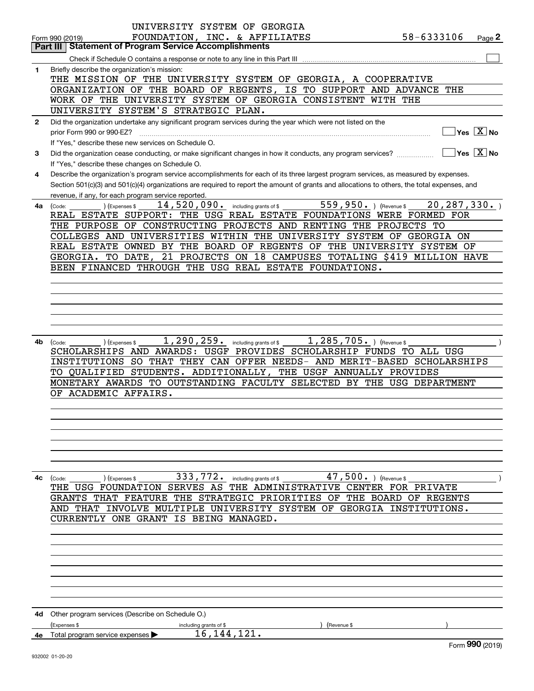|              | UNIVERSITY SYSTEM OF GEORGIA                                                                                                                                    |
|--------------|-----------------------------------------------------------------------------------------------------------------------------------------------------------------|
|              | FOUNDATION, INC. & AFFILIATES<br>58-6333106<br>Page 2<br>Form 990 (2019)                                                                                        |
|              | Part III   Statement of Program Service Accomplishments                                                                                                         |
|              |                                                                                                                                                                 |
| $\mathbf{1}$ | Briefly describe the organization's mission:                                                                                                                    |
|              | THE MISSION OF THE UNIVERSITY SYSTEM OF GEORGIA, A COOPERATIVE                                                                                                  |
|              | ORGANIZATION OF THE BOARD OF REGENTS, IS TO SUPPORT AND ADVANCE THE                                                                                             |
|              | WORK OF THE UNIVERSITY SYSTEM OF GEORGIA CONSISTENT WITH THE                                                                                                    |
|              | UNIVERSITY SYSTEM'S STRATEGIC PLAN.                                                                                                                             |
| $\mathbf{2}$ | Did the organization undertake any significant program services during the year which were not listed on the                                                    |
|              | $\Box$ Yes $\boxed{\mathrm{X}}$ No<br>prior Form 990 or 990-EZ?                                                                                                 |
|              | If "Yes," describe these new services on Schedule O.                                                                                                            |
| 3            | $\boxed{\phantom{1}}$ Yes $\boxed{\text{X}}$ No<br>Did the organization cease conducting, or make significant changes in how it conducts, any program services? |
|              |                                                                                                                                                                 |
|              | If "Yes," describe these changes on Schedule O.                                                                                                                 |
| 4            | Describe the organization's program service accomplishments for each of its three largest program services, as measured by expenses.                            |
|              | Section 501(c)(3) and 501(c)(4) organizations are required to report the amount of grants and allocations to others, the total expenses, and                    |
|              | revenue, if any, for each program service reported.                                                                                                             |
|              | $559,950.$ (Revenue \$<br>$14$ , 520, 090. including grants of \$<br>20, 287, 330.<br>) (Expenses \$<br>4a (Code:                                               |
|              | REAL ESTATE SUPPORT: THE USG REAL ESTATE FOUNDATIONS WERE FORMED FOR                                                                                            |
|              | THE PURPOSE OF CONSTRUCTING PROJECTS AND RENTING THE PROJECTS TO                                                                                                |
|              | COLLEGES AND UNIVERSITIES WITHIN THE UNIVERSITY SYSTEM OF GEORGIA ON                                                                                            |
|              | REAL ESTATE OWNED BY THE BOARD OF REGENTS OF THE UNIVERSITY SYSTEM OF                                                                                           |
|              | GEORGIA. TO DATE, 21 PROJECTS ON 18 CAMPUSES TOTALING \$419 MILLION HAVE                                                                                        |
|              | BEEN FINANCED THROUGH THE USG REAL ESTATE FOUNDATIONS.                                                                                                          |
|              |                                                                                                                                                                 |
|              |                                                                                                                                                                 |
|              |                                                                                                                                                                 |
|              |                                                                                                                                                                 |
|              |                                                                                                                                                                 |
|              |                                                                                                                                                                 |
| 4b           | $1,290,259$ . including grants of \$<br>$1,285,705.$ ) (Revenue \$<br>) (Expenses \$<br>(Code:                                                                  |
|              | SCHOLARSHIPS AND AWARDS: USGF PROVIDES SCHOLARSHIP FUNDS TO ALL USG                                                                                             |
|              | INSTITUTIONS SO THAT THEY CAN OFFER NEEDS- AND MERIT-BASED SCHOLARSHIPS                                                                                         |
|              | TO QUALIFIED STUDENTS. ADDITIONALLY, THE USGF ANNUALLY PROVIDES                                                                                                 |
|              | MONETARY AWARDS TO OUTSTANDING FACULTY SELECTED BY THE USG DEPARTMENT                                                                                           |
|              |                                                                                                                                                                 |
|              | OF ACADEMIC AFFAIRS.                                                                                                                                            |
|              |                                                                                                                                                                 |
|              |                                                                                                                                                                 |
|              |                                                                                                                                                                 |
|              |                                                                                                                                                                 |
|              |                                                                                                                                                                 |
|              |                                                                                                                                                                 |
|              |                                                                                                                                                                 |
| 4с           | 47,500. ) (Revenue \$<br>333,772. including grants of \$<br>(Expenses \$<br>(Code:                                                                              |
|              | THE USG FOUNDATION SERVES AS THE ADMINISTRATIVE CENTER FOR PRIVATE                                                                                              |
|              | GRANTS THAT FEATURE THE STRATEGIC PRIORITIES OF THE BOARD OF REGENTS                                                                                            |
|              | AND THAT INVOLVE MULTIPLE UNIVERSITY SYSTEM OF GEORGIA INSTITUTIONS.                                                                                            |
|              | CURRENTLY ONE GRANT IS BEING MANAGED.                                                                                                                           |
|              |                                                                                                                                                                 |
|              |                                                                                                                                                                 |
|              |                                                                                                                                                                 |
|              |                                                                                                                                                                 |
|              |                                                                                                                                                                 |
|              |                                                                                                                                                                 |
|              |                                                                                                                                                                 |
|              |                                                                                                                                                                 |
|              |                                                                                                                                                                 |
| 4d           | Other program services (Describe on Schedule O.)                                                                                                                |
|              | (Expenses \$<br>(Revenue \$<br>including grants of \$                                                                                                           |
| 4e           | 16, 144, 121.<br>Total program service expenses                                                                                                                 |
|              | Form 990 (2019)                                                                                                                                                 |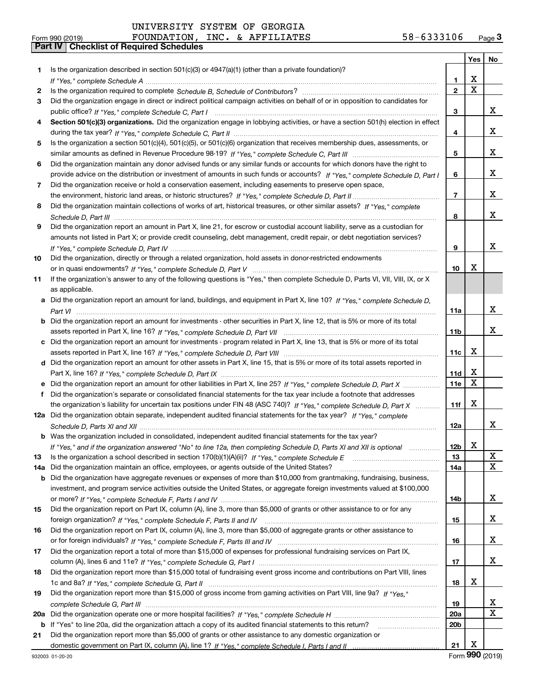|  | UNIVERSITY SYSTEM OF GEORGIA |  |  |  |
|--|------------------------------|--|--|--|
|--|------------------------------|--|--|--|

|     |                                                                                                                                       |                 | Yes $ $     | No     |
|-----|---------------------------------------------------------------------------------------------------------------------------------------|-----------------|-------------|--------|
| 1   | Is the organization described in section 501(c)(3) or 4947(a)(1) (other than a private foundation)?                                   |                 |             |        |
|     |                                                                                                                                       | 1               | х           |        |
| 2   |                                                                                                                                       | $\overline{2}$  | $\mathbf X$ |        |
| 3   | Did the organization engage in direct or indirect political campaign activities on behalf of or in opposition to candidates for       |                 |             |        |
|     |                                                                                                                                       | 3               |             | X.     |
| 4   | Section 501(c)(3) organizations. Did the organization engage in lobbying activities, or have a section 501(h) election in effect      |                 |             |        |
|     |                                                                                                                                       | 4               |             | X.     |
| 5   | Is the organization a section 501(c)(4), 501(c)(5), or 501(c)(6) organization that receives membership dues, assessments, or          |                 |             |        |
|     |                                                                                                                                       | 5               |             | x      |
| 6   | Did the organization maintain any donor advised funds or any similar funds or accounts for which donors have the right to             |                 |             |        |
|     | provide advice on the distribution or investment of amounts in such funds or accounts? If "Yes," complete Schedule D, Part I          | 6               |             | X.     |
| 7   | Did the organization receive or hold a conservation easement, including easements to preserve open space,                             |                 |             |        |
|     |                                                                                                                                       | $\overline{7}$  |             | X.     |
| 8   | Did the organization maintain collections of works of art, historical treasures, or other similar assets? If "Yes," complete          |                 |             |        |
|     |                                                                                                                                       | 8               |             | X.     |
| 9   | Did the organization report an amount in Part X, line 21, for escrow or custodial account liability, serve as a custodian for         |                 |             |        |
|     | amounts not listed in Part X; or provide credit counseling, debt management, credit repair, or debt negotiation services?             |                 |             |        |
|     |                                                                                                                                       | 9               |             | x      |
| 10  | Did the organization, directly or through a related organization, hold assets in donor-restricted endowments                          |                 |             |        |
|     |                                                                                                                                       | 10              | х           |        |
| 11  | If the organization's answer to any of the following questions is "Yes," then complete Schedule D, Parts VI, VII, VIII, IX, or X      |                 |             |        |
|     | as applicable.                                                                                                                        |                 |             |        |
|     | a Did the organization report an amount for land, buildings, and equipment in Part X, line 10? If "Yes," complete Schedule D,         |                 |             |        |
|     |                                                                                                                                       | 11a             |             | x      |
|     | <b>b</b> Did the organization report an amount for investments - other securities in Part X, line 12, that is 5% or more of its total |                 |             |        |
|     |                                                                                                                                       | 11b             |             | x      |
|     | c Did the organization report an amount for investments - program related in Part X, line 13, that is 5% or more of its total         |                 |             |        |
|     |                                                                                                                                       | 11c             | x           |        |
|     | d Did the organization report an amount for other assets in Part X, line 15, that is 5% or more of its total assets reported in       |                 |             |        |
|     |                                                                                                                                       | 11d             | X           |        |
|     | Did the organization report an amount for other liabilities in Part X, line 25? If "Yes," complete Schedule D, Part X                 | 11e             | X           |        |
| f   | Did the organization's separate or consolidated financial statements for the tax year include a footnote that addresses               |                 |             |        |
|     | the organization's liability for uncertain tax positions under FIN 48 (ASC 740)? If "Yes," complete Schedule D, Part X                | 11f             | х           |        |
|     | 12a Did the organization obtain separate, independent audited financial statements for the tax year? If "Yes," complete               |                 |             |        |
|     |                                                                                                                                       | 12a             |             | x      |
|     | <b>b</b> Was the organization included in consolidated, independent audited financial statements for the tax year?                    |                 |             |        |
|     | If "Yes," and if the organization answered "No" to line 12a, then completing Schedule D, Parts XI and XII is optional                 | 12 <sub>b</sub> | х           |        |
| 13  | Is the organization a school described in section 170(b)(1)(A)(ii)? If "Yes," complete Schedule E                                     | 13              |             | X      |
| 14a | Did the organization maintain an office, employees, or agents outside of the United States?                                           | <b>14a</b>      |             | X      |
| b   | Did the organization have aggregate revenues or expenses of more than \$10,000 from grantmaking, fundraising, business,               |                 |             |        |
|     | investment, and program service activities outside the United States, or aggregate foreign investments valued at \$100,000            |                 |             |        |
|     |                                                                                                                                       | 14b             |             | X.     |
| 15  | Did the organization report on Part IX, column (A), line 3, more than \$5,000 of grants or other assistance to or for any             |                 |             |        |
|     |                                                                                                                                       | 15              |             | X.     |
| 16  | Did the organization report on Part IX, column (A), line 3, more than \$5,000 of aggregate grants or other assistance to              |                 |             |        |
|     |                                                                                                                                       | 16              |             | X.     |
| 17  | Did the organization report a total of more than \$15,000 of expenses for professional fundraising services on Part IX,               |                 |             | X.     |
|     |                                                                                                                                       | 17              |             |        |
| 18  | Did the organization report more than \$15,000 total of fundraising event gross income and contributions on Part VIII, lines          |                 | x           |        |
|     |                                                                                                                                       | 18              |             |        |
| 19  | Did the organization report more than \$15,000 of gross income from gaming activities on Part VIII, line 9a? If "Yes."                |                 |             |        |
|     |                                                                                                                                       | 19              |             | X<br>X |
| 20a |                                                                                                                                       | <b>20a</b>      |             |        |
|     | b If "Yes" to line 20a, did the organization attach a copy of its audited financial statements to this return?                        | 20 <sub>b</sub> |             |        |
| 21  | Did the organization report more than \$5,000 of grants or other assistance to any domestic organization or                           | 21              | x           |        |
|     |                                                                                                                                       |                 |             |        |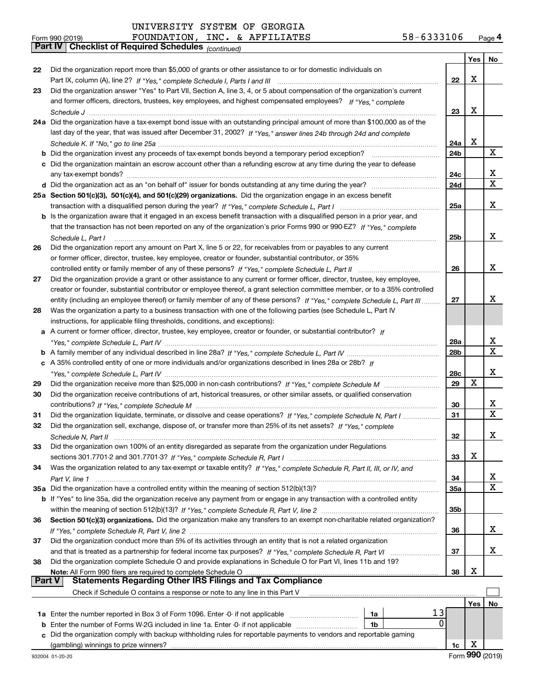*(continued)*

| Form 990 (2019) | FOUNDATION,                                                  |  | INC. & AFFILIATES | 58-6333106 | Page 4 |
|-----------------|--------------------------------------------------------------|--|-------------------|------------|--------|
|                 | <b>Part IV   Checklist of Required Schedules (continued)</b> |  |                   |            |        |

|               |                                                                                                                                                                                                                                        |                 | Yes $ $ | No                           |
|---------------|----------------------------------------------------------------------------------------------------------------------------------------------------------------------------------------------------------------------------------------|-----------------|---------|------------------------------|
| 22            | Did the organization report more than \$5,000 of grants or other assistance to or for domestic individuals on                                                                                                                          |                 |         |                              |
|               |                                                                                                                                                                                                                                        | 22              | X       |                              |
| 23            | Did the organization answer "Yes" to Part VII, Section A, line 3, 4, or 5 about compensation of the organization's current                                                                                                             |                 |         |                              |
|               | and former officers, directors, trustees, key employees, and highest compensated employees? If "Yes," complete                                                                                                                         |                 |         |                              |
|               |                                                                                                                                                                                                                                        | 23              | X       |                              |
|               | 24a Did the organization have a tax-exempt bond issue with an outstanding principal amount of more than \$100,000 as of the                                                                                                            |                 |         |                              |
|               | last day of the year, that was issued after December 31, 2002? If "Yes," answer lines 24b through 24d and complete                                                                                                                     |                 |         |                              |
|               |                                                                                                                                                                                                                                        | 24a             | x       |                              |
|               | <b>b</b> Did the organization invest any proceeds of tax-exempt bonds beyond a temporary period exception?                                                                                                                             | 24b             |         | X                            |
|               | c Did the organization maintain an escrow account other than a refunding escrow at any time during the year to defease                                                                                                                 |                 |         |                              |
|               | any tax-exempt bonds?                                                                                                                                                                                                                  | 24c             |         | x                            |
|               |                                                                                                                                                                                                                                        | 24d             |         | $\overline{\mathtt{x}}$      |
|               | 25a Section 501(c)(3), 501(c)(4), and 501(c)(29) organizations. Did the organization engage in an excess benefit                                                                                                                       |                 |         |                              |
|               |                                                                                                                                                                                                                                        | 25a             |         | x                            |
|               | b Is the organization aware that it engaged in an excess benefit transaction with a disqualified person in a prior year, and                                                                                                           |                 |         |                              |
|               | that the transaction has not been reported on any of the organization's prior Forms 990 or 990-EZ? If "Yes." complete                                                                                                                  |                 |         |                              |
|               | Schedule L, Part I                                                                                                                                                                                                                     | 25 <sub>b</sub> |         | x                            |
| 26            | Did the organization report any amount on Part X, line 5 or 22, for receivables from or payables to any current                                                                                                                        |                 |         |                              |
|               | or former officer, director, trustee, key employee, creator or founder, substantial contributor, or 35%                                                                                                                                |                 |         |                              |
|               | controlled entity or family member of any of these persons? If "Yes," complete Schedule L, Part II                                                                                                                                     | 26              |         | X                            |
| 27            | Did the organization provide a grant or other assistance to any current or former officer, director, trustee, key employee,                                                                                                            |                 |         |                              |
|               | creator or founder, substantial contributor or employee thereof, a grant selection committee member, or to a 35% controlled                                                                                                            |                 |         |                              |
|               | entity (including an employee thereof) or family member of any of these persons? If "Yes," complete Schedule L, Part III                                                                                                               | 27              |         | x                            |
| 28            | Was the organization a party to a business transaction with one of the following parties (see Schedule L, Part IV                                                                                                                      |                 |         |                              |
|               | instructions, for applicable filing thresholds, conditions, and exceptions):                                                                                                                                                           |                 |         |                              |
|               | a A current or former officer, director, trustee, key employee, creator or founder, or substantial contributor? If                                                                                                                     |                 |         |                              |
|               |                                                                                                                                                                                                                                        | 28a             |         | x<br>$\overline{\mathtt{x}}$ |
|               |                                                                                                                                                                                                                                        | 28b             |         |                              |
|               | c A 35% controlled entity of one or more individuals and/or organizations described in lines 28a or 28b? If                                                                                                                            |                 |         | x                            |
|               |                                                                                                                                                                                                                                        | 28c<br>29       | X       |                              |
| 29            |                                                                                                                                                                                                                                        |                 |         |                              |
| 30            | Did the organization receive contributions of art, historical treasures, or other similar assets, or qualified conservation                                                                                                            | 30              |         | x                            |
| 31            |                                                                                                                                                                                                                                        | 31              |         | $\overline{\mathtt{x}}$      |
| 32            | Did the organization liquidate, terminate, or dissolve and cease operations? If "Yes," complete Schedule N, Part I<br>Did the organization sell, exchange, dispose of, or transfer more than 25% of its net assets? If "Yes," complete |                 |         |                              |
|               |                                                                                                                                                                                                                                        | 32              |         | x                            |
| 33            | Did the organization own 100% of an entity disregarded as separate from the organization under Regulations                                                                                                                             |                 |         |                              |
|               |                                                                                                                                                                                                                                        | 33              | х       |                              |
| 34            | Was the organization related to any tax-exempt or taxable entity? If "Yes," complete Schedule R, Part II, III, or IV, and                                                                                                              |                 |         |                              |
|               |                                                                                                                                                                                                                                        | 34              |         | $\overline{\mathbf{x}}$      |
|               | 35a Did the organization have a controlled entity within the meaning of section 512(b)(13)?                                                                                                                                            | 35a             |         | $\overline{\mathbf{x}}$      |
|               | b If "Yes" to line 35a, did the organization receive any payment from or engage in any transaction with a controlled entity                                                                                                            |                 |         |                              |
|               |                                                                                                                                                                                                                                        | 35b             |         |                              |
| 36            | Section 501(c)(3) organizations. Did the organization make any transfers to an exempt non-charitable related organization?                                                                                                             |                 |         |                              |
|               |                                                                                                                                                                                                                                        | 36              |         | x                            |
| 37            | Did the organization conduct more than 5% of its activities through an entity that is not a related organization                                                                                                                       |                 |         |                              |
|               |                                                                                                                                                                                                                                        | 37              |         | x                            |
| 38            | Did the organization complete Schedule O and provide explanations in Schedule O for Part VI, lines 11b and 19?                                                                                                                         |                 |         |                              |
|               |                                                                                                                                                                                                                                        | 38              | х       |                              |
| <b>Part V</b> | <b>Statements Regarding Other IRS Filings and Tax Compliance</b>                                                                                                                                                                       |                 |         |                              |
|               | Check if Schedule O contains a response or note to any line in this Part V                                                                                                                                                             |                 |         |                              |
|               |                                                                                                                                                                                                                                        |                 | Yes     | No                           |
|               | 13<br>1a                                                                                                                                                                                                                               |                 |         |                              |
| b             | 0<br>Enter the number of Forms W-2G included in line 1a. Enter -0- if not applicable<br>1b                                                                                                                                             |                 |         |                              |
| c             | Did the organization comply with backup withholding rules for reportable payments to vendors and reportable gaming                                                                                                                     |                 |         |                              |
|               | (gambling) winnings to prize winners?                                                                                                                                                                                                  | 1c              | X       |                              |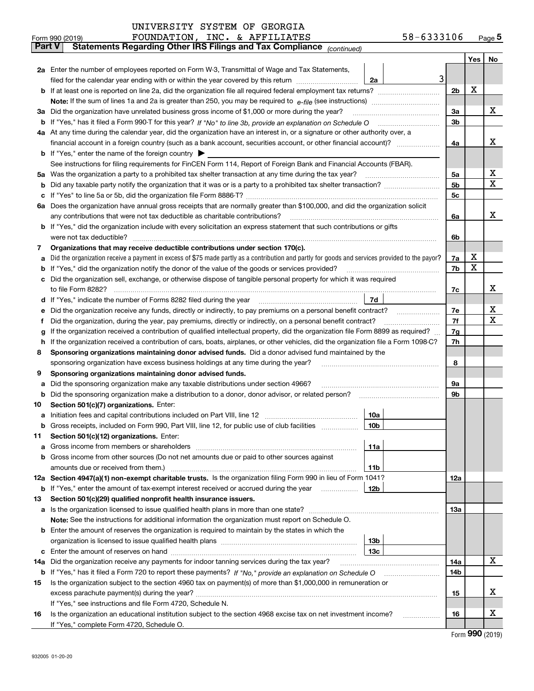| Part V | Statements Regarding Other IRS Fillings and Tax Compilance $_{(continued)}$                                                                     |                |     |    |
|--------|-------------------------------------------------------------------------------------------------------------------------------------------------|----------------|-----|----|
|        |                                                                                                                                                 |                | Yes | No |
|        | <b>2a</b> Enter the number of employees reported on Form W-3, Transmittal of Wage and Tax Statements,                                           |                |     |    |
|        | 3<br>filed for the calendar year ending with or within the year covered by this return<br>2a                                                    |                |     |    |
|        |                                                                                                                                                 | 2 <sub>b</sub> | X   |    |
|        |                                                                                                                                                 |                |     |    |
|        | 3a Did the organization have unrelated business gross income of \$1,000 or more during the year?                                                | За             |     | x  |
|        |                                                                                                                                                 | 3b             |     |    |
|        | 4a At any time during the calendar year, did the organization have an interest in, or a signature or other authority over, a                    |                |     |    |
|        |                                                                                                                                                 | 4a             |     | x  |
|        | <b>b</b> If "Yes," enter the name of the foreign country                                                                                        |                |     |    |
|        | See instructions for filing requirements for FinCEN Form 114, Report of Foreign Bank and Financial Accounts (FBAR).                             |                |     |    |
|        | 5a Was the organization a party to a prohibited tax shelter transaction at any time during the tax year?                                        | 5a             |     | х  |
|        |                                                                                                                                                 | 5b             |     | X  |
|        |                                                                                                                                                 | 5c             |     |    |
|        | 6a Does the organization have annual gross receipts that are normally greater than \$100,000, and did the organization solicit                  |                |     |    |
|        | any contributions that were not tax deductible as charitable contributions?                                                                     | 6a             |     | x  |
|        | <b>b</b> If "Yes," did the organization include with every solicitation an express statement that such contributions or gifts                   |                |     |    |
|        | were not tax deductible?                                                                                                                        | 6b             |     |    |
| 7      | Organizations that may receive deductible contributions under section 170(c).                                                                   |                |     |    |
| а      | Did the organization receive a payment in excess of \$75 made partly as a contribution and partly for goods and services provided to the payor? | 7a             | X   |    |
|        | <b>b</b> If "Yes," did the organization notify the donor of the value of the goods or services provided?                                        | 7b             | x   |    |
|        | c Did the organization sell, exchange, or otherwise dispose of tangible personal property for which it was required                             |                |     |    |
|        | to file Form 8282?                                                                                                                              | 7c             |     | x  |
|        | d If "Yes," indicate the number of Forms 8282 filed during the year<br>7d                                                                       |                |     |    |
|        | e Did the organization receive any funds, directly or indirectly, to pay premiums on a personal benefit contract?                               | 7е             |     | х  |
|        | Did the organization, during the year, pay premiums, directly or indirectly, on a personal benefit contract?                                    | 7f             |     | х  |
| g      | If the organization received a contribution of qualified intellectual property, did the organization file Form 8899 as required?                | 7g             |     |    |
|        | h If the organization received a contribution of cars, boats, airplanes, or other vehicles, did the organization file a Form 1098-C?            | 7h             |     |    |
| 8      | Sponsoring organizations maintaining donor advised funds. Did a donor advised fund maintained by the                                            |                |     |    |
|        | sponsoring organization have excess business holdings at any time during the year?                                                              | 8              |     |    |
| 9      | Sponsoring organizations maintaining donor advised funds.                                                                                       |                |     |    |
|        | a Did the sponsoring organization make any taxable distributions under section 4966?                                                            | 9а             |     |    |
|        | <b>b</b> Did the sponsoring organization make a distribution to a donor, donor advisor, or related person?                                      | 9b             |     |    |
| 10     | Section 501(c)(7) organizations. Enter:                                                                                                         |                |     |    |
|        | 10a                                                                                                                                             |                |     |    |
|        | b Gross receipts, included on Form 990, Part VIII, line 12, for public use of club facilities<br>10b                                            |                |     |    |
| 11.    | Section 501(c)(12) organizations. Enter:                                                                                                        |                |     |    |
|        | 11a                                                                                                                                             |                |     |    |
|        | <b>b</b> Gross income from other sources (Do not net amounts due or paid to other sources against                                               |                |     |    |
|        | 11b                                                                                                                                             |                |     |    |
|        | 12a Section 4947(a)(1) non-exempt charitable trusts. Is the organization filing Form 990 in lieu of Form 1041?                                  | 12a            |     |    |
|        | 12b<br><b>b</b> If "Yes," enter the amount of tax-exempt interest received or accrued during the year                                           |                |     |    |
| 13     | Section 501(c)(29) qualified nonprofit health insurance issuers.                                                                                |                |     |    |
|        | a Is the organization licensed to issue qualified health plans in more than one state?                                                          | 13а            |     |    |
|        | Note: See the instructions for additional information the organization must report on Schedule O.                                               |                |     |    |
|        | <b>b</b> Enter the amount of reserves the organization is required to maintain by the states in which the                                       |                |     |    |
|        | 13 <sub>b</sub>                                                                                                                                 |                |     |    |
|        | 13с                                                                                                                                             |                |     |    |
|        | 14a Did the organization receive any payments for indoor tanning services during the tax year?                                                  | 14a            |     | X  |
|        |                                                                                                                                                 | 14b            |     |    |
| 15     | Is the organization subject to the section 4960 tax on payment(s) of more than \$1,000,000 in remuneration or                                   |                |     |    |
|        |                                                                                                                                                 | 15             |     | х  |
|        | If "Yes," see instructions and file Form 4720, Schedule N.                                                                                      |                |     |    |
| 16     | Is the organization an educational institution subject to the section 4968 excise tax on net investment income?                                 | 16             |     | x  |
|        | If "Yes," complete Form 4720, Schedule O.                                                                                                       |                |     |    |

Form (2019) **990**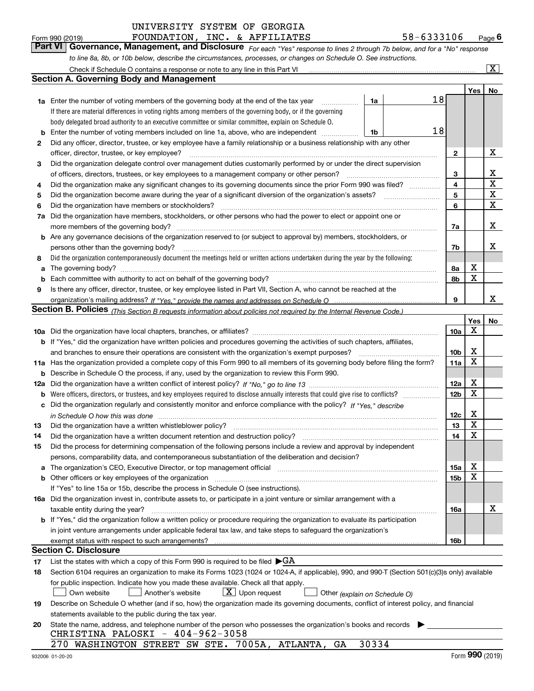|     | to line 8a, 8b, or 10b below, describe the circumstances, processes, or changes on Schedule O. See instructions.                                                                                                               |                        |        |                         |  |  |  |
|-----|--------------------------------------------------------------------------------------------------------------------------------------------------------------------------------------------------------------------------------|------------------------|--------|-------------------------|--|--|--|
|     | Check if Schedule O contains a response or note to any line in this Part VI                                                                                                                                                    |                        |        | $\overline{\mathbf{x}}$ |  |  |  |
|     | <b>Section A. Governing Body and Management</b>                                                                                                                                                                                |                        |        |                         |  |  |  |
|     |                                                                                                                                                                                                                                |                        | Yes    | No                      |  |  |  |
|     | 18<br>1a Enter the number of voting members of the governing body at the end of the tax year<br>1a<br>.                                                                                                                        |                        |        |                         |  |  |  |
|     | If there are material differences in voting rights among members of the governing body, or if the governing                                                                                                                    |                        |        |                         |  |  |  |
|     | body delegated broad authority to an executive committee or similar committee, explain on Schedule O.                                                                                                                          |                        |        |                         |  |  |  |
| b   | 18<br>Enter the number of voting members included on line 1a, above, who are independent<br>1b                                                                                                                                 |                        |        |                         |  |  |  |
| 2   | Did any officer, director, trustee, or key employee have a family relationship or a business relationship with any other                                                                                                       |                        |        |                         |  |  |  |
|     | officer, director, trustee, or key employee?<br>.                                                                                                                                                                              | 2                      |        | х                       |  |  |  |
| 3   | Did the organization delegate control over management duties customarily performed by or under the direct supervision                                                                                                          |                        |        |                         |  |  |  |
|     | of officers, directors, trustees, or key employees to a management company or other person?                                                                                                                                    | 3                      |        | x                       |  |  |  |
| 4   | Did the organization make any significant changes to its governing documents since the prior Form 990 was filed?                                                                                                               | 4                      |        | X                       |  |  |  |
| 5   |                                                                                                                                                                                                                                | 5                      |        | $\mathbf X$             |  |  |  |
| 6   | Did the organization have members or stockholders?                                                                                                                                                                             | 6                      |        | X                       |  |  |  |
| 7a  | Did the organization have members, stockholders, or other persons who had the power to elect or appoint one or                                                                                                                 |                        |        |                         |  |  |  |
|     | more members of the governing body?                                                                                                                                                                                            | 7a                     |        | x                       |  |  |  |
| b   | Are any governance decisions of the organization reserved to (or subject to approval by) members, stockholders, or                                                                                                             |                        |        |                         |  |  |  |
|     | persons other than the governing body?                                                                                                                                                                                         | 7b                     |        | х                       |  |  |  |
| 8   | Did the organization contemporaneously document the meetings held or written actions undertaken during the year by the following:                                                                                              |                        |        |                         |  |  |  |
| a   |                                                                                                                                                                                                                                | 8a                     | х      |                         |  |  |  |
| b   | Each committee with authority to act on behalf of the governing body?                                                                                                                                                          | 8b                     | x      |                         |  |  |  |
| 9   | Is there any officer, director, trustee, or key employee listed in Part VII, Section A, who cannot be reached at the                                                                                                           |                        |        |                         |  |  |  |
|     |                                                                                                                                                                                                                                | 9                      |        | x                       |  |  |  |
|     | Section B. Policies <sub>(This</sub> Section B requests information about policies not required by the Internal Revenue Code.)                                                                                                 |                        |        |                         |  |  |  |
|     |                                                                                                                                                                                                                                |                        | Yes    | No                      |  |  |  |
|     |                                                                                                                                                                                                                                | 10a                    | X      |                         |  |  |  |
|     | <b>b</b> If "Yes," did the organization have written policies and procedures governing the activities of such chapters, affiliates,                                                                                            |                        |        |                         |  |  |  |
|     | and branches to ensure their operations are consistent with the organization's exempt purposes?                                                                                                                                | 10 <sub>b</sub><br>11a | х<br>X |                         |  |  |  |
|     | 11a Has the organization provided a complete copy of this Form 990 to all members of its governing body before filing the form?                                                                                                |                        |        |                         |  |  |  |
| b   | Describe in Schedule O the process, if any, used by the organization to review this Form 990.                                                                                                                                  |                        |        |                         |  |  |  |
| 12a |                                                                                                                                                                                                                                | 12a                    | х<br>X |                         |  |  |  |
| b   |                                                                                                                                                                                                                                | 12 <sub>b</sub>        |        |                         |  |  |  |
| c   | Did the organization regularly and consistently monitor and enforce compliance with the policy? If "Yes." describe                                                                                                             |                        | х      |                         |  |  |  |
|     | in Schedule O how this was done www.communication.com/www.communications.com/www.communications.com/<br>Did the organization have a written whistleblower policy?                                                              | 12c<br>13              | X      |                         |  |  |  |
| 13  | Did the organization have a written document retention and destruction policy? [111] [12] manufaction manufaction manufaction and destruction policy? [11] manufaction manufaction manufaction and the organization manufactio | 14                     | X      |                         |  |  |  |
| 14  | Did the process for determining compensation of the following persons include a review and approval by independent                                                                                                             |                        |        |                         |  |  |  |
|     | persons, comparability data, and contemporaneous substantiation of the deliberation and decision?                                                                                                                              |                        |        |                         |  |  |  |
|     | a The organization's CEO, Executive Director, or top management official manufactured content content of the organization's CEO, Executive Director, or top management official manufactured content of the state of the state | 15a                    | х      |                         |  |  |  |
| b   | Other officers or key employees of the organization                                                                                                                                                                            | 15b                    | X      |                         |  |  |  |
|     | If "Yes" to line 15a or 15b, describe the process in Schedule O (see instructions).                                                                                                                                            |                        |        |                         |  |  |  |
|     | 16a Did the organization invest in, contribute assets to, or participate in a joint venture or similar arrangement with a                                                                                                      |                        |        |                         |  |  |  |
|     | taxable entity during the year?                                                                                                                                                                                                | 16a                    |        | x                       |  |  |  |
|     | b If "Yes," did the organization follow a written policy or procedure requiring the organization to evaluate its participation                                                                                                 |                        |        |                         |  |  |  |
|     | in joint venture arrangements under applicable federal tax law, and take steps to safeguard the organization's                                                                                                                 |                        |        |                         |  |  |  |
|     |                                                                                                                                                                                                                                | 16b                    |        |                         |  |  |  |
|     | <b>Section C. Disclosure</b>                                                                                                                                                                                                   |                        |        |                         |  |  |  |
| 17  | List the states with which a copy of this Form 990 is required to be filed $\blacktriangleright$ GA                                                                                                                            |                        |        |                         |  |  |  |
| 18  | Section 6104 requires an organization to make its Forms 1023 (1024 or 1024-A, if applicable), 990, and 990-T (Section 501(c)(3)s only) available                                                                               |                        |        |                         |  |  |  |
|     | for public inspection. Indicate how you made these available. Check all that apply.                                                                                                                                            |                        |        |                         |  |  |  |
|     | $X$ Upon request<br>Another's website<br>Own website<br>Other (explain on Schedule O)                                                                                                                                          |                        |        |                         |  |  |  |
| 19  | Describe on Schedule O whether (and if so, how) the organization made its governing documents, conflict of interest policy, and financial                                                                                      |                        |        |                         |  |  |  |
|     | statements available to the public during the tax year.                                                                                                                                                                        |                        |        |                         |  |  |  |
| 20  | State the name, address, and telephone number of the person who possesses the organization's books and records                                                                                                                 |                        |        |                         |  |  |  |
|     | CHRISTINA PALOSKI - 404-962-3058                                                                                                                                                                                               |                        |        |                         |  |  |  |
|     | 30334<br>270 WASHINGTON STREET SW STE. 7005A, ATLANTA,<br>GA                                                                                                                                                                   |                        | ההח    |                         |  |  |  |

| Form 990 (2019) | FOUNDATION, INC. & AFFILIATES |  |                                                                                                                                      | 58-6333106 | Page $\boldsymbol{6}$ |
|-----------------|-------------------------------|--|--------------------------------------------------------------------------------------------------------------------------------------|------------|-----------------------|
|                 |                               |  | <b>Part VI   Governance, Management, and Disclosure</b> For each "Yes" response to lines 2 through 7b below, and for a "No" response |            |                       |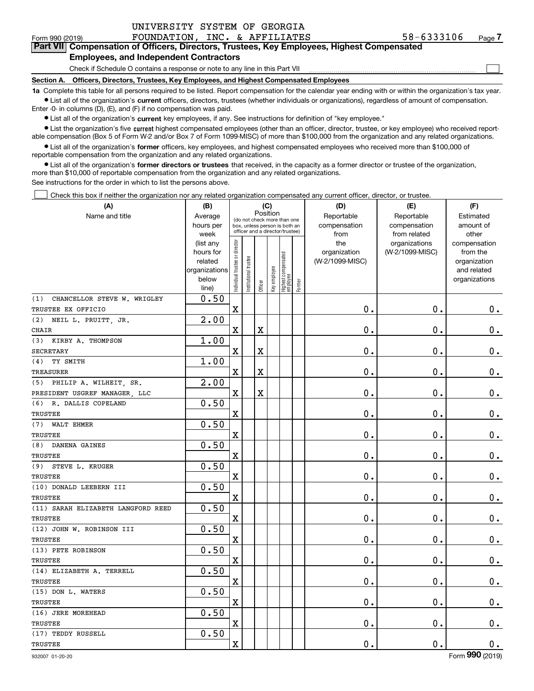$\mathcal{L}^{\text{max}}$ 

### Form 990 (2019) FOUNDATION, INC. & AFFILIATES 58-6333106 <sub>Page</sub> **7Part VII Compensation of Officers, Directors, Trustees, Key Employees, Highest Compensated Employees, and Independent Contractors**

Check if Schedule O contains a response or note to any line in this Part VII

**Section A. Officers, Directors, Trustees, Key Employees, and Highest Compensated Employees**

**1a**  Complete this table for all persons required to be listed. Report compensation for the calendar year ending with or within the organization's tax year. **•** List all of the organization's current officers, directors, trustees (whether individuals or organizations), regardless of amount of compensation.

Enter -0- in columns (D), (E), and (F) if no compensation was paid.

 $\bullet$  List all of the organization's  $\,$ current key employees, if any. See instructions for definition of "key employee."

**•** List the organization's five current highest compensated employees (other than an officer, director, trustee, or key employee) who received reportable compensation (Box 5 of Form W-2 and/or Box 7 of Form 1099-MISC) of more than \$100,000 from the organization and any related organizations.

**•** List all of the organization's former officers, key employees, and highest compensated employees who received more than \$100,000 of reportable compensation from the organization and any related organizations.

**former directors or trustees**  ¥ List all of the organization's that received, in the capacity as a former director or trustee of the organization, more than \$10,000 of reportable compensation from the organization and any related organizations.

See instructions for the order in which to list the persons above.

Check this box if neither the organization nor any related organization compensated any current officer, director, or trustee.  $\mathcal{L}^{\text{max}}$ 

| (A)                                | (B)               |                                                                          |                                 | (C)     |              |                                   |        | (D)             | (E)                           | (F)                   |
|------------------------------------|-------------------|--------------------------------------------------------------------------|---------------------------------|---------|--------------|-----------------------------------|--------|-----------------|-------------------------------|-----------------------|
| Name and title                     | Average           | Position<br>(do not check more than one<br>box, unless person is both an |                                 |         |              |                                   |        | Reportable      | Reportable                    | Estimated             |
|                                    | hours per         |                                                                          | officer and a director/trustee) |         |              |                                   |        | compensation    | compensation                  | amount of             |
|                                    | week<br>(list any |                                                                          |                                 |         |              |                                   |        | from<br>the     | from related<br>organizations | other<br>compensation |
|                                    | hours for         |                                                                          |                                 |         |              |                                   |        | organization    | (W-2/1099-MISC)               | from the              |
|                                    | related           |                                                                          |                                 |         |              |                                   |        | (W-2/1099-MISC) |                               | organization          |
|                                    | organizations     |                                                                          |                                 |         |              |                                   |        |                 |                               | and related           |
|                                    | below             | ndividual trustee or director                                            | nstitutional trustee            |         | Key employee | Highest compensated<br>  employee | Former |                 |                               | organizations         |
|                                    | line)             |                                                                          |                                 | Officer |              |                                   |        |                 |                               |                       |
| (1)<br>CHANCELLOR STEVE W. WRIGLEY | 0.50              |                                                                          |                                 |         |              |                                   |        |                 |                               |                       |
| TRUSTEE EX OFFICIO                 |                   | $\mathbf X$                                                              |                                 |         |              |                                   |        | $\mathbf 0$ .   | $\mathbf 0$ .                 | 0.                    |
| (2)<br>NEIL L. PRUITT, JR.         | 2.00              |                                                                          |                                 |         |              |                                   |        |                 |                               |                       |
| <b>CHAIR</b>                       |                   | X                                                                        |                                 | X       |              |                                   |        | $\mathbf 0$ .   | $\mathbf 0$ .                 | $\mathbf 0$ .         |
| KIRBY A. THOMPSON<br>(3)           | 1.00              |                                                                          |                                 |         |              |                                   |        |                 |                               |                       |
| <b>SECRETARY</b>                   |                   | $\mathbf X$                                                              |                                 | X       |              |                                   |        | $\mathbf 0$ .   | $\mathbf 0$ .                 | $0_{.}$               |
| (4)<br>TY SMITH                    | 1.00              |                                                                          |                                 |         |              |                                   |        |                 |                               |                       |
| <b>TREASURER</b>                   |                   | $\mathbf X$                                                              |                                 | X       |              |                                   |        | $\mathbf 0$ .   | $\mathbf 0$ .                 | $\mathbf 0$ .         |
| (5) PHILIP A. WILHEIT, SR.         | 2.00              |                                                                          |                                 |         |              |                                   |        |                 |                               |                       |
| PRESIDENT USGREF MANAGER, LLC      |                   | $\mathbf X$                                                              |                                 | X       |              |                                   |        | $\mathbf 0$ .   | $\mathbf 0$ .                 | $\mathbf 0$ .         |
| (6)<br>R. DALLIS COPELAND          | 0.50              |                                                                          |                                 |         |              |                                   |        |                 |                               |                       |
| TRUSTEE                            |                   | $\mathbf X$                                                              |                                 |         |              |                                   |        | $\mathbf 0$ .   | $\mathbf 0$ .                 | $0$ .                 |
| <b>WALT EHMER</b><br>(7)           | 0.50              |                                                                          |                                 |         |              |                                   |        |                 |                               |                       |
| <b>TRUSTEE</b>                     |                   | $\mathbf X$                                                              |                                 |         |              |                                   |        | $\mathbf 0$ .   | $\mathbf 0$ .                 | $0_{.}$               |
| DANENA GAINES<br>(8)               | 0.50              |                                                                          |                                 |         |              |                                   |        |                 |                               |                       |
| <b>TRUSTEE</b>                     |                   | $\mathbf X$                                                              |                                 |         |              |                                   |        | $\mathbf 0$ .   | $\mathbf 0$ .                 | $\mathbf 0$ .         |
| STEVE L. KRUGER<br>(9)             | 0.50              |                                                                          |                                 |         |              |                                   |        |                 |                               |                       |
| TRUSTEE                            |                   | $\mathbf X$                                                              |                                 |         |              |                                   |        | $\mathbf 0$ .   | $\mathbf 0$ .                 | $\mathbf 0$ .         |
| (10) DONALD LEEBERN III            | 0.50              |                                                                          |                                 |         |              |                                   |        |                 |                               |                       |
| TRUSTEE                            |                   | $\mathbf X$                                                              |                                 |         |              |                                   |        | $\mathbf 0$ .   | $\mathbf 0$ .                 | $\mathbf 0$ .         |
| (11) SARAH ELIZABETH LANGFORD REED | 0.50              |                                                                          |                                 |         |              |                                   |        |                 |                               |                       |
| <b>TRUSTEE</b>                     |                   | $\mathbf X$                                                              |                                 |         |              |                                   |        | $\mathbf 0$ .   | $\mathbf 0$ .                 | $0_{.}$               |
| (12) JOHN W. ROBINSON III          | 0.50              |                                                                          |                                 |         |              |                                   |        |                 |                               |                       |
| TRUSTEE                            |                   | $\mathbf X$                                                              |                                 |         |              |                                   |        | $\mathbf 0$ .   | $\mathbf 0$ .                 | $\mathbf 0$ .         |
| (13) PETE ROBINSON                 | 0.50              |                                                                          |                                 |         |              |                                   |        |                 |                               |                       |
| TRUSTEE                            |                   | $\mathbf X$                                                              |                                 |         |              |                                   |        | $\mathbf 0$ .   | $\mathbf 0$ .                 | $\mathbf 0$ .         |
| (14) ELIZABETH A. TERRELL          | 0.50              |                                                                          |                                 |         |              |                                   |        |                 |                               |                       |
| TRUSTEE                            |                   | $\mathbf X$                                                              |                                 |         |              |                                   |        | $\mathbf 0$ .   | $\mathbf 0$ .                 | $0_{.}$               |
| (15) DON L. WATERS                 | 0.50              |                                                                          |                                 |         |              |                                   |        |                 |                               |                       |
| TRUSTEE                            |                   | $\mathbf X$                                                              |                                 |         |              |                                   |        | $\mathbf 0$ .   | $\mathbf 0$ .                 | $0_{.}$               |
| (16) JERE MOREHEAD                 | 0.50              |                                                                          |                                 |         |              |                                   |        |                 |                               |                       |
| TRUSTEE                            |                   | $\mathbf X$                                                              |                                 |         |              |                                   |        | $\mathbf 0$ .   | $\mathbf 0$ .                 | $\mathbf 0$ .         |
| (17) TEDDY RUSSELL                 | 0.50              |                                                                          |                                 |         |              |                                   |        |                 |                               |                       |
| TRUSTEE                            |                   | $\mathbf X$                                                              |                                 |         |              |                                   |        | $\mathbf 0$ .   | $\mathbf 0$ .                 | $\mathbf 0$ .         |
|                                    |                   |                                                                          |                                 |         |              |                                   |        |                 |                               |                       |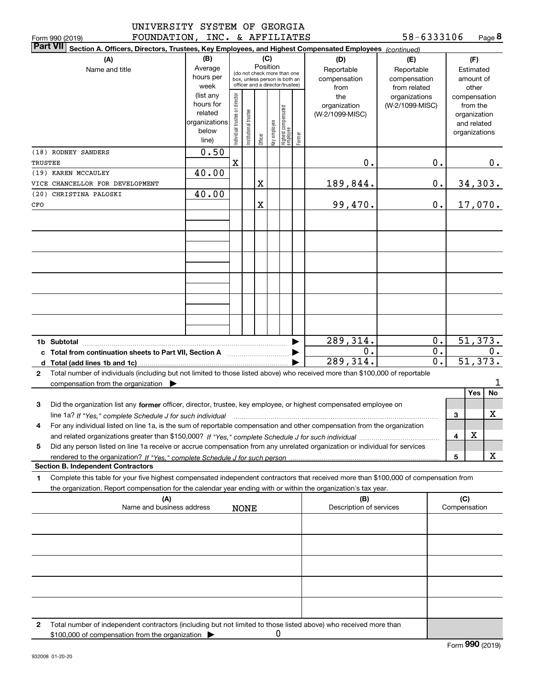| UNIVERSITY SYSTEM OF GEORGIA |             |                                 |
|------------------------------|-------------|---------------------------------|
| <b>DAIRDEADTAR</b>           | $T^{\star}$ | $\epsilon$ annitramn $\epsilon$ |

| Form 990 (2019) | FOUNDATION | INC. | $\alpha$ | AFFILIATES | 58<br>$-6333106$ | Page <b>ö</b> |
|-----------------|------------|------|----------|------------|------------------|---------------|
|-----------------|------------|------|----------|------------|------------------|---------------|

|              | <b>Part VII</b><br>Section A. Officers, Directors, Trustees, Key Employees, and Highest Compensated Employees (continued)                                                                |                        |                                |                       |          |              |                                                              |        |                                 |                 |                        |              |                          |         |
|--------------|------------------------------------------------------------------------------------------------------------------------------------------------------------------------------------------|------------------------|--------------------------------|-----------------------|----------|--------------|--------------------------------------------------------------|--------|---------------------------------|-----------------|------------------------|--------------|--------------------------|---------|
|              | (A)                                                                                                                                                                                      | (B)                    |                                |                       | (C)      |              |                                                              |        | (D)                             | (E)             |                        |              | (F)                      |         |
|              | Name and title                                                                                                                                                                           | Average                |                                |                       | Position |              |                                                              |        | Reportable                      | Reportable      |                        |              | Estimated                |         |
|              |                                                                                                                                                                                          | hours per              |                                |                       |          |              | (do not check more than one<br>box, unless person is both an |        | compensation                    | compensation    |                        |              | amount of                |         |
|              |                                                                                                                                                                                          | week                   |                                |                       |          |              | officer and a director/trustee)                              |        | from                            | from related    |                        |              | other                    |         |
|              |                                                                                                                                                                                          | (list any<br>hours for | Individual trustee or director |                       |          |              |                                                              |        | the                             | organizations   |                        |              | compensation             |         |
|              |                                                                                                                                                                                          | related                |                                |                       |          |              |                                                              |        | organization<br>(W-2/1099-MISC) | (W-2/1099-MISC) |                        |              | from the<br>organization |         |
|              |                                                                                                                                                                                          | organizations          |                                |                       |          |              |                                                              |        |                                 |                 |                        |              | and related              |         |
|              |                                                                                                                                                                                          | below                  |                                | Institutional trustee |          | key employee |                                                              |        |                                 |                 |                        |              | organizations            |         |
|              |                                                                                                                                                                                          | line)                  |                                |                       | Officer  |              | Highest compensated<br>employee                              | Former |                                 |                 |                        |              |                          |         |
|              | (18) RODNEY SANDERS                                                                                                                                                                      | 0.50                   |                                |                       |          |              |                                                              |        |                                 |                 |                        |              |                          |         |
| TRUSTEE      |                                                                                                                                                                                          |                        | $\mathbf X$                    |                       |          |              |                                                              |        | 0.                              |                 | 0.                     |              |                          | 0.      |
|              | (19) KAREN MCCAULEY                                                                                                                                                                      | 40.00                  |                                |                       |          |              |                                                              |        |                                 |                 |                        |              |                          |         |
|              | VICE CHANCELLOR FOR DEVELOPMENT                                                                                                                                                          |                        |                                |                       | X        |              |                                                              |        | 189,844.                        |                 | $\mathbf 0$ .          |              | 34,303.                  |         |
|              | (20) CHRISTINA PALOSKI                                                                                                                                                                   | 40.00                  |                                |                       |          |              |                                                              |        |                                 |                 |                        |              |                          |         |
| CFO          |                                                                                                                                                                                          |                        |                                |                       | X        |              |                                                              |        | 99,470.                         |                 | 0.                     |              |                          | 17,070. |
|              |                                                                                                                                                                                          |                        |                                |                       |          |              |                                                              |        |                                 |                 |                        |              |                          |         |
|              |                                                                                                                                                                                          |                        |                                |                       |          |              |                                                              |        |                                 |                 |                        |              |                          |         |
|              |                                                                                                                                                                                          |                        |                                |                       |          |              |                                                              |        |                                 |                 |                        |              |                          |         |
|              |                                                                                                                                                                                          |                        |                                |                       |          |              |                                                              |        |                                 |                 |                        |              |                          |         |
|              |                                                                                                                                                                                          |                        |                                |                       |          |              |                                                              |        |                                 |                 |                        |              |                          |         |
|              |                                                                                                                                                                                          |                        |                                |                       |          |              |                                                              |        |                                 |                 |                        |              |                          |         |
|              |                                                                                                                                                                                          |                        |                                |                       |          |              |                                                              |        |                                 |                 |                        |              |                          |         |
|              |                                                                                                                                                                                          |                        |                                |                       |          |              |                                                              |        |                                 |                 |                        |              |                          |         |
|              |                                                                                                                                                                                          |                        |                                |                       |          |              |                                                              |        |                                 |                 |                        |              |                          |         |
|              |                                                                                                                                                                                          |                        |                                |                       |          |              |                                                              |        |                                 |                 |                        |              |                          |         |
|              |                                                                                                                                                                                          |                        |                                |                       |          |              |                                                              |        |                                 |                 |                        |              |                          |         |
|              |                                                                                                                                                                                          |                        |                                |                       |          |              |                                                              |        |                                 |                 |                        |              |                          |         |
|              |                                                                                                                                                                                          |                        |                                |                       |          |              |                                                              |        | 289,314.                        |                 | 0.<br>$\overline{0}$ . |              | 51,373.                  | 0.      |
|              |                                                                                                                                                                                          |                        |                                |                       |          |              |                                                              |        | 0.<br>289, 314.                 |                 | $\overline{0}$ .       |              | 51, 373.                 |         |
|              | d Total (add lines 1b and 1c)                                                                                                                                                            |                        |                                |                       |          |              |                                                              |        |                                 |                 |                        |              |                          |         |
| $\mathbf{2}$ | Total number of individuals (including but not limited to those listed above) who received more than \$100,000 of reportable<br>compensation from the organization $\blacktriangleright$ |                        |                                |                       |          |              |                                                              |        |                                 |                 |                        |              |                          | 1       |
|              |                                                                                                                                                                                          |                        |                                |                       |          |              |                                                              |        |                                 |                 |                        |              | Yes                      | No      |
| 3            | Did the organization list any former officer, director, trustee, key employee, or highest compensated employee on                                                                        |                        |                                |                       |          |              |                                                              |        |                                 |                 |                        |              |                          |         |
|              | line 1a? If "Yes," complete Schedule J for such individual                                                                                                                               |                        |                                |                       |          |              |                                                              |        |                                 |                 |                        | 3            |                          | X       |
| 4            | For any individual listed on line 1a, is the sum of reportable compensation and other compensation from the organization                                                                 |                        |                                |                       |          |              |                                                              |        |                                 |                 |                        |              |                          |         |
|              |                                                                                                                                                                                          |                        |                                |                       |          |              |                                                              |        |                                 |                 |                        | 4            | Χ                        |         |
| 5            | Did any person listed on line 1a receive or accrue compensation from any unrelated organization or individual for services                                                               |                        |                                |                       |          |              |                                                              |        |                                 |                 |                        |              |                          |         |
|              |                                                                                                                                                                                          |                        |                                |                       |          |              |                                                              |        |                                 |                 |                        | 5            |                          | X       |
|              | <b>Section B. Independent Contractors</b>                                                                                                                                                |                        |                                |                       |          |              |                                                              |        |                                 |                 |                        |              |                          |         |
| 1            | Complete this table for your five highest compensated independent contractors that received more than \$100,000 of compensation from                                                     |                        |                                |                       |          |              |                                                              |        |                                 |                 |                        |              |                          |         |
|              | the organization. Report compensation for the calendar year ending with or within the organization's tax year.                                                                           |                        |                                |                       |          |              |                                                              |        |                                 |                 |                        |              |                          |         |
|              | (A)                                                                                                                                                                                      |                        |                                |                       |          |              |                                                              |        | (B)                             |                 |                        | (C)          |                          |         |
|              | Name and business address                                                                                                                                                                |                        |                                | <b>NONE</b>           |          |              |                                                              |        | Description of services         |                 |                        | Compensation |                          |         |
|              |                                                                                                                                                                                          |                        |                                |                       |          |              |                                                              |        |                                 |                 |                        |              |                          |         |
|              |                                                                                                                                                                                          |                        |                                |                       |          |              |                                                              |        |                                 |                 |                        |              |                          |         |
|              |                                                                                                                                                                                          |                        |                                |                       |          |              |                                                              |        |                                 |                 |                        |              |                          |         |
|              |                                                                                                                                                                                          |                        |                                |                       |          |              |                                                              |        |                                 |                 |                        |              |                          |         |
|              |                                                                                                                                                                                          |                        |                                |                       |          |              |                                                              |        |                                 |                 |                        |              |                          |         |
|              |                                                                                                                                                                                          |                        |                                |                       |          |              |                                                              |        |                                 |                 |                        |              |                          |         |
|              |                                                                                                                                                                                          |                        |                                |                       |          |              |                                                              |        |                                 |                 |                        |              |                          |         |
|              |                                                                                                                                                                                          |                        |                                |                       |          |              |                                                              |        |                                 |                 |                        |              |                          |         |
|              |                                                                                                                                                                                          |                        |                                |                       |          |              |                                                              |        |                                 |                 |                        |              |                          |         |
| 2            | Total number of independent contractors (including but not limited to those listed above) who received more than                                                                         |                        |                                |                       |          |              |                                                              |        |                                 |                 |                        |              |                          |         |
|              | \$100,000 of compensation from the organization                                                                                                                                          |                        |                                |                       |          | 0            |                                                              |        |                                 |                 |                        |              |                          |         |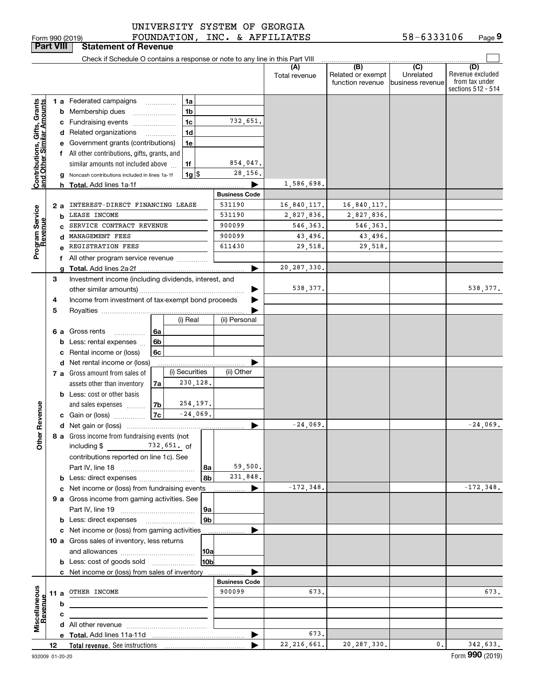| Form 990 (2019 |  |
|----------------|--|

**Part VIII Statement of Revenue**

# UNIVERSITY SYSTEM OF GEORGIA

Form 990 (2019) FOUNDATION,INC.& AFFILIATES 58-6333106 Page FOUNDATION, INC. & AFFILIATES

| (B)<br>(C)<br>(D)<br>Revenue excluded<br>Related or exempt<br>Unrelated<br>Total revenue<br>from tax under<br>function revenue<br>business revenue<br>sections 512 - 514<br>1a<br><b>1 a</b> Federated campaigns<br><b>Grants</b><br><b>Imounts</b><br>1 <sub>b</sub><br><b>b</b> Membership dues<br>1 <sub>c</sub><br>732,651.<br>c Fundraising events<br>Gifts,<br>1 <sub>d</sub><br>d Related organizations<br>Contributions, Gift<br>and Other Similar<br>e Government grants (contributions)<br>1e<br>f All other contributions, gifts, grants, and<br>854,047.<br>similar amounts not included above<br>1f<br>28,156.<br>$1g$   \$<br>g Noncash contributions included in lines 1a-1f<br>1,586,698.<br><b>Business Code</b><br>INTEREST-DIRECT FINANCING LEASE<br>531190<br>16,840,117.<br>16,840,117.<br>2а<br>Program Service<br>Revenue<br>531190<br>LEASE INCOME<br>2,827,836.<br>2,827,836.<br>b<br>SERVICE CONTRACT REVENUE<br>900099<br>546,363.<br>546,363.<br>900099<br>43,496.<br>43,496.<br>MANAGEMENT FEES<br>611430<br>REGISTRATION FEES<br>29,518.<br>29,518.<br>f All other program service revenue<br>20, 287, 330.<br>Investment income (including dividends, interest, and<br>3<br>538,377.<br>Income from investment of tax-exempt bond proceeds<br>4<br>5<br>(i) Real<br>(ii) Personal<br>6 a Gross rents<br>6a<br><b>b</b> Less: rental expenses<br>6b<br>c Rental income or (loss)<br>6c<br>d Net rental income or (loss)<br>(i) Securities<br>(ii) Other<br>7 a Gross amount from sales of<br>230,128.<br>assets other than inventory<br>7a<br><b>b</b> Less: cost or other basis<br>254,197.<br>ther Revenue<br>7 <sub>b</sub><br>and sales expenses<br>$-24,069.$<br>7c<br>c Gain or (loss)<br>$-24.069.$<br>$-24,069.$<br>8 a Gross income from fundraising events (not<br>ō<br>including $\$\qquad 732,651.\qquad\qquad$<br>contributions reported on line 1c). See<br>59,500.<br>8a<br>231,848.<br>8b<br>$-172,348.$<br>c Net income or (loss) from fundraising events<br>▶<br>9 a Gross income from gaming activities. See<br>9a<br>9b<br><b>b</b> Less: direct expenses <b>manually</b><br>c Net income or (loss) from gaming activities<br>10 a Gross sales of inventory, less returns<br> 10a<br>10b<br><b>b</b> Less: cost of goods sold<br>c Net income or (loss) from sales of inventory<br><b>Business Code</b><br>Miscellaneous<br>Revenue<br>900099<br>11 a OTHER INCOME<br>673.<br>673.<br>b<br>c<br>673. |  |    | Check if Schedule O contains a response or note to any line in this Part VIII |  |               |               |               |          |
|--------------------------------------------------------------------------------------------------------------------------------------------------------------------------------------------------------------------------------------------------------------------------------------------------------------------------------------------------------------------------------------------------------------------------------------------------------------------------------------------------------------------------------------------------------------------------------------------------------------------------------------------------------------------------------------------------------------------------------------------------------------------------------------------------------------------------------------------------------------------------------------------------------------------------------------------------------------------------------------------------------------------------------------------------------------------------------------------------------------------------------------------------------------------------------------------------------------------------------------------------------------------------------------------------------------------------------------------------------------------------------------------------------------------------------------------------------------------------------------------------------------------------------------------------------------------------------------------------------------------------------------------------------------------------------------------------------------------------------------------------------------------------------------------------------------------------------------------------------------------------------------------------------------------------------------------------------------------------------------------------------------------------------------------------------------------------------------------------------------------------------------------------------------------------------------------------------------------------------------------------------------------------------------------------------------------------------------------------------------------------------------------------------------------------------------------------------|--|----|-------------------------------------------------------------------------------|--|---------------|---------------|---------------|----------|
|                                                                                                                                                                                                                                                                                                                                                                                                                                                                                                                                                                                                                                                                                                                                                                                                                                                                                                                                                                                                                                                                                                                                                                                                                                                                                                                                                                                                                                                                                                                                                                                                                                                                                                                                                                                                                                                                                                                                                                                                                                                                                                                                                                                                                                                                                                                                                                                                                                                        |  |    |                                                                               |  |               |               |               |          |
| $-172, 348.$                                                                                                                                                                                                                                                                                                                                                                                                                                                                                                                                                                                                                                                                                                                                                                                                                                                                                                                                                                                                                                                                                                                                                                                                                                                                                                                                                                                                                                                                                                                                                                                                                                                                                                                                                                                                                                                                                                                                                                                                                                                                                                                                                                                                                                                                                                                                                                                                                                           |  |    |                                                                               |  |               |               |               |          |
|                                                                                                                                                                                                                                                                                                                                                                                                                                                                                                                                                                                                                                                                                                                                                                                                                                                                                                                                                                                                                                                                                                                                                                                                                                                                                                                                                                                                                                                                                                                                                                                                                                                                                                                                                                                                                                                                                                                                                                                                                                                                                                                                                                                                                                                                                                                                                                                                                                                        |  |    |                                                                               |  |               |               |               |          |
|                                                                                                                                                                                                                                                                                                                                                                                                                                                                                                                                                                                                                                                                                                                                                                                                                                                                                                                                                                                                                                                                                                                                                                                                                                                                                                                                                                                                                                                                                                                                                                                                                                                                                                                                                                                                                                                                                                                                                                                                                                                                                                                                                                                                                                                                                                                                                                                                                                                        |  |    |                                                                               |  |               |               |               |          |
|                                                                                                                                                                                                                                                                                                                                                                                                                                                                                                                                                                                                                                                                                                                                                                                                                                                                                                                                                                                                                                                                                                                                                                                                                                                                                                                                                                                                                                                                                                                                                                                                                                                                                                                                                                                                                                                                                                                                                                                                                                                                                                                                                                                                                                                                                                                                                                                                                                                        |  |    |                                                                               |  |               |               |               |          |
|                                                                                                                                                                                                                                                                                                                                                                                                                                                                                                                                                                                                                                                                                                                                                                                                                                                                                                                                                                                                                                                                                                                                                                                                                                                                                                                                                                                                                                                                                                                                                                                                                                                                                                                                                                                                                                                                                                                                                                                                                                                                                                                                                                                                                                                                                                                                                                                                                                                        |  |    |                                                                               |  |               |               |               |          |
|                                                                                                                                                                                                                                                                                                                                                                                                                                                                                                                                                                                                                                                                                                                                                                                                                                                                                                                                                                                                                                                                                                                                                                                                                                                                                                                                                                                                                                                                                                                                                                                                                                                                                                                                                                                                                                                                                                                                                                                                                                                                                                                                                                                                                                                                                                                                                                                                                                                        |  |    |                                                                               |  |               |               |               |          |
|                                                                                                                                                                                                                                                                                                                                                                                                                                                                                                                                                                                                                                                                                                                                                                                                                                                                                                                                                                                                                                                                                                                                                                                                                                                                                                                                                                                                                                                                                                                                                                                                                                                                                                                                                                                                                                                                                                                                                                                                                                                                                                                                                                                                                                                                                                                                                                                                                                                        |  |    |                                                                               |  |               |               |               |          |
|                                                                                                                                                                                                                                                                                                                                                                                                                                                                                                                                                                                                                                                                                                                                                                                                                                                                                                                                                                                                                                                                                                                                                                                                                                                                                                                                                                                                                                                                                                                                                                                                                                                                                                                                                                                                                                                                                                                                                                                                                                                                                                                                                                                                                                                                                                                                                                                                                                                        |  |    |                                                                               |  |               |               |               |          |
|                                                                                                                                                                                                                                                                                                                                                                                                                                                                                                                                                                                                                                                                                                                                                                                                                                                                                                                                                                                                                                                                                                                                                                                                                                                                                                                                                                                                                                                                                                                                                                                                                                                                                                                                                                                                                                                                                                                                                                                                                                                                                                                                                                                                                                                                                                                                                                                                                                                        |  |    |                                                                               |  |               |               |               |          |
|                                                                                                                                                                                                                                                                                                                                                                                                                                                                                                                                                                                                                                                                                                                                                                                                                                                                                                                                                                                                                                                                                                                                                                                                                                                                                                                                                                                                                                                                                                                                                                                                                                                                                                                                                                                                                                                                                                                                                                                                                                                                                                                                                                                                                                                                                                                                                                                                                                                        |  |    |                                                                               |  |               |               |               |          |
|                                                                                                                                                                                                                                                                                                                                                                                                                                                                                                                                                                                                                                                                                                                                                                                                                                                                                                                                                                                                                                                                                                                                                                                                                                                                                                                                                                                                                                                                                                                                                                                                                                                                                                                                                                                                                                                                                                                                                                                                                                                                                                                                                                                                                                                                                                                                                                                                                                                        |  |    |                                                                               |  |               |               |               |          |
|                                                                                                                                                                                                                                                                                                                                                                                                                                                                                                                                                                                                                                                                                                                                                                                                                                                                                                                                                                                                                                                                                                                                                                                                                                                                                                                                                                                                                                                                                                                                                                                                                                                                                                                                                                                                                                                                                                                                                                                                                                                                                                                                                                                                                                                                                                                                                                                                                                                        |  |    |                                                                               |  |               |               |               |          |
| 538,377.                                                                                                                                                                                                                                                                                                                                                                                                                                                                                                                                                                                                                                                                                                                                                                                                                                                                                                                                                                                                                                                                                                                                                                                                                                                                                                                                                                                                                                                                                                                                                                                                                                                                                                                                                                                                                                                                                                                                                                                                                                                                                                                                                                                                                                                                                                                                                                                                                                               |  |    |                                                                               |  |               |               |               |          |
|                                                                                                                                                                                                                                                                                                                                                                                                                                                                                                                                                                                                                                                                                                                                                                                                                                                                                                                                                                                                                                                                                                                                                                                                                                                                                                                                                                                                                                                                                                                                                                                                                                                                                                                                                                                                                                                                                                                                                                                                                                                                                                                                                                                                                                                                                                                                                                                                                                                        |  |    |                                                                               |  |               |               |               |          |
|                                                                                                                                                                                                                                                                                                                                                                                                                                                                                                                                                                                                                                                                                                                                                                                                                                                                                                                                                                                                                                                                                                                                                                                                                                                                                                                                                                                                                                                                                                                                                                                                                                                                                                                                                                                                                                                                                                                                                                                                                                                                                                                                                                                                                                                                                                                                                                                                                                                        |  |    |                                                                               |  |               |               |               |          |
|                                                                                                                                                                                                                                                                                                                                                                                                                                                                                                                                                                                                                                                                                                                                                                                                                                                                                                                                                                                                                                                                                                                                                                                                                                                                                                                                                                                                                                                                                                                                                                                                                                                                                                                                                                                                                                                                                                                                                                                                                                                                                                                                                                                                                                                                                                                                                                                                                                                        |  |    |                                                                               |  |               |               |               |          |
|                                                                                                                                                                                                                                                                                                                                                                                                                                                                                                                                                                                                                                                                                                                                                                                                                                                                                                                                                                                                                                                                                                                                                                                                                                                                                                                                                                                                                                                                                                                                                                                                                                                                                                                                                                                                                                                                                                                                                                                                                                                                                                                                                                                                                                                                                                                                                                                                                                                        |  |    |                                                                               |  |               |               |               |          |
|                                                                                                                                                                                                                                                                                                                                                                                                                                                                                                                                                                                                                                                                                                                                                                                                                                                                                                                                                                                                                                                                                                                                                                                                                                                                                                                                                                                                                                                                                                                                                                                                                                                                                                                                                                                                                                                                                                                                                                                                                                                                                                                                                                                                                                                                                                                                                                                                                                                        |  |    |                                                                               |  |               |               |               |          |
|                                                                                                                                                                                                                                                                                                                                                                                                                                                                                                                                                                                                                                                                                                                                                                                                                                                                                                                                                                                                                                                                                                                                                                                                                                                                                                                                                                                                                                                                                                                                                                                                                                                                                                                                                                                                                                                                                                                                                                                                                                                                                                                                                                                                                                                                                                                                                                                                                                                        |  |    |                                                                               |  |               |               |               |          |
|                                                                                                                                                                                                                                                                                                                                                                                                                                                                                                                                                                                                                                                                                                                                                                                                                                                                                                                                                                                                                                                                                                                                                                                                                                                                                                                                                                                                                                                                                                                                                                                                                                                                                                                                                                                                                                                                                                                                                                                                                                                                                                                                                                                                                                                                                                                                                                                                                                                        |  |    |                                                                               |  |               |               |               |          |
|                                                                                                                                                                                                                                                                                                                                                                                                                                                                                                                                                                                                                                                                                                                                                                                                                                                                                                                                                                                                                                                                                                                                                                                                                                                                                                                                                                                                                                                                                                                                                                                                                                                                                                                                                                                                                                                                                                                                                                                                                                                                                                                                                                                                                                                                                                                                                                                                                                                        |  |    |                                                                               |  |               |               |               |          |
|                                                                                                                                                                                                                                                                                                                                                                                                                                                                                                                                                                                                                                                                                                                                                                                                                                                                                                                                                                                                                                                                                                                                                                                                                                                                                                                                                                                                                                                                                                                                                                                                                                                                                                                                                                                                                                                                                                                                                                                                                                                                                                                                                                                                                                                                                                                                                                                                                                                        |  |    |                                                                               |  |               |               |               |          |
|                                                                                                                                                                                                                                                                                                                                                                                                                                                                                                                                                                                                                                                                                                                                                                                                                                                                                                                                                                                                                                                                                                                                                                                                                                                                                                                                                                                                                                                                                                                                                                                                                                                                                                                                                                                                                                                                                                                                                                                                                                                                                                                                                                                                                                                                                                                                                                                                                                                        |  |    |                                                                               |  |               |               |               |          |
|                                                                                                                                                                                                                                                                                                                                                                                                                                                                                                                                                                                                                                                                                                                                                                                                                                                                                                                                                                                                                                                                                                                                                                                                                                                                                                                                                                                                                                                                                                                                                                                                                                                                                                                                                                                                                                                                                                                                                                                                                                                                                                                                                                                                                                                                                                                                                                                                                                                        |  |    |                                                                               |  |               |               |               |          |
|                                                                                                                                                                                                                                                                                                                                                                                                                                                                                                                                                                                                                                                                                                                                                                                                                                                                                                                                                                                                                                                                                                                                                                                                                                                                                                                                                                                                                                                                                                                                                                                                                                                                                                                                                                                                                                                                                                                                                                                                                                                                                                                                                                                                                                                                                                                                                                                                                                                        |  |    |                                                                               |  |               |               |               |          |
|                                                                                                                                                                                                                                                                                                                                                                                                                                                                                                                                                                                                                                                                                                                                                                                                                                                                                                                                                                                                                                                                                                                                                                                                                                                                                                                                                                                                                                                                                                                                                                                                                                                                                                                                                                                                                                                                                                                                                                                                                                                                                                                                                                                                                                                                                                                                                                                                                                                        |  |    |                                                                               |  |               |               |               |          |
|                                                                                                                                                                                                                                                                                                                                                                                                                                                                                                                                                                                                                                                                                                                                                                                                                                                                                                                                                                                                                                                                                                                                                                                                                                                                                                                                                                                                                                                                                                                                                                                                                                                                                                                                                                                                                                                                                                                                                                                                                                                                                                                                                                                                                                                                                                                                                                                                                                                        |  |    |                                                                               |  |               |               |               |          |
|                                                                                                                                                                                                                                                                                                                                                                                                                                                                                                                                                                                                                                                                                                                                                                                                                                                                                                                                                                                                                                                                                                                                                                                                                                                                                                                                                                                                                                                                                                                                                                                                                                                                                                                                                                                                                                                                                                                                                                                                                                                                                                                                                                                                                                                                                                                                                                                                                                                        |  |    |                                                                               |  |               |               |               |          |
|                                                                                                                                                                                                                                                                                                                                                                                                                                                                                                                                                                                                                                                                                                                                                                                                                                                                                                                                                                                                                                                                                                                                                                                                                                                                                                                                                                                                                                                                                                                                                                                                                                                                                                                                                                                                                                                                                                                                                                                                                                                                                                                                                                                                                                                                                                                                                                                                                                                        |  |    |                                                                               |  |               |               |               |          |
|                                                                                                                                                                                                                                                                                                                                                                                                                                                                                                                                                                                                                                                                                                                                                                                                                                                                                                                                                                                                                                                                                                                                                                                                                                                                                                                                                                                                                                                                                                                                                                                                                                                                                                                                                                                                                                                                                                                                                                                                                                                                                                                                                                                                                                                                                                                                                                                                                                                        |  |    |                                                                               |  |               |               |               |          |
|                                                                                                                                                                                                                                                                                                                                                                                                                                                                                                                                                                                                                                                                                                                                                                                                                                                                                                                                                                                                                                                                                                                                                                                                                                                                                                                                                                                                                                                                                                                                                                                                                                                                                                                                                                                                                                                                                                                                                                                                                                                                                                                                                                                                                                                                                                                                                                                                                                                        |  |    |                                                                               |  |               |               |               |          |
|                                                                                                                                                                                                                                                                                                                                                                                                                                                                                                                                                                                                                                                                                                                                                                                                                                                                                                                                                                                                                                                                                                                                                                                                                                                                                                                                                                                                                                                                                                                                                                                                                                                                                                                                                                                                                                                                                                                                                                                                                                                                                                                                                                                                                                                                                                                                                                                                                                                        |  |    |                                                                               |  |               |               |               |          |
|                                                                                                                                                                                                                                                                                                                                                                                                                                                                                                                                                                                                                                                                                                                                                                                                                                                                                                                                                                                                                                                                                                                                                                                                                                                                                                                                                                                                                                                                                                                                                                                                                                                                                                                                                                                                                                                                                                                                                                                                                                                                                                                                                                                                                                                                                                                                                                                                                                                        |  |    |                                                                               |  |               |               |               |          |
|                                                                                                                                                                                                                                                                                                                                                                                                                                                                                                                                                                                                                                                                                                                                                                                                                                                                                                                                                                                                                                                                                                                                                                                                                                                                                                                                                                                                                                                                                                                                                                                                                                                                                                                                                                                                                                                                                                                                                                                                                                                                                                                                                                                                                                                                                                                                                                                                                                                        |  |    |                                                                               |  |               |               |               |          |
|                                                                                                                                                                                                                                                                                                                                                                                                                                                                                                                                                                                                                                                                                                                                                                                                                                                                                                                                                                                                                                                                                                                                                                                                                                                                                                                                                                                                                                                                                                                                                                                                                                                                                                                                                                                                                                                                                                                                                                                                                                                                                                                                                                                                                                                                                                                                                                                                                                                        |  |    |                                                                               |  |               |               |               |          |
|                                                                                                                                                                                                                                                                                                                                                                                                                                                                                                                                                                                                                                                                                                                                                                                                                                                                                                                                                                                                                                                                                                                                                                                                                                                                                                                                                                                                                                                                                                                                                                                                                                                                                                                                                                                                                                                                                                                                                                                                                                                                                                                                                                                                                                                                                                                                                                                                                                                        |  |    |                                                                               |  |               |               |               |          |
|                                                                                                                                                                                                                                                                                                                                                                                                                                                                                                                                                                                                                                                                                                                                                                                                                                                                                                                                                                                                                                                                                                                                                                                                                                                                                                                                                                                                                                                                                                                                                                                                                                                                                                                                                                                                                                                                                                                                                                                                                                                                                                                                                                                                                                                                                                                                                                                                                                                        |  |    |                                                                               |  |               |               |               |          |
|                                                                                                                                                                                                                                                                                                                                                                                                                                                                                                                                                                                                                                                                                                                                                                                                                                                                                                                                                                                                                                                                                                                                                                                                                                                                                                                                                                                                                                                                                                                                                                                                                                                                                                                                                                                                                                                                                                                                                                                                                                                                                                                                                                                                                                                                                                                                                                                                                                                        |  |    |                                                                               |  |               |               |               |          |
|                                                                                                                                                                                                                                                                                                                                                                                                                                                                                                                                                                                                                                                                                                                                                                                                                                                                                                                                                                                                                                                                                                                                                                                                                                                                                                                                                                                                                                                                                                                                                                                                                                                                                                                                                                                                                                                                                                                                                                                                                                                                                                                                                                                                                                                                                                                                                                                                                                                        |  |    |                                                                               |  |               |               |               |          |
|                                                                                                                                                                                                                                                                                                                                                                                                                                                                                                                                                                                                                                                                                                                                                                                                                                                                                                                                                                                                                                                                                                                                                                                                                                                                                                                                                                                                                                                                                                                                                                                                                                                                                                                                                                                                                                                                                                                                                                                                                                                                                                                                                                                                                                                                                                                                                                                                                                                        |  |    |                                                                               |  |               |               |               |          |
|                                                                                                                                                                                                                                                                                                                                                                                                                                                                                                                                                                                                                                                                                                                                                                                                                                                                                                                                                                                                                                                                                                                                                                                                                                                                                                                                                                                                                                                                                                                                                                                                                                                                                                                                                                                                                                                                                                                                                                                                                                                                                                                                                                                                                                                                                                                                                                                                                                                        |  |    |                                                                               |  |               |               |               |          |
|                                                                                                                                                                                                                                                                                                                                                                                                                                                                                                                                                                                                                                                                                                                                                                                                                                                                                                                                                                                                                                                                                                                                                                                                                                                                                                                                                                                                                                                                                                                                                                                                                                                                                                                                                                                                                                                                                                                                                                                                                                                                                                                                                                                                                                                                                                                                                                                                                                                        |  |    |                                                                               |  |               |               |               |          |
|                                                                                                                                                                                                                                                                                                                                                                                                                                                                                                                                                                                                                                                                                                                                                                                                                                                                                                                                                                                                                                                                                                                                                                                                                                                                                                                                                                                                                                                                                                                                                                                                                                                                                                                                                                                                                                                                                                                                                                                                                                                                                                                                                                                                                                                                                                                                                                                                                                                        |  |    |                                                                               |  |               |               |               |          |
|                                                                                                                                                                                                                                                                                                                                                                                                                                                                                                                                                                                                                                                                                                                                                                                                                                                                                                                                                                                                                                                                                                                                                                                                                                                                                                                                                                                                                                                                                                                                                                                                                                                                                                                                                                                                                                                                                                                                                                                                                                                                                                                                                                                                                                                                                                                                                                                                                                                        |  |    |                                                                               |  |               |               |               |          |
|                                                                                                                                                                                                                                                                                                                                                                                                                                                                                                                                                                                                                                                                                                                                                                                                                                                                                                                                                                                                                                                                                                                                                                                                                                                                                                                                                                                                                                                                                                                                                                                                                                                                                                                                                                                                                                                                                                                                                                                                                                                                                                                                                                                                                                                                                                                                                                                                                                                        |  |    |                                                                               |  |               |               |               |          |
|                                                                                                                                                                                                                                                                                                                                                                                                                                                                                                                                                                                                                                                                                                                                                                                                                                                                                                                                                                                                                                                                                                                                                                                                                                                                                                                                                                                                                                                                                                                                                                                                                                                                                                                                                                                                                                                                                                                                                                                                                                                                                                                                                                                                                                                                                                                                                                                                                                                        |  |    |                                                                               |  |               |               |               |          |
|                                                                                                                                                                                                                                                                                                                                                                                                                                                                                                                                                                                                                                                                                                                                                                                                                                                                                                                                                                                                                                                                                                                                                                                                                                                                                                                                                                                                                                                                                                                                                                                                                                                                                                                                                                                                                                                                                                                                                                                                                                                                                                                                                                                                                                                                                                                                                                                                                                                        |  |    |                                                                               |  |               |               |               |          |
|                                                                                                                                                                                                                                                                                                                                                                                                                                                                                                                                                                                                                                                                                                                                                                                                                                                                                                                                                                                                                                                                                                                                                                                                                                                                                                                                                                                                                                                                                                                                                                                                                                                                                                                                                                                                                                                                                                                                                                                                                                                                                                                                                                                                                                                                                                                                                                                                                                                        |  |    |                                                                               |  |               |               |               |          |
|                                                                                                                                                                                                                                                                                                                                                                                                                                                                                                                                                                                                                                                                                                                                                                                                                                                                                                                                                                                                                                                                                                                                                                                                                                                                                                                                                                                                                                                                                                                                                                                                                                                                                                                                                                                                                                                                                                                                                                                                                                                                                                                                                                                                                                                                                                                                                                                                                                                        |  |    |                                                                               |  |               |               |               |          |
|                                                                                                                                                                                                                                                                                                                                                                                                                                                                                                                                                                                                                                                                                                                                                                                                                                                                                                                                                                                                                                                                                                                                                                                                                                                                                                                                                                                                                                                                                                                                                                                                                                                                                                                                                                                                                                                                                                                                                                                                                                                                                                                                                                                                                                                                                                                                                                                                                                                        |  |    |                                                                               |  |               |               |               |          |
|                                                                                                                                                                                                                                                                                                                                                                                                                                                                                                                                                                                                                                                                                                                                                                                                                                                                                                                                                                                                                                                                                                                                                                                                                                                                                                                                                                                                                                                                                                                                                                                                                                                                                                                                                                                                                                                                                                                                                                                                                                                                                                                                                                                                                                                                                                                                                                                                                                                        |  |    |                                                                               |  |               |               |               |          |
|                                                                                                                                                                                                                                                                                                                                                                                                                                                                                                                                                                                                                                                                                                                                                                                                                                                                                                                                                                                                                                                                                                                                                                                                                                                                                                                                                                                                                                                                                                                                                                                                                                                                                                                                                                                                                                                                                                                                                                                                                                                                                                                                                                                                                                                                                                                                                                                                                                                        |  |    |                                                                               |  |               |               |               |          |
|                                                                                                                                                                                                                                                                                                                                                                                                                                                                                                                                                                                                                                                                                                                                                                                                                                                                                                                                                                                                                                                                                                                                                                                                                                                                                                                                                                                                                                                                                                                                                                                                                                                                                                                                                                                                                                                                                                                                                                                                                                                                                                                                                                                                                                                                                                                                                                                                                                                        |  |    |                                                                               |  |               |               |               |          |
|                                                                                                                                                                                                                                                                                                                                                                                                                                                                                                                                                                                                                                                                                                                                                                                                                                                                                                                                                                                                                                                                                                                                                                                                                                                                                                                                                                                                                                                                                                                                                                                                                                                                                                                                                                                                                                                                                                                                                                                                                                                                                                                                                                                                                                                                                                                                                                                                                                                        |  |    |                                                                               |  |               |               |               |          |
|                                                                                                                                                                                                                                                                                                                                                                                                                                                                                                                                                                                                                                                                                                                                                                                                                                                                                                                                                                                                                                                                                                                                                                                                                                                                                                                                                                                                                                                                                                                                                                                                                                                                                                                                                                                                                                                                                                                                                                                                                                                                                                                                                                                                                                                                                                                                                                                                                                                        |  | 12 |                                                                               |  | 22, 216, 661. | 20, 287, 330. | $\mathbf 0$ . | 342,633. |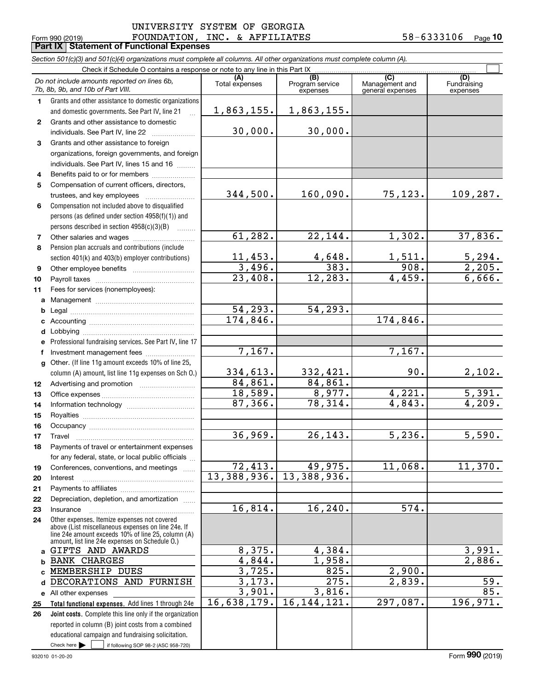Fundraising

 $\mathcal{L}^{\text{max}}$ 

**(A)(C)** (C) (C)<br>
penses Program service Management and Fundrai<br>
expenses general expenses expen **1***Section 501(c)(3) and 501(c)(4) organizations must complete all columns. All other organizations must complete column (A).* Grants and other assistance to domestic organizations and domestic governments. See Part IV, line 21 Form 990 (2019) FOUNDATION, INC. & AFFILIATES 58-6333106 <sub>Page</sub> Check if Schedule O contains a response or note to any line in this Part IX.<br>  $\frac{1}{2}$ <br>  $\frac{1}{2}$ <br>
(B) Program service expenses*Do not include amounts reported on lines 6b, 7b, 8b, 9b, and 10b of Part VIII.* **Part IX Statement of Functional Expenses** 1,863,155. 1,863,155.

|                | 70, 80, 90, and 100 01 Part VIII.                                                                              |                       | expenses                     | general expenses | expenses                |
|----------------|----------------------------------------------------------------------------------------------------------------|-----------------------|------------------------------|------------------|-------------------------|
| $\mathbf 1$    | Grants and other assistance to domestic organizations                                                          |                       |                              |                  |                         |
|                | and domestic governments. See Part IV, line 21<br>Grants and other assistance to domestic                      | 1,863,155.            | 1,863,155.                   |                  |                         |
| $\mathbf{2}$   | individuals. See Part IV, line 22                                                                              | 30,000.               | 30,000.                      |                  |                         |
| 3              | Grants and other assistance to foreign                                                                         |                       |                              |                  |                         |
|                | organizations, foreign governments, and foreign                                                                |                       |                              |                  |                         |
|                | individuals. See Part IV, lines 15 and 16                                                                      |                       |                              |                  |                         |
| 4              | Benefits paid to or for members                                                                                |                       |                              |                  |                         |
| 5              | Compensation of current officers, directors,                                                                   |                       |                              |                  |                         |
|                | trustees, and key employees                                                                                    | 344,500.              | 160,090.                     | 75,123.          | 109,287.                |
| 6              | Compensation not included above to disqualified                                                                |                       |                              |                  |                         |
|                | persons (as defined under section 4958(f)(1)) and                                                              |                       |                              |                  |                         |
|                | persons described in section 4958(c)(3)(B)                                                                     |                       |                              |                  |                         |
| $\overline{7}$ | Other salaries and wages                                                                                       | 61,282.               | 22,144.                      | 1,302.           | 37,836.                 |
| 8              | Pension plan accruals and contributions (include                                                               |                       |                              |                  |                         |
|                | section 401(k) and 403(b) employer contributions)                                                              | 11,453.<br>3,496.     | 4,648.<br>$\overline{383}$ . | 1,511.<br>908.   | $\frac{5,294}{2,205}$   |
| 9              |                                                                                                                | $\overline{23,408}$ . | 12, 283.                     | 4,459.           | 6,666.                  |
| 10<br>11       | Fees for services (nonemployees):                                                                              |                       |                              |                  |                         |
|                |                                                                                                                |                       |                              |                  |                         |
|                |                                                                                                                | 54, 293.              | 54,293.                      |                  |                         |
|                |                                                                                                                | 174,846.              |                              | 174,846.         |                         |
|                |                                                                                                                |                       |                              |                  |                         |
| е              | Professional fundraising services. See Part IV, line 17                                                        |                       |                              |                  |                         |
| f              | Investment management fees                                                                                     | 7,167.                |                              | 7,167.           |                         |
|                | g Other. (If line 11g amount exceeds 10% of line 25,                                                           |                       |                              |                  |                         |
|                | column (A) amount, list line 11g expenses on Sch O.)                                                           | 334,613.              | 332,421.                     | 90.              | 2,102.                  |
| 12             |                                                                                                                | 84,861.               | 84,861.                      |                  |                         |
| 13             |                                                                                                                | 18,589.               | $\frac{8,977}{78,314}$       | 4,221.           | $\frac{5,391.}{4,209.}$ |
| 14             |                                                                                                                | 87,366.               |                              | 4,843.           |                         |
| 15             |                                                                                                                |                       |                              |                  |                         |
| 16             |                                                                                                                | 36,969.               | 26, 143.                     | 5,236.           |                         |
| 17             | Travel                                                                                                         |                       |                              |                  | 5,590.                  |
| 18             | Payments of travel or entertainment expenses                                                                   |                       |                              |                  |                         |
| 19             | for any federal, state, or local public officials<br>Conferences, conventions, and meetings                    | 72, 413.              | 49,975.                      | 11,068.          | 11,370.                 |
| 20             | Interest                                                                                                       |                       | 13, 388, 936. 13, 388, 936.  |                  |                         |
| 21             |                                                                                                                |                       |                              |                  |                         |
| 22             | Depreciation, depletion, and amortization                                                                      |                       |                              |                  |                         |
| 23             | Insurance                                                                                                      | 16,814.               | 16, 240.                     | 574.             |                         |
| 24             | Other expenses. Itemize expenses not covered                                                                   |                       |                              |                  |                         |
|                | above (List miscellaneous expenses on line 24e. If<br>line 24e amount exceeds 10% of line 25, column (A)       |                       |                              |                  |                         |
|                | amount, list line 24e expenses on Schedule O.)                                                                 |                       |                              |                  |                         |
| a              | GIFTS AND AWARDS                                                                                               | 8,375.                | 4,384.                       |                  | 3,991.                  |
| b              | <b>BANK CHARGES</b>                                                                                            | 4,844.                | 1,958.                       |                  | 2,886.                  |
|                | MEMBERSHIP DUES                                                                                                | 3,725.                | 825.                         | 2,900.           |                         |
| d              | DECORATIONS AND<br>FURNISH                                                                                     | 3,173.                | 275.                         | 2,839.           | 59.<br>85.              |
|                | e All other expenses                                                                                           | 3,901.<br>16,638,179. | 3,816.<br>16, 144, 121.      | 297,087.         | 196, 971.               |
| 25<br>26       | Total functional expenses. Add lines 1 through 24e<br>Joint costs. Complete this line only if the organization |                       |                              |                  |                         |
|                | reported in column (B) joint costs from a combined                                                             |                       |                              |                  |                         |
|                | educational campaign and fundraising solicitation.                                                             |                       |                              |                  |                         |
|                | Check here<br>if following SOP 98-2 (ASC 958-720)                                                              |                       |                              |                  |                         |
|                |                                                                                                                |                       |                              |                  |                         |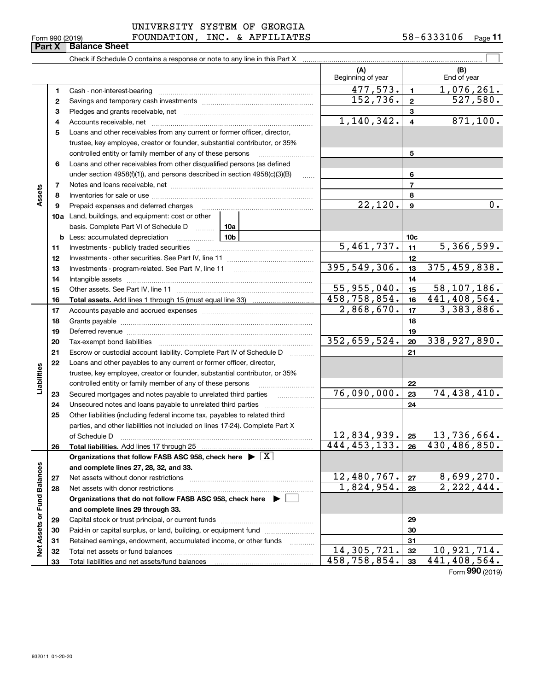**33**

Total liabilities and net assets/fund balances

| UNIVERSITY SYSTEM OF GEORGIA  |  |  |
|-------------------------------|--|--|
| שמחגד זדמת ג' הזור יותרתותההח |  |  |

 $\mathcal{L}^{\text{max}}$ Check if Schedule O contains a response or note to any line in this Part X **(A) (B)** Beginning of year | | End of year 477,573. 1,076,261. **11**Cash - non-interest-bearing ~~~~~~~~~~~~~~~~~~~~~~~~~  $152,736.$  2 527,580. **22**Savings and temporary cash investments ~~~~~~~~~~~~~~~~~~**33**Pledges and grants receivable, net ~~~~~~~~~~~~~~~~~~~~~ $1,140,342.$   $4 \mid 871,100.$ Accounts receivable, net ~~~~~~~~~~~~~~~~~~~~~~~~~~ **445**Loans and other receivables from any current or former officer, director, trustee, key employee, creator or founder, substantial contributor, or 35% controlled entity or family member of any of these persons ~~~~~~~~~ **56**Loans and other receivables from other disqualified persons (as defined under section  $4958(f)(1)$ , and persons described in section  $4958(c)(3)(B)$ **677**Notes and loans receivable, net ~~~~~~~~~~~~~~~~~~~~~~~ **Assets 88**Inventories for sale or use ~~~~~~~~~~~~~~~~~~~~~~~~~~Prepaid expenses and deferred charges  $22,120.$  |  $9$  |  $0.$ **9910a**Land, buildings, and equipment: cost or other basis. Complete Part VI of Schedule D will aller **10cb** Less: accumulated depreciation  $\ldots$  **10b**  $5,461,737.$  11 5,366,599. **1111**Investments - publicly traded securities ~~~~~~~~~~~~~~~~~~~ **1212**Investments - other securities. See Part IV, line 11 ~~~~~~~~~~~~~~ 395,549,306. 33 375,459,838. **1313**Investments - program-related. See Part IV, line 11 ~~~~~~~~~~~~~**1414**Intangible assets ~~~~~~~~~~~~~~~~~~~~~~~~~~~~~~  $55,955,040.$   $15$  58,107,186. Other assets. See Part IV, line 11 ~~~~~~~~~~~~~~~~~~~~~~ **1515**458,758,854. 441,408,564. **1616Total assets.**  Add lines 1 through 15 (must equal line 33)  $2,868,670.$  17 3,383,886. **1717**Accounts payable and accrued expenses ~~~~~~~~~~~~~~~~~~ **1818**Grants payable ~~~~~~~~~~~~~~~~~~~~~~~~~~~~~~~ **1919**Deferred revenue ~~~~~~~~~~~~~~~~~~~~~~~~~~~~~~ 352,659,524. 338,927,890. **2020**Tax-exempt bond liabilities …………………………………………………………… Escrow or custodial account liability. Complete Part IV of Schedule D **212122**Loans and other payables to any current or former officer, director, iabilities **Liabilities** trustee, key employee, creator or founder, substantial contributor, or 35% controlled entity or family member of any of these persons ~~~~~~~~~**22**76,090,000. 74,438,410. **23**Secured mortgages and notes payable to unrelated third parties **23**Unsecured notes and loans payable to unrelated third parties ~~~~~~~~ **242425**Other liabilities (including federal income tax, payables to related third parties, and other liabilities not included on lines 17-24). Complete Part X  $12,834,939$ . |  $25$  | 13,736,664. **25**of Schedule D ~~~~~~~~~~~~~~~~~~~~~~~~~~~~~~~ 444,453,133. 430,486,850. **2626Total liabilities.**  Add lines 17 through 25 **Organizations that follow FASB ASC 958, check here** | X **Assets or Fund Balances Net Assets or Fund Balances and complete lines 27, 28, 32, and 33.**  $12,480,767.$   $27 \mid 8,699,270.$ **2727**Net assets without donor restrictions ~~~~~~~~~~~~~~~~~~~~ 1,824,954. 2,222,444. **2828**Net assets with donor restrictions ~~~~~~~~~~~~~~~~~~~~~~ **Organizations that do not follow FASB ASC 958, check here** | **and complete lines 29 through 33. 2929**Capital stock or trust principal, or current funds ~~~~~~~~~~~~~~~**3030**Paid-in or capital surplus, or land, building, or equipment fund www.commun.com **3131**Retained earnings, endowment, accumulated income, or other funds www.com Total net assets or fund balances ~~~~~~~~~~~~~~~~~~~~~~  $14,305,721. |32 | 10,921,714.$ **3232**458,758,854. 441,408,564.

Form (2019) **990**

**33**

# **Part X** | **Balance Sheet**

|  | Form 990 (2019) |  |
|--|-----------------|--|
|  |                 |  |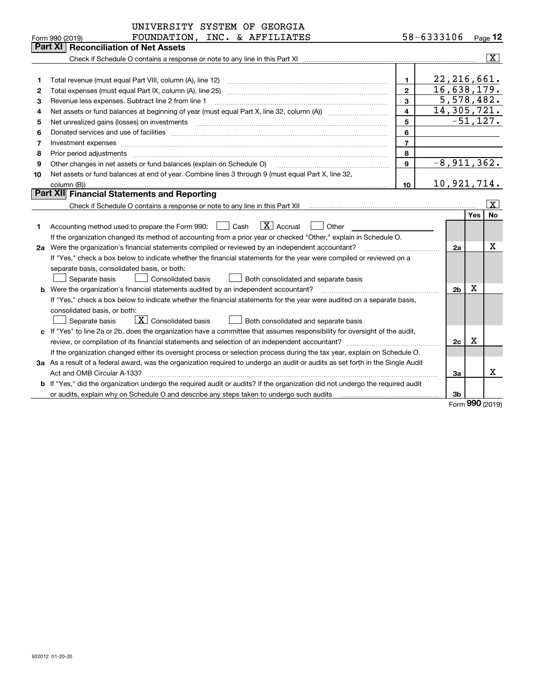|              | FOUNDATION, INC. & AFFILIATES<br>Form 990 (2019)                                                                                                                                                                               |                          | 58-6333106 |                           |     | Page 12                 |
|--------------|--------------------------------------------------------------------------------------------------------------------------------------------------------------------------------------------------------------------------------|--------------------------|------------|---------------------------|-----|-------------------------|
|              | <b>Part XI   Reconciliation of Net Assets</b>                                                                                                                                                                                  |                          |            |                           |     |                         |
|              |                                                                                                                                                                                                                                |                          |            |                           |     | $\overline{\mathbf{x}}$ |
|              |                                                                                                                                                                                                                                |                          |            |                           |     |                         |
| 1            | Total revenue (must equal Part VIII, column (A), line 12)                                                                                                                                                                      | $\blacksquare$           |            | 22, 216, 661.             |     |                         |
| $\mathbf{2}$ |                                                                                                                                                                                                                                | $\overline{2}$           |            | $\overline{16,638,179}$ . |     |                         |
| з            | Revenue less expenses. Subtract line 2 from line 1                                                                                                                                                                             | 3                        |            | 5,578,482.                |     |                         |
| 4            |                                                                                                                                                                                                                                | $\overline{\mathbf{4}}$  |            | 14,305,721.               |     |                         |
| 5            |                                                                                                                                                                                                                                | 5                        |            |                           |     | $-51,127.$              |
| 6            | Donated services and use of facilities [111] processes and the service of facilities [11] processes and use of facilities [11] processes and the service of facilities [11] processes and the service of the service of the se | 6                        |            |                           |     |                         |
| 7            | Investment expenses with a construction of the construction of the construction of the construction of the construction of the construction of the construction of the construction of the construction of the construction of | $\overline{\phantom{a}}$ |            |                           |     |                         |
| 8            | Prior period adjustments material contents and content of the content of the content of the content of the content of the content of the content of the content of the content of the content of the content of the content of | 8                        |            |                           |     |                         |
| 9            | Other changes in net assets or fund balances (explain on Schedule O)                                                                                                                                                           | $\mathbf{9}$             |            | $-8,911,362.$             |     |                         |
| 10           | Net assets or fund balances at end of year. Combine lines 3 through 9 (must equal Part X, line 32,                                                                                                                             |                          |            |                           |     |                         |
|              | column (B))                                                                                                                                                                                                                    | 10                       |            | 10,921,714.               |     |                         |
|              | Part XII Financial Statements and Reporting                                                                                                                                                                                    |                          |            |                           |     |                         |
|              |                                                                                                                                                                                                                                |                          |            |                           |     | $\overline{\mathbf{X}}$ |
|              |                                                                                                                                                                                                                                |                          |            |                           | Yes | No                      |
| 1            | $\boxed{\mathbf{X}}$ Accrual<br>Cash<br>Other<br>Accounting method used to prepare the Form 990:                                                                                                                               |                          |            |                           |     |                         |
|              | If the organization changed its method of accounting from a prior year or checked "Other," explain in Schedule O.                                                                                                              |                          |            |                           |     |                         |
|              | 2a Were the organization's financial statements compiled or reviewed by an independent accountant?                                                                                                                             |                          |            |                           |     | х                       |
|              | If "Yes," check a box below to indicate whether the financial statements for the year were compiled or reviewed on a                                                                                                           |                          |            |                           |     |                         |
|              | separate basis, consolidated basis, or both:                                                                                                                                                                                   |                          |            |                           |     |                         |
|              | Separate basis<br><b>Consolidated basis</b><br>Both consolidated and separate basis                                                                                                                                            |                          |            |                           |     |                         |
|              | <b>b</b> Were the organization's financial statements audited by an independent accountant?                                                                                                                                    |                          |            | 2 <sub>b</sub>            | X   |                         |
|              | If "Yes," check a box below to indicate whether the financial statements for the year were audited on a separate basis,                                                                                                        |                          |            |                           |     |                         |
|              | consolidated basis, or both:                                                                                                                                                                                                   |                          |            |                           |     |                         |
|              | $\boxed{\textbf{X}}$ Consolidated basis<br>Both consolidated and separate basis<br>Separate basis                                                                                                                              |                          |            |                           |     |                         |
|              | c If "Yes" to line 2a or 2b, does the organization have a committee that assumes responsibility for oversight of the audit,                                                                                                    |                          |            |                           |     |                         |
|              |                                                                                                                                                                                                                                |                          |            | 2c                        | X   |                         |
|              | If the organization changed either its oversight process or selection process during the tax year, explain on Schedule O.                                                                                                      |                          |            |                           |     |                         |
|              | 3a As a result of a federal award, was the organization required to undergo an audit or audits as set forth in the Single Audit                                                                                                |                          |            |                           |     |                         |
|              |                                                                                                                                                                                                                                |                          |            | 3a                        |     | X                       |
|              | <b>b</b> If "Yes," did the organization undergo the required audit or audits? If the organization did not undergo the required audit                                                                                           |                          |            |                           |     |                         |
|              | or audits, explain why on Schedule O and describe any steps taken to undergo such audits matured content conte                                                                                                                 |                          |            | 3b                        |     |                         |
|              |                                                                                                                                                                                                                                |                          |            |                           |     | Form 990 (2019)         |
|              |                                                                                                                                                                                                                                |                          |            |                           |     |                         |
|              |                                                                                                                                                                                                                                |                          |            |                           |     |                         |
|              |                                                                                                                                                                                                                                |                          |            |                           |     |                         |
|              |                                                                                                                                                                                                                                |                          |            |                           |     |                         |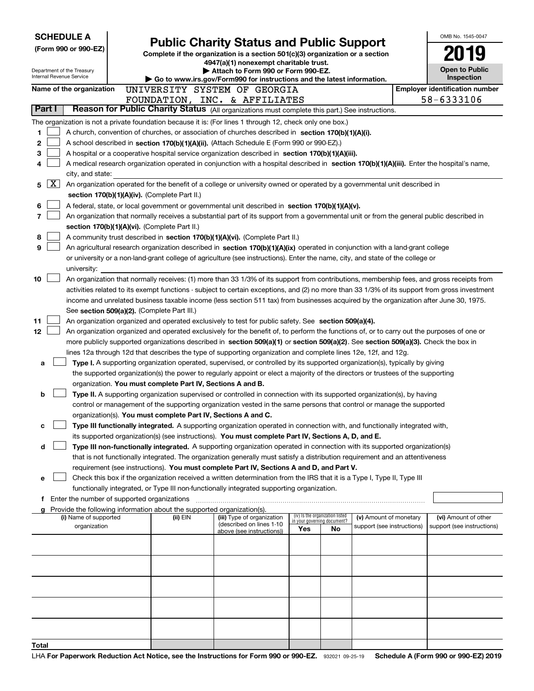| <b>SCHEDULE A</b> |   |                                                        | <b>Public Charity Status and Public Support</b>                        |                                                                                                                                                                                                                                                                                            |                             |                                 | OMB No. 1545-0047                                    |                                                    |
|-------------------|---|--------------------------------------------------------|------------------------------------------------------------------------|--------------------------------------------------------------------------------------------------------------------------------------------------------------------------------------------------------------------------------------------------------------------------------------------|-----------------------------|---------------------------------|------------------------------------------------------|----------------------------------------------------|
|                   |   | (Form 990 or 990-EZ)                                   |                                                                        | Complete if the organization is a section 501(c)(3) organization or a section                                                                                                                                                                                                              |                             |                                 |                                                      |                                                    |
|                   |   |                                                        |                                                                        | 4947(a)(1) nonexempt charitable trust.                                                                                                                                                                                                                                                     |                             |                                 |                                                      |                                                    |
|                   |   | Department of the Treasury<br>Internal Revenue Service |                                                                        | Attach to Form 990 or Form 990-EZ.                                                                                                                                                                                                                                                         |                             |                                 |                                                      | Open to Public                                     |
|                   |   |                                                        |                                                                        | Go to www.irs.gov/Form990 for instructions and the latest information.                                                                                                                                                                                                                     |                             |                                 |                                                      | Inspection                                         |
|                   |   | Name of the organization                               |                                                                        | UNIVERSITY SYSTEM OF GEORGIA                                                                                                                                                                                                                                                               |                             |                                 |                                                      | <b>Employer identification number</b>              |
| Part I            |   |                                                        |                                                                        | FOUNDATION, INC. & AFFILIATES<br>Reason for Public Charity Status (All organizations must complete this part.) See instructions.                                                                                                                                                           |                             |                                 |                                                      | 58-6333106                                         |
|                   |   |                                                        |                                                                        |                                                                                                                                                                                                                                                                                            |                             |                                 |                                                      |                                                    |
| 1                 |   |                                                        |                                                                        | The organization is not a private foundation because it is: (For lines 1 through 12, check only one box.)<br>A church, convention of churches, or association of churches described in section 170(b)(1)(A)(i).                                                                            |                             |                                 |                                                      |                                                    |
| 2                 |   |                                                        |                                                                        | A school described in section 170(b)(1)(A)(ii). (Attach Schedule E (Form 990 or 990-EZ).)                                                                                                                                                                                                  |                             |                                 |                                                      |                                                    |
| 3                 |   |                                                        |                                                                        | A hospital or a cooperative hospital service organization described in section 170(b)(1)(A)(iii).                                                                                                                                                                                          |                             |                                 |                                                      |                                                    |
| 4                 |   |                                                        |                                                                        | A medical research organization operated in conjunction with a hospital described in section 170(b)(1)(A)(iii). Enter the hospital's name,                                                                                                                                                 |                             |                                 |                                                      |                                                    |
|                   |   | city, and state:                                       |                                                                        |                                                                                                                                                                                                                                                                                            |                             |                                 |                                                      |                                                    |
| 5                 | X |                                                        |                                                                        | An organization operated for the benefit of a college or university owned or operated by a governmental unit described in                                                                                                                                                                  |                             |                                 |                                                      |                                                    |
|                   |   |                                                        | section 170(b)(1)(A)(iv). (Complete Part II.)                          |                                                                                                                                                                                                                                                                                            |                             |                                 |                                                      |                                                    |
| 6                 |   |                                                        |                                                                        | A federal, state, or local government or governmental unit described in section 170(b)(1)(A)(v).                                                                                                                                                                                           |                             |                                 |                                                      |                                                    |
| 7                 |   |                                                        |                                                                        | An organization that normally receives a substantial part of its support from a governmental unit or from the general public described in                                                                                                                                                  |                             |                                 |                                                      |                                                    |
|                   |   |                                                        | section 170(b)(1)(A)(vi). (Complete Part II.)                          |                                                                                                                                                                                                                                                                                            |                             |                                 |                                                      |                                                    |
| 8                 |   |                                                        |                                                                        | A community trust described in section 170(b)(1)(A)(vi). (Complete Part II.)                                                                                                                                                                                                               |                             |                                 |                                                      |                                                    |
| 9                 |   |                                                        |                                                                        | An agricultural research organization described in section 170(b)(1)(A)(ix) operated in conjunction with a land-grant college                                                                                                                                                              |                             |                                 |                                                      |                                                    |
|                   |   |                                                        |                                                                        | or university or a non-land-grant college of agriculture (see instructions). Enter the name, city, and state of the college or                                                                                                                                                             |                             |                                 |                                                      |                                                    |
|                   |   | university:                                            |                                                                        |                                                                                                                                                                                                                                                                                            |                             |                                 |                                                      |                                                    |
| 10                |   |                                                        |                                                                        | An organization that normally receives: (1) more than 33 1/3% of its support from contributions, membership fees, and gross receipts from<br>activities related to its exempt functions - subject to certain exceptions, and (2) no more than 33 1/3% of its support from gross investment |                             |                                 |                                                      |                                                    |
|                   |   |                                                        |                                                                        | income and unrelated business taxable income (less section 511 tax) from businesses acquired by the organization after June 30, 1975.                                                                                                                                                      |                             |                                 |                                                      |                                                    |
|                   |   |                                                        | See section 509(a)(2). (Complete Part III.)                            |                                                                                                                                                                                                                                                                                            |                             |                                 |                                                      |                                                    |
| 11                |   |                                                        |                                                                        | An organization organized and operated exclusively to test for public safety. See section 509(a)(4).                                                                                                                                                                                       |                             |                                 |                                                      |                                                    |
| 12                |   |                                                        |                                                                        | An organization organized and operated exclusively for the benefit of, to perform the functions of, or to carry out the purposes of one or                                                                                                                                                 |                             |                                 |                                                      |                                                    |
|                   |   |                                                        |                                                                        | more publicly supported organizations described in section 509(a)(1) or section 509(a)(2). See section 509(a)(3). Check the box in                                                                                                                                                         |                             |                                 |                                                      |                                                    |
|                   |   |                                                        |                                                                        | lines 12a through 12d that describes the type of supporting organization and complete lines 12e, 12f, and 12g.                                                                                                                                                                             |                             |                                 |                                                      |                                                    |
| a                 |   |                                                        |                                                                        | Type I. A supporting organization operated, supervised, or controlled by its supported organization(s), typically by giving                                                                                                                                                                |                             |                                 |                                                      |                                                    |
|                   |   |                                                        |                                                                        | the supported organization(s) the power to regularly appoint or elect a majority of the directors or trustees of the supporting                                                                                                                                                            |                             |                                 |                                                      |                                                    |
|                   |   |                                                        | organization. You must complete Part IV, Sections A and B.             |                                                                                                                                                                                                                                                                                            |                             |                                 |                                                      |                                                    |
| b                 |   |                                                        |                                                                        | Type II. A supporting organization supervised or controlled in connection with its supported organization(s), by having                                                                                                                                                                    |                             |                                 |                                                      |                                                    |
|                   |   |                                                        |                                                                        | control or management of the supporting organization vested in the same persons that control or manage the supported                                                                                                                                                                       |                             |                                 |                                                      |                                                    |
|                   |   |                                                        | organization(s). You must complete Part IV, Sections A and C.          |                                                                                                                                                                                                                                                                                            |                             |                                 |                                                      |                                                    |
| с                 |   |                                                        |                                                                        | Type III functionally integrated. A supporting organization operated in connection with, and functionally integrated with,<br>its supported organization(s) (see instructions). You must complete Part IV, Sections A, D, and E.                                                           |                             |                                 |                                                      |                                                    |
| d                 |   |                                                        |                                                                        | Type III non-functionally integrated. A supporting organization operated in connection with its supported organization(s)                                                                                                                                                                  |                             |                                 |                                                      |                                                    |
|                   |   |                                                        |                                                                        | that is not functionally integrated. The organization generally must satisfy a distribution requirement and an attentiveness                                                                                                                                                               |                             |                                 |                                                      |                                                    |
|                   |   |                                                        |                                                                        | requirement (see instructions). You must complete Part IV, Sections A and D, and Part V.                                                                                                                                                                                                   |                             |                                 |                                                      |                                                    |
| е                 |   |                                                        |                                                                        | Check this box if the organization received a written determination from the IRS that it is a Type I, Type II, Type III                                                                                                                                                                    |                             |                                 |                                                      |                                                    |
|                   |   |                                                        |                                                                        | functionally integrated, or Type III non-functionally integrated supporting organization.                                                                                                                                                                                                  |                             |                                 |                                                      |                                                    |
|                   |   | <b>f</b> Enter the number of supported organizations   |                                                                        |                                                                                                                                                                                                                                                                                            |                             |                                 |                                                      |                                                    |
|                   |   |                                                        | Provide the following information about the supported organization(s). |                                                                                                                                                                                                                                                                                            |                             |                                 |                                                      |                                                    |
|                   |   | (i) Name of supported<br>organization                  | (ii) EIN                                                               | (iii) Type of organization<br>(described on lines 1-10                                                                                                                                                                                                                                     | in your governing document? | (iv) Is the organization listed | (v) Amount of monetary<br>support (see instructions) | (vi) Amount of other<br>support (see instructions) |
|                   |   |                                                        |                                                                        | above (see instructions))                                                                                                                                                                                                                                                                  | Yes                         | No                              |                                                      |                                                    |
|                   |   |                                                        |                                                                        |                                                                                                                                                                                                                                                                                            |                             |                                 |                                                      |                                                    |
|                   |   |                                                        |                                                                        |                                                                                                                                                                                                                                                                                            |                             |                                 |                                                      |                                                    |
|                   |   |                                                        |                                                                        |                                                                                                                                                                                                                                                                                            |                             |                                 |                                                      |                                                    |
|                   |   |                                                        |                                                                        |                                                                                                                                                                                                                                                                                            |                             |                                 |                                                      |                                                    |
|                   |   |                                                        |                                                                        |                                                                                                                                                                                                                                                                                            |                             |                                 |                                                      |                                                    |
|                   |   |                                                        |                                                                        |                                                                                                                                                                                                                                                                                            |                             |                                 |                                                      |                                                    |
|                   |   |                                                        |                                                                        |                                                                                                                                                                                                                                                                                            |                             |                                 |                                                      |                                                    |
|                   |   |                                                        |                                                                        |                                                                                                                                                                                                                                                                                            |                             |                                 |                                                      |                                                    |
|                   |   |                                                        |                                                                        |                                                                                                                                                                                                                                                                                            |                             |                                 |                                                      |                                                    |
| Total             |   |                                                        |                                                                        |                                                                                                                                                                                                                                                                                            |                             |                                 |                                                      |                                                    |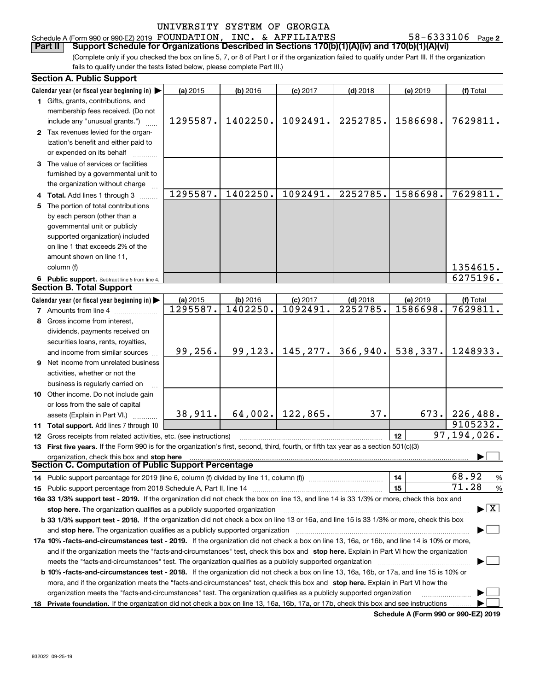# Schedule A (Form 990 or 990-EZ) 2019  $\, {\rm FOUNDATION}$  ,  $\, {\rm INC.} \,$  &  $\, {\rm AFFILLATES} \qquad \qquad 58-6333106 \quad$  Page

**2 Part II Support Schedule for Organizations Described in Sections 170(b)(1)(A)(iv) and 170(b)(1)(A)(vi)** 

(Complete only if you checked the box on line 5, 7, or 8 of Part I or if the organization failed to qualify under Part III. If the organization fails to qualify under the tests listed below, please complete Part III.)

|   | <b>Section A. Public Support</b>                                                                                                               |          |                      |                        |                        |                      |                                          |  |  |
|---|------------------------------------------------------------------------------------------------------------------------------------------------|----------|----------------------|------------------------|------------------------|----------------------|------------------------------------------|--|--|
|   | Calendar year (or fiscal year beginning in) $\blacktriangleright$                                                                              | (a) 2015 | $(b)$ 2016           | $(c)$ 2017             | $(d)$ 2018             | (e) 2019             | (f) Total                                |  |  |
|   | 1 Gifts, grants, contributions, and                                                                                                            |          |                      |                        |                        |                      |                                          |  |  |
|   | membership fees received. (Do not                                                                                                              |          |                      |                        |                        |                      |                                          |  |  |
|   | include any "unusual grants.")                                                                                                                 | 1295587. | 1402250.             | 1092491.               | 2252785.               | 1586698.             | 7629811.                                 |  |  |
|   | 2 Tax revenues levied for the organ-                                                                                                           |          |                      |                        |                        |                      |                                          |  |  |
|   | ization's benefit and either paid to                                                                                                           |          |                      |                        |                        |                      |                                          |  |  |
|   | or expended on its behalf                                                                                                                      |          |                      |                        |                        |                      |                                          |  |  |
|   | 3 The value of services or facilities                                                                                                          |          |                      |                        |                        |                      |                                          |  |  |
|   | furnished by a governmental unit to                                                                                                            |          |                      |                        |                        |                      |                                          |  |  |
|   | the organization without charge                                                                                                                |          |                      |                        |                        |                      |                                          |  |  |
|   | 4 Total. Add lines 1 through 3                                                                                                                 | 1295587. | 1402250.             | 1092491.               | 2252785.               | 1586698.             | 7629811.                                 |  |  |
|   | 5 The portion of total contributions                                                                                                           |          |                      |                        |                        |                      |                                          |  |  |
|   | by each person (other than a                                                                                                                   |          |                      |                        |                        |                      |                                          |  |  |
|   | governmental unit or publicly                                                                                                                  |          |                      |                        |                        |                      |                                          |  |  |
|   | supported organization) included                                                                                                               |          |                      |                        |                        |                      |                                          |  |  |
|   | on line 1 that exceeds 2% of the                                                                                                               |          |                      |                        |                        |                      |                                          |  |  |
|   | amount shown on line 11,                                                                                                                       |          |                      |                        |                        |                      |                                          |  |  |
|   | column (f)                                                                                                                                     |          |                      |                        |                        |                      | 1354615.                                 |  |  |
|   |                                                                                                                                                |          |                      |                        |                        |                      | 6275196.                                 |  |  |
|   | 6 Public support. Subtract line 5 from line 4.<br><b>Section B. Total Support</b>                                                              |          |                      |                        |                        |                      |                                          |  |  |
|   |                                                                                                                                                |          |                      |                        |                        |                      |                                          |  |  |
|   | Calendar year (or fiscal year beginning in) $\blacktriangleright$                                                                              | (a) 2015 | (b) 2016<br>1402250. | $(c)$ 2017<br>1092491. | $(d)$ 2018<br>2252785. | (e) 2019<br>1586698. | (f) Total<br>7629811.                    |  |  |
|   | <b>7</b> Amounts from line 4                                                                                                                   | 1295587. |                      |                        |                        |                      |                                          |  |  |
| 8 | Gross income from interest,                                                                                                                    |          |                      |                        |                        |                      |                                          |  |  |
|   | dividends, payments received on                                                                                                                |          |                      |                        |                        |                      |                                          |  |  |
|   | securities loans, rents, royalties,                                                                                                            |          |                      |                        |                        |                      |                                          |  |  |
|   | and income from similar sources                                                                                                                | 99,256.  | 99, 123.             | 145,277.               | 366,940.               | 538,337.             | 1248933.                                 |  |  |
|   | 9 Net income from unrelated business                                                                                                           |          |                      |                        |                        |                      |                                          |  |  |
|   | activities, whether or not the                                                                                                                 |          |                      |                        |                        |                      |                                          |  |  |
|   | business is regularly carried on                                                                                                               |          |                      |                        |                        |                      |                                          |  |  |
|   | 10 Other income. Do not include gain                                                                                                           |          |                      |                        |                        |                      |                                          |  |  |
|   | or loss from the sale of capital                                                                                                               |          |                      |                        |                        |                      |                                          |  |  |
|   | assets (Explain in Part VI.)                                                                                                                   | 38,911.  | 64,002.              | 122,865.               | 37.                    | 673.                 | 226,488.                                 |  |  |
|   | 11 Total support. Add lines 7 through 10                                                                                                       |          |                      |                        |                        |                      | 9105232.                                 |  |  |
|   | 12 Gross receipts from related activities, etc. (see instructions)                                                                             |          |                      |                        |                        | 12                   | $\overline{97,194,026}$ .                |  |  |
|   | 13 First five years. If the Form 990 is for the organization's first, second, third, fourth, or fifth tax year as a section 501(c)(3)          |          |                      |                        |                        |                      |                                          |  |  |
|   | organization, check this box and stop here                                                                                                     |          |                      |                        |                        |                      |                                          |  |  |
|   | Section C. Computation of Public Support Percentage                                                                                            |          |                      |                        |                        |                      |                                          |  |  |
|   | 14 Public support percentage for 2019 (line 6, column (f) divided by line 11, column (f) <i>mummumumum</i>                                     |          |                      |                        |                        | 14                   | 68.92<br>$\frac{9}{6}$                   |  |  |
|   |                                                                                                                                                |          |                      |                        |                        | 15                   | 71.28<br>%                               |  |  |
|   | 16a 33 1/3% support test - 2019. If the organization did not check the box on line 13, and line 14 is 33 1/3% or more, check this box and      |          |                      |                        |                        |                      |                                          |  |  |
|   | stop here. The organization qualifies as a publicly supported organization                                                                     |          |                      |                        |                        |                      | $\blacktriangleright$ $\boxed{\text{X}}$ |  |  |
|   | b 33 1/3% support test - 2018. If the organization did not check a box on line 13 or 16a, and line 15 is 33 1/3% or more, check this box       |          |                      |                        |                        |                      |                                          |  |  |
|   | and stop here. The organization qualifies as a publicly supported organization [11] [11] [11] [12] [12] [12] [                                 |          |                      |                        |                        |                      |                                          |  |  |
|   | 17a 10% -facts-and-circumstances test - 2019. If the organization did not check a box on line 13, 16a, or 16b, and line 14 is 10% or more,     |          |                      |                        |                        |                      |                                          |  |  |
|   | and if the organization meets the "facts-and-circumstances" test, check this box and stop here. Explain in Part VI how the organization        |          |                      |                        |                        |                      |                                          |  |  |
|   | meets the "facts-and-circumstances" test. The organization qualifies as a publicly supported organization                                      |          |                      |                        |                        |                      |                                          |  |  |
|   | <b>b 10% -facts-and-circumstances test - 2018.</b> If the organization did not check a box on line 13, 16a, 16b, or 17a, and line 15 is 10% or |          |                      |                        |                        |                      |                                          |  |  |
|   | more, and if the organization meets the "facts-and-circumstances" test, check this box and stop here. Explain in Part VI how the               |          |                      |                        |                        |                      |                                          |  |  |
|   |                                                                                                                                                |          |                      |                        |                        |                      |                                          |  |  |
|   | organization meets the "facts-and-circumstances" test. The organization qualifies as a publicly supported organization                         |          |                      |                        |                        |                      |                                          |  |  |
|   | 18 Private foundation. If the organization did not check a box on line 13, 16a, 16b, 17a, or 17b, check this box and see instructions          |          |                      |                        |                        |                      |                                          |  |  |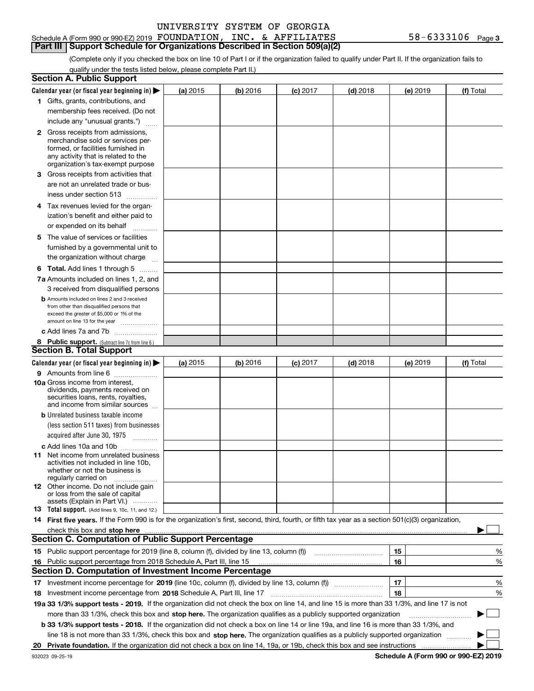| UNIVERSITY SYSTEM OF GEORGIA |  |  |
|------------------------------|--|--|
|                              |  |  |

#### Schedule A (Form 990 or 990-EZ) 2019 FOUNDATION, **Part III Support Schedule for Organizations Described in Section 509(a)(2)**  INC. & AFFILIATES

(Complete only if you checked the box on line 10 of Part I or if the organization failed to qualify under Part II. If the organization fails to qualify under the tests listed below, please complete Part II.)

|     | <b>Section A. Public Support</b>                                                                                                                                                                                                                                         |            |          |                 |            |          |           |  |  |
|-----|--------------------------------------------------------------------------------------------------------------------------------------------------------------------------------------------------------------------------------------------------------------------------|------------|----------|-----------------|------------|----------|-----------|--|--|
|     | Calendar year (or fiscal year beginning in) $\blacktriangleright$                                                                                                                                                                                                        | (a) 2015   | (b) 2016 | <b>(c)</b> 2017 | $(d)$ 2018 | (e) 2019 | (f) Total |  |  |
|     | 1 Gifts, grants, contributions, and                                                                                                                                                                                                                                      |            |          |                 |            |          |           |  |  |
|     | membership fees received. (Do not                                                                                                                                                                                                                                        |            |          |                 |            |          |           |  |  |
|     | include any "unusual grants.")                                                                                                                                                                                                                                           |            |          |                 |            |          |           |  |  |
|     | <b>2</b> Gross receipts from admissions,                                                                                                                                                                                                                                 |            |          |                 |            |          |           |  |  |
|     | merchandise sold or services per-                                                                                                                                                                                                                                        |            |          |                 |            |          |           |  |  |
|     | formed, or facilities furnished in                                                                                                                                                                                                                                       |            |          |                 |            |          |           |  |  |
|     | any activity that is related to the<br>organization's tax-exempt purpose                                                                                                                                                                                                 |            |          |                 |            |          |           |  |  |
|     |                                                                                                                                                                                                                                                                          |            |          |                 |            |          |           |  |  |
|     | 3 Gross receipts from activities that                                                                                                                                                                                                                                    |            |          |                 |            |          |           |  |  |
|     | are not an unrelated trade or bus-                                                                                                                                                                                                                                       |            |          |                 |            |          |           |  |  |
|     | iness under section 513                                                                                                                                                                                                                                                  |            |          |                 |            |          |           |  |  |
|     | 4 Tax revenues levied for the organ-                                                                                                                                                                                                                                     |            |          |                 |            |          |           |  |  |
|     | ization's benefit and either paid to                                                                                                                                                                                                                                     |            |          |                 |            |          |           |  |  |
|     | or expended on its behalf<br>.                                                                                                                                                                                                                                           |            |          |                 |            |          |           |  |  |
|     | 5 The value of services or facilities                                                                                                                                                                                                                                    |            |          |                 |            |          |           |  |  |
|     | furnished by a governmental unit to                                                                                                                                                                                                                                      |            |          |                 |            |          |           |  |  |
|     | the organization without charge                                                                                                                                                                                                                                          |            |          |                 |            |          |           |  |  |
|     | <b>6 Total.</b> Add lines 1 through 5                                                                                                                                                                                                                                    |            |          |                 |            |          |           |  |  |
|     | 7a Amounts included on lines 1, 2, and                                                                                                                                                                                                                                   |            |          |                 |            |          |           |  |  |
|     | 3 received from disqualified persons                                                                                                                                                                                                                                     |            |          |                 |            |          |           |  |  |
|     | <b>b</b> Amounts included on lines 2 and 3 received                                                                                                                                                                                                                      |            |          |                 |            |          |           |  |  |
|     | from other than disqualified persons that                                                                                                                                                                                                                                |            |          |                 |            |          |           |  |  |
|     | exceed the greater of \$5,000 or 1% of the                                                                                                                                                                                                                               |            |          |                 |            |          |           |  |  |
|     | amount on line 13 for the year                                                                                                                                                                                                                                           |            |          |                 |            |          |           |  |  |
|     | c Add lines 7a and 7b                                                                                                                                                                                                                                                    |            |          |                 |            |          |           |  |  |
|     | 8 Public support. (Subtract line 7c from line 6.)<br><b>Section B. Total Support</b>                                                                                                                                                                                     |            |          |                 |            |          |           |  |  |
|     |                                                                                                                                                                                                                                                                          |            |          |                 |            |          |           |  |  |
|     | Calendar year (or fiscal year beginning in)                                                                                                                                                                                                                              | (a) $2015$ | (b) 2016 | <b>(c)</b> 2017 | $(d)$ 2018 | (e) 2019 | (f) Total |  |  |
|     | 9 Amounts from line 6                                                                                                                                                                                                                                                    |            |          |                 |            |          |           |  |  |
|     | 10a Gross income from interest,<br>dividends, payments received on                                                                                                                                                                                                       |            |          |                 |            |          |           |  |  |
|     | securities loans, rents, royalties,                                                                                                                                                                                                                                      |            |          |                 |            |          |           |  |  |
|     | and income from similar sources                                                                                                                                                                                                                                          |            |          |                 |            |          |           |  |  |
|     | <b>b</b> Unrelated business taxable income                                                                                                                                                                                                                               |            |          |                 |            |          |           |  |  |
|     | (less section 511 taxes) from businesses                                                                                                                                                                                                                                 |            |          |                 |            |          |           |  |  |
|     | acquired after June 30, 1975 [10001]                                                                                                                                                                                                                                     |            |          |                 |            |          |           |  |  |
|     | c Add lines 10a and 10b                                                                                                                                                                                                                                                  |            |          |                 |            |          |           |  |  |
|     | 11 Net income from unrelated business                                                                                                                                                                                                                                    |            |          |                 |            |          |           |  |  |
|     | activities not included in line 10b,                                                                                                                                                                                                                                     |            |          |                 |            |          |           |  |  |
|     | whether or not the business is                                                                                                                                                                                                                                           |            |          |                 |            |          |           |  |  |
|     | regularly carried on<br>12 Other income. Do not include gain                                                                                                                                                                                                             |            |          |                 |            |          |           |  |  |
|     | or loss from the sale of capital                                                                                                                                                                                                                                         |            |          |                 |            |          |           |  |  |
|     | assets (Explain in Part VI.)                                                                                                                                                                                                                                             |            |          |                 |            |          |           |  |  |
|     | 13 Total support. (Add lines 9, 10c, 11, and 12.)                                                                                                                                                                                                                        |            |          |                 |            |          |           |  |  |
|     | 14 First five years. If the Form 990 is for the organization's first, second, third, fourth, or fifth tax year as a section 501(c)(3) organization,                                                                                                                      |            |          |                 |            |          |           |  |  |
|     | check this box and stop here manufactured content to the state of the state of the state of the state of the state of the state of the state of the state of the state of the state of the state of the state of the state of                                            |            |          |                 |            |          |           |  |  |
|     | <b>Section C. Computation of Public Support Percentage</b>                                                                                                                                                                                                               |            |          |                 |            |          |           |  |  |
|     | 15 Public support percentage for 2019 (line 8, column (f), divided by line 13, column (f))                                                                                                                                                                               |            |          |                 |            | 15       | %         |  |  |
| 16. | Public support percentage from 2018 Schedule A, Part III, line 15                                                                                                                                                                                                        |            |          |                 |            | 16       | %         |  |  |
|     | <b>Section D. Computation of Investment Income Percentage</b>                                                                                                                                                                                                            |            |          |                 |            |          |           |  |  |
|     | 17 Investment income percentage for 2019 (line 10c, column (f), divided by line 13, column (f))                                                                                                                                                                          |            |          |                 |            | 17       | %         |  |  |
|     | 18 Investment income percentage from 2018 Schedule A, Part III, line 17                                                                                                                                                                                                  |            |          |                 |            | 18       | %         |  |  |
|     | 19a 33 1/3% support tests - 2019. If the organization did not check the box on line 14, and line 15 is more than 33 1/3%, and line 17 is not                                                                                                                             |            |          |                 |            |          |           |  |  |
|     | more than 33 1/3%, check this box and stop here. The organization qualifies as a publicly supported organization                                                                                                                                                         |            |          |                 |            |          | $\sim$ 1  |  |  |
|     |                                                                                                                                                                                                                                                                          |            |          |                 |            |          |           |  |  |
|     | b 33 1/3% support tests - 2018. If the organization did not check a box on line 14 or line 19a, and line 16 is more than 33 1/3%, and<br>line 18 is not more than 33 1/3%, check this box and stop here. The organization qualifies as a publicly supported organization |            |          |                 |            |          |           |  |  |
| 20  |                                                                                                                                                                                                                                                                          |            |          |                 |            |          |           |  |  |
|     |                                                                                                                                                                                                                                                                          |            |          |                 |            |          |           |  |  |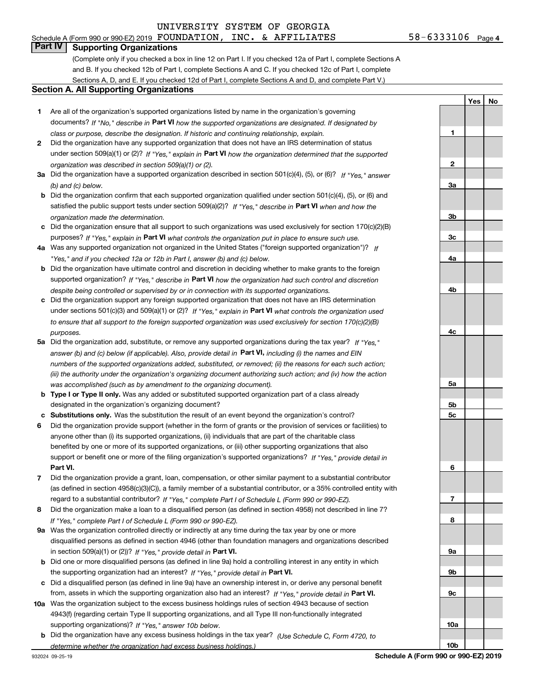# **Part IV Supporting Organizations**

(Complete only if you checked a box in line 12 on Part I. If you checked 12a of Part I, complete Sections A and B. If you checked 12b of Part I, complete Sections A and C. If you checked 12c of Part I, complete Sections A, D, and E. If you checked 12d of Part I, complete Sections A and D, and complete Part V.)

#### **Section A. All Supporting Organizations**

- **1** Are all of the organization's supported organizations listed by name in the organization's governing documents? If "No," describe in **Part VI** how the supported organizations are designated. If designated by *class or purpose, describe the designation. If historic and continuing relationship, explain.*
- **2** Did the organization have any supported organization that does not have an IRS determination of status under section 509(a)(1) or (2)? If "Yes," explain in Part VI how the organization determined that the supported *organization was described in section 509(a)(1) or (2).*
- **3a** Did the organization have a supported organization described in section 501(c)(4), (5), or (6)? If "Yes," answer *(b) and (c) below.*
- **b** Did the organization confirm that each supported organization qualified under section 501(c)(4), (5), or (6) and satisfied the public support tests under section 509(a)(2)? If "Yes," describe in **Part VI** when and how the *organization made the determination.*
- **c**Did the organization ensure that all support to such organizations was used exclusively for section 170(c)(2)(B) purposes? If "Yes," explain in **Part VI** what controls the organization put in place to ensure such use.
- **4a***If* Was any supported organization not organized in the United States ("foreign supported organization")? *"Yes," and if you checked 12a or 12b in Part I, answer (b) and (c) below.*
- **b** Did the organization have ultimate control and discretion in deciding whether to make grants to the foreign supported organization? If "Yes," describe in **Part VI** how the organization had such control and discretion *despite being controlled or supervised by or in connection with its supported organizations.*
- **c** Did the organization support any foreign supported organization that does not have an IRS determination under sections 501(c)(3) and 509(a)(1) or (2)? If "Yes," explain in **Part VI** what controls the organization used *to ensure that all support to the foreign supported organization was used exclusively for section 170(c)(2)(B) purposes.*
- **5a***If "Yes,"* Did the organization add, substitute, or remove any supported organizations during the tax year? answer (b) and (c) below (if applicable). Also, provide detail in **Part VI,** including (i) the names and EIN *numbers of the supported organizations added, substituted, or removed; (ii) the reasons for each such action; (iii) the authority under the organization's organizing document authorizing such action; and (iv) how the action was accomplished (such as by amendment to the organizing document).*
- **b** Type I or Type II only. Was any added or substituted supported organization part of a class already designated in the organization's organizing document?
- **cSubstitutions only.**  Was the substitution the result of an event beyond the organization's control?
- **6** Did the organization provide support (whether in the form of grants or the provision of services or facilities) to **Part VI.** *If "Yes," provide detail in* support or benefit one or more of the filing organization's supported organizations? anyone other than (i) its supported organizations, (ii) individuals that are part of the charitable class benefited by one or more of its supported organizations, or (iii) other supporting organizations that also
- **7**Did the organization provide a grant, loan, compensation, or other similar payment to a substantial contributor *If "Yes," complete Part I of Schedule L (Form 990 or 990-EZ).* regard to a substantial contributor? (as defined in section 4958(c)(3)(C)), a family member of a substantial contributor, or a 35% controlled entity with
- **8** Did the organization make a loan to a disqualified person (as defined in section 4958) not described in line 7? *If "Yes," complete Part I of Schedule L (Form 990 or 990-EZ).*
- **9a** Was the organization controlled directly or indirectly at any time during the tax year by one or more in section 509(a)(1) or (2))? If "Yes," *provide detail in* <code>Part VI.</code> disqualified persons as defined in section 4946 (other than foundation managers and organizations described
- **b** Did one or more disqualified persons (as defined in line 9a) hold a controlling interest in any entity in which the supporting organization had an interest? If "Yes," provide detail in P**art VI**.
- **c**Did a disqualified person (as defined in line 9a) have an ownership interest in, or derive any personal benefit from, assets in which the supporting organization also had an interest? If "Yes," provide detail in P**art VI.**
- **10a** Was the organization subject to the excess business holdings rules of section 4943 because of section supporting organizations)? If "Yes," answer 10b below. 4943(f) (regarding certain Type II supporting organizations, and all Type III non-functionally integrated
- **b** Did the organization have any excess business holdings in the tax year? (Use Schedule C, Form 4720, to *determine whether the organization had excess business holdings.)*

**Schedule A (Form 990 or 990-EZ) 2019**

**1**

**2**

**3a**

**3b**

**3c**

**4a**

**4b**

**4c**

**5a**

**5b5c**

**6**

**7**

**8**

**9a**

**9b**

**9c**

**10a**

**10b**

**YesNo**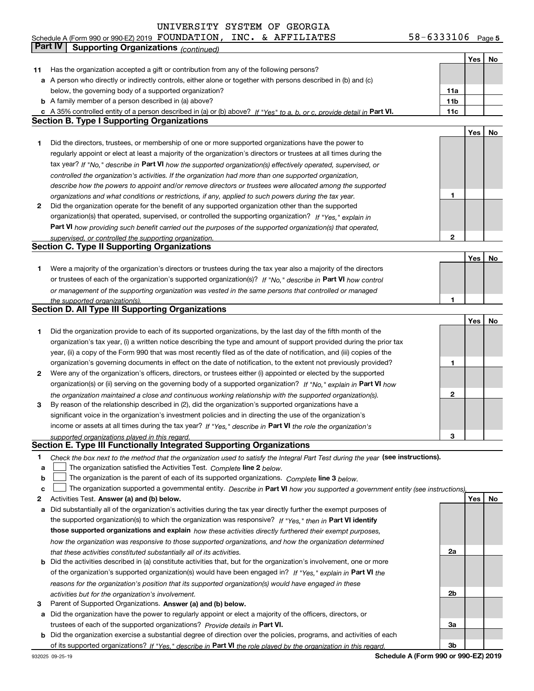**5** Schedule A (Form 990 or 990-EZ) 2019 POUNDATILON,INC。& AFFILILATES 58-6333106 Page  ${\tt FOUNDATION}$ ,  ${\tt INC.}$  &  ${\tt AFFLLIATES}$   $58-6333106$ 

|        | Part IV<br><b>Supporting Organizations (continued)</b>                                                                                                                                                                           |                 |     |    |
|--------|----------------------------------------------------------------------------------------------------------------------------------------------------------------------------------------------------------------------------------|-----------------|-----|----|
|        |                                                                                                                                                                                                                                  |                 | Yes | No |
| 11     | Has the organization accepted a gift or contribution from any of the following persons?                                                                                                                                          |                 |     |    |
|        | a A person who directly or indirectly controls, either alone or together with persons described in (b) and (c)                                                                                                                   |                 |     |    |
|        | below, the governing body of a supported organization?                                                                                                                                                                           | 11a             |     |    |
|        | <b>b</b> A family member of a person described in (a) above?                                                                                                                                                                     | 11 <sub>b</sub> |     |    |
|        | c A 35% controlled entity of a person described in (a) or (b) above? If "Yes" to a, b, or c, provide detail in Part VI.                                                                                                          | 11c             |     |    |
|        | <b>Section B. Type I Supporting Organizations</b>                                                                                                                                                                                |                 |     |    |
|        |                                                                                                                                                                                                                                  |                 | Yes | No |
| 1.     | Did the directors, trustees, or membership of one or more supported organizations have the power to                                                                                                                              |                 |     |    |
|        | regularly appoint or elect at least a majority of the organization's directors or trustees at all times during the                                                                                                               |                 |     |    |
|        | tax year? If "No," describe in Part VI how the supported organization(s) effectively operated, supervised, or                                                                                                                    |                 |     |    |
|        | controlled the organization's activities. If the organization had more than one supported organization,                                                                                                                          |                 |     |    |
|        | describe how the powers to appoint and/or remove directors or trustees were allocated among the supported                                                                                                                        |                 |     |    |
|        | organizations and what conditions or restrictions, if any, applied to such powers during the tax year.                                                                                                                           | 1               |     |    |
| 2      | Did the organization operate for the benefit of any supported organization other than the supported                                                                                                                              |                 |     |    |
|        | organization(s) that operated, supervised, or controlled the supporting organization? If "Yes," explain in                                                                                                                       |                 |     |    |
|        | Part VI how providing such benefit carried out the purposes of the supported organization(s) that operated,                                                                                                                      |                 |     |    |
|        | supervised, or controlled the supporting organization.<br><b>Section C. Type II Supporting Organizations</b>                                                                                                                     | 2               |     |    |
|        |                                                                                                                                                                                                                                  |                 | Yes | No |
| 1      | Were a majority of the organization's directors or trustees during the tax year also a majority of the directors                                                                                                                 |                 |     |    |
|        | or trustees of each of the organization's supported organization(s)? If "No," describe in Part VI how control                                                                                                                    |                 |     |    |
|        | or management of the supporting organization was vested in the same persons that controlled or managed                                                                                                                           |                 |     |    |
|        | the supported organization(s).                                                                                                                                                                                                   | 1               |     |    |
|        | <b>Section D. All Type III Supporting Organizations</b>                                                                                                                                                                          |                 |     |    |
|        |                                                                                                                                                                                                                                  |                 | Yes | No |
| 1      | Did the organization provide to each of its supported organizations, by the last day of the fifth month of the                                                                                                                   |                 |     |    |
|        | organization's tax year, (i) a written notice describing the type and amount of support provided during the prior tax                                                                                                            |                 |     |    |
|        | year, (ii) a copy of the Form 990 that was most recently filed as of the date of notification, and (iii) copies of the                                                                                                           |                 |     |    |
|        | organization's governing documents in effect on the date of notification, to the extent not previously provided?                                                                                                                 | 1               |     |    |
| 2      | Were any of the organization's officers, directors, or trustees either (i) appointed or elected by the supported                                                                                                                 |                 |     |    |
|        | organization(s) or (ii) serving on the governing body of a supported organization? If "No," explain in Part VI how                                                                                                               |                 |     |    |
|        | the organization maintained a close and continuous working relationship with the supported organization(s).                                                                                                                      | 2               |     |    |
| 3      | By reason of the relationship described in (2), did the organization's supported organizations have a                                                                                                                            |                 |     |    |
|        | significant voice in the organization's investment policies and in directing the use of the organization's                                                                                                                       |                 |     |    |
|        | income or assets at all times during the tax year? If "Yes," describe in Part VI the role the organization's                                                                                                                     |                 |     |    |
|        | supported organizations played in this regard.                                                                                                                                                                                   | 3               |     |    |
|        | Section E. Type III Functionally Integrated Supporting Organizations                                                                                                                                                             |                 |     |    |
| 1      | Check the box next to the method that the organization used to satisfy the Integral Part Test during the year (see instructions).                                                                                                |                 |     |    |
| a      | The organization satisfied the Activities Test. Complete line 2 below.                                                                                                                                                           |                 |     |    |
| b<br>c | The organization is the parent of each of its supported organizations. Complete line 3 below.<br>The organization supported a governmental entity. Describe in Part VI how you supported a government entity (see instructions), |                 |     |    |
| 2      | Activities Test. Answer (a) and (b) below.                                                                                                                                                                                       |                 | Yes | No |
| а      | Did substantially all of the organization's activities during the tax year directly further the exempt purposes of                                                                                                               |                 |     |    |
|        | the supported organization(s) to which the organization was responsive? If "Yes," then in Part VI identify                                                                                                                       |                 |     |    |
|        | those supported organizations and explain how these activities directly furthered their exempt purposes,                                                                                                                         |                 |     |    |
|        | how the organization was responsive to those supported organizations, and how the organization determined                                                                                                                        |                 |     |    |
|        | that these activities constituted substantially all of its activities.                                                                                                                                                           | 2a              |     |    |
|        | <b>b</b> Did the activities described in (a) constitute activities that, but for the organization's involvement, one or more                                                                                                     |                 |     |    |
|        | of the organization's supported organization(s) would have been engaged in? If "Yes," explain in Part VI the                                                                                                                     |                 |     |    |
|        | reasons for the organization's position that its supported organization(s) would have engaged in these                                                                                                                           |                 |     |    |
|        | activities but for the organization's involvement.                                                                                                                                                                               | 2b              |     |    |
| з      | Parent of Supported Organizations. Answer (a) and (b) below.                                                                                                                                                                     |                 |     |    |
|        | a Did the organization have the power to regularly appoint or elect a majority of the officers, directors, or                                                                                                                    |                 |     |    |
|        | trustees of each of the supported organizations? Provide details in Part VI.                                                                                                                                                     | За              |     |    |
|        | <b>b</b> Did the organization exercise a substantial degree of direction over the policies, programs, and activities of each                                                                                                     |                 |     |    |
|        | of its supported organizations? If "Yes," describe in Part VI the role played by the organization in this regard.                                                                                                                | 3b              |     |    |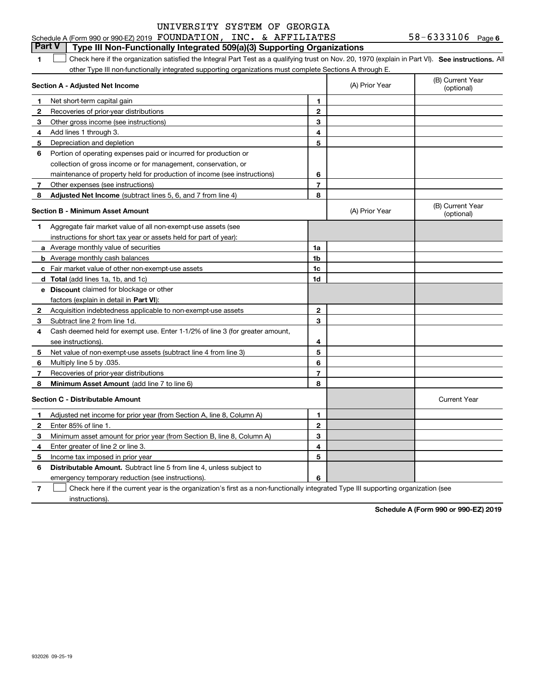|              | <b>Part V</b><br>Type III Non-Functionally Integrated 509(a)(3) Supporting Organizations                                                           |                |                |                                |
|--------------|----------------------------------------------------------------------------------------------------------------------------------------------------|----------------|----------------|--------------------------------|
| 1.           | Check here if the organization satisfied the Integral Part Test as a qualifying trust on Nov. 20, 1970 (explain in Part VI). See instructions. All |                |                |                                |
|              | other Type III non-functionally integrated supporting organizations must complete Sections A through E.                                            |                |                |                                |
|              | Section A - Adjusted Net Income                                                                                                                    |                | (A) Prior Year | (B) Current Year<br>(optional) |
| 1            | Net short-term capital gain                                                                                                                        | 1              |                |                                |
| $\mathbf{2}$ | Recoveries of prior-year distributions                                                                                                             | $\mathbf{2}$   |                |                                |
| 3            | Other gross income (see instructions)                                                                                                              | 3              |                |                                |
| 4            | Add lines 1 through 3.                                                                                                                             | 4              |                |                                |
| 5            | Depreciation and depletion                                                                                                                         | 5              |                |                                |
| 6            | Portion of operating expenses paid or incurred for production or                                                                                   |                |                |                                |
|              | collection of gross income or for management, conservation, or                                                                                     |                |                |                                |
|              | maintenance of property held for production of income (see instructions)                                                                           | 6              |                |                                |
| 7            | Other expenses (see instructions)                                                                                                                  | $\overline{7}$ |                |                                |
| 8            | Adjusted Net Income (subtract lines 5, 6, and 7 from line 4)                                                                                       | 8              |                |                                |
|              | <b>Section B - Minimum Asset Amount</b>                                                                                                            |                | (A) Prior Year | (B) Current Year<br>(optional) |
| 1            | Aggregate fair market value of all non-exempt-use assets (see                                                                                      |                |                |                                |
|              | instructions for short tax year or assets held for part of year):                                                                                  |                |                |                                |
|              | <b>a</b> Average monthly value of securities                                                                                                       | 1a             |                |                                |
|              | <b>b</b> Average monthly cash balances                                                                                                             | 1 <sub>b</sub> |                |                                |
|              | c Fair market value of other non-exempt-use assets                                                                                                 | 1c             |                |                                |
|              | <b>d</b> Total (add lines 1a, 1b, and 1c)                                                                                                          | 1d             |                |                                |
|              | <b>e</b> Discount claimed for blockage or other                                                                                                    |                |                |                                |
|              | factors (explain in detail in Part VI):                                                                                                            |                |                |                                |
| $\mathbf{2}$ | Acquisition indebtedness applicable to non-exempt-use assets                                                                                       | $\mathbf{2}$   |                |                                |
| 3            | Subtract line 2 from line 1d.                                                                                                                      | 3              |                |                                |
| 4            | Cash deemed held for exempt use. Enter 1-1/2% of line 3 (for greater amount,                                                                       |                |                |                                |
|              | see instructions).                                                                                                                                 | 4              |                |                                |
| 5            | Net value of non-exempt-use assets (subtract line 4 from line 3)                                                                                   | 5              |                |                                |
| 6            | Multiply line 5 by .035.                                                                                                                           | 6              |                |                                |
| 7            | Recoveries of prior-year distributions                                                                                                             | $\overline{7}$ |                |                                |
| 8            | Minimum Asset Amount (add line 7 to line 6)                                                                                                        | 8              |                |                                |
|              | <b>Section C - Distributable Amount</b>                                                                                                            |                |                | <b>Current Year</b>            |
| 1            | Adjusted net income for prior year (from Section A, line 8, Column A)                                                                              | $\mathbf{1}$   |                |                                |
| 2            | Enter 85% of line 1.                                                                                                                               | $\mathbf{2}$   |                |                                |
| з            | Minimum asset amount for prior year (from Section B, line 8, Column A)                                                                             | 3              |                |                                |
| 4            | Enter greater of line 2 or line 3.                                                                                                                 | 4              |                |                                |
| 5            | Income tax imposed in prior year                                                                                                                   | 5              |                |                                |
| 6            | <b>Distributable Amount.</b> Subtract line 5 from line 4, unless subject to                                                                        |                |                |                                |
|              | emergency temporary reduction (see instructions).                                                                                                  | 6              |                |                                |

**7**Check here if the current year is the organization's first as a non-functionally integrated Type III supporting organization (see instructions).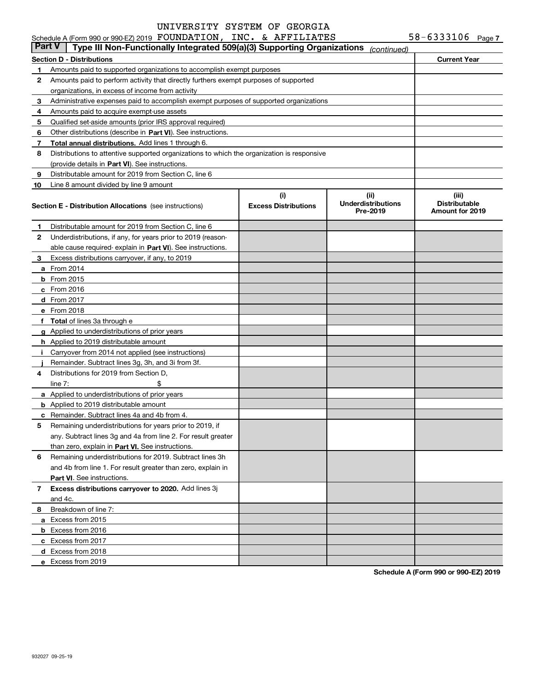|               | Schedule A (Form 990 or 990-EZ) 2019 FOUNDATION, INC. & AFFILIATES                         |                                    |                                               | 58-6333106 Page 7                                       |  |
|---------------|--------------------------------------------------------------------------------------------|------------------------------------|-----------------------------------------------|---------------------------------------------------------|--|
| <b>Part V</b> | Type III Non-Functionally Integrated 509(a)(3) Supporting Organizations                    |                                    | (continued)                                   |                                                         |  |
|               | Section D - Distributions                                                                  |                                    |                                               | <b>Current Year</b>                                     |  |
| 1.            | Amounts paid to supported organizations to accomplish exempt purposes                      |                                    |                                               |                                                         |  |
| 2             | Amounts paid to perform activity that directly furthers exempt purposes of supported       |                                    |                                               |                                                         |  |
|               | organizations, in excess of income from activity                                           |                                    |                                               |                                                         |  |
| 3             | Administrative expenses paid to accomplish exempt purposes of supported organizations      |                                    |                                               |                                                         |  |
| 4             | Amounts paid to acquire exempt-use assets                                                  |                                    |                                               |                                                         |  |
| 5             | Qualified set-aside amounts (prior IRS approval required)                                  |                                    |                                               |                                                         |  |
| 6             | Other distributions (describe in Part VI). See instructions.                               |                                    |                                               |                                                         |  |
| 7             | Total annual distributions. Add lines 1 through 6.                                         |                                    |                                               |                                                         |  |
| 8             | Distributions to attentive supported organizations to which the organization is responsive |                                    |                                               |                                                         |  |
|               | (provide details in Part VI). See instructions.                                            |                                    |                                               |                                                         |  |
| 9             | Distributable amount for 2019 from Section C, line 6                                       |                                    |                                               |                                                         |  |
| 10            | Line 8 amount divided by line 9 amount                                                     |                                    |                                               |                                                         |  |
|               | <b>Section E - Distribution Allocations</b> (see instructions)                             | (i)<br><b>Excess Distributions</b> | (ii)<br><b>Underdistributions</b><br>Pre-2019 | (iii)<br><b>Distributable</b><br><b>Amount for 2019</b> |  |
| 1             | Distributable amount for 2019 from Section C, line 6                                       |                                    |                                               |                                                         |  |
| 2             | Underdistributions, if any, for years prior to 2019 (reason-                               |                                    |                                               |                                                         |  |
|               | able cause required-explain in Part VI). See instructions.                                 |                                    |                                               |                                                         |  |
| 3             | Excess distributions carryover, if any, to 2019                                            |                                    |                                               |                                                         |  |
|               | <b>a</b> From 2014                                                                         |                                    |                                               |                                                         |  |
|               | $b$ From 2015                                                                              |                                    |                                               |                                                         |  |
|               | c From 2016                                                                                |                                    |                                               |                                                         |  |
|               | d From 2017                                                                                |                                    |                                               |                                                         |  |
|               | e From 2018                                                                                |                                    |                                               |                                                         |  |
|               | f Total of lines 3a through e                                                              |                                    |                                               |                                                         |  |
|               | g Applied to underdistributions of prior years                                             |                                    |                                               |                                                         |  |
|               | <b>h</b> Applied to 2019 distributable amount                                              |                                    |                                               |                                                         |  |
| Ť.            | Carryover from 2014 not applied (see instructions)                                         |                                    |                                               |                                                         |  |
|               | Remainder. Subtract lines 3g, 3h, and 3i from 3f.                                          |                                    |                                               |                                                         |  |
| 4             | Distributions for 2019 from Section D.                                                     |                                    |                                               |                                                         |  |
|               | \$<br>line $7:$                                                                            |                                    |                                               |                                                         |  |
|               | a Applied to underdistributions of prior years                                             |                                    |                                               |                                                         |  |
|               | <b>b</b> Applied to 2019 distributable amount                                              |                                    |                                               |                                                         |  |
|               | <b>c</b> Remainder. Subtract lines 4a and 4b from 4.                                       |                                    |                                               |                                                         |  |
|               | Remaining underdistributions for years prior to 2019, if                                   |                                    |                                               |                                                         |  |
|               | any. Subtract lines 3g and 4a from line 2. For result greater                              |                                    |                                               |                                                         |  |
|               | than zero, explain in Part VI. See instructions.                                           |                                    |                                               |                                                         |  |
| 6             | Remaining underdistributions for 2019. Subtract lines 3h                                   |                                    |                                               |                                                         |  |
|               | and 4b from line 1. For result greater than zero, explain in                               |                                    |                                               |                                                         |  |
|               | Part VI. See instructions.                                                                 |                                    |                                               |                                                         |  |
| 7             | Excess distributions carryover to 2020. Add lines 3j                                       |                                    |                                               |                                                         |  |
|               | and 4c.                                                                                    |                                    |                                               |                                                         |  |
| 8             | Breakdown of line 7:                                                                       |                                    |                                               |                                                         |  |
|               | a Excess from 2015                                                                         |                                    |                                               |                                                         |  |
|               | <b>b</b> Excess from 2016                                                                  |                                    |                                               |                                                         |  |
|               | c Excess from 2017                                                                         |                                    |                                               |                                                         |  |
|               | d Excess from 2018                                                                         |                                    |                                               |                                                         |  |
|               | e Excess from 2019                                                                         |                                    |                                               |                                                         |  |
|               |                                                                                            |                                    |                                               |                                                         |  |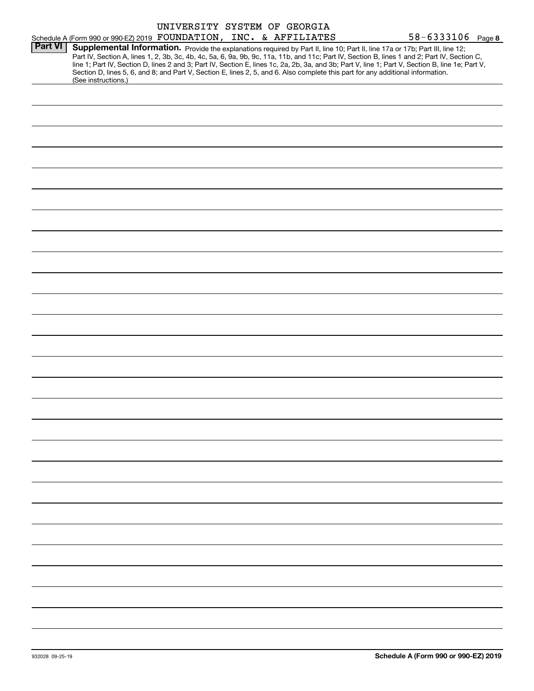|                |                                                                    | UNIVERSITY SYSTEM OF GEORGIA |  |                                                                                                                                                                                                                                                                                                                                                                                                                                                                                                                                                                      |  |
|----------------|--------------------------------------------------------------------|------------------------------|--|----------------------------------------------------------------------------------------------------------------------------------------------------------------------------------------------------------------------------------------------------------------------------------------------------------------------------------------------------------------------------------------------------------------------------------------------------------------------------------------------------------------------------------------------------------------------|--|
|                | Schedule A (Form 990 or 990-EZ) 2019 FOUNDATION, INC. & AFFILIATES |                              |  | 58-6333106 Page 8                                                                                                                                                                                                                                                                                                                                                                                                                                                                                                                                                    |  |
| <b>Part VI</b> | (See instructions.)                                                |                              |  | Supplemental Information. Provide the explanations required by Part II, line 10; Part II, line 17a or 17b; Part III, line 12;<br>Part IV, Section A, lines 1, 2, 3b, 3c, 4b, 4c, 5a, 6, 9a, 9b, 9c, 11a, 11b, and 11c; Part IV, Section B, lines 1 and 2; Part IV, Section C,<br>line 1; Part IV, Section D, lines 2 and 3; Part IV, Section E, lines 1c, 2a, 2b, 3a, and 3b; Part V, line 1; Part V, Section B, line 1e; Part V,<br>Section D, lines 5, 6, and 8; and Part V, Section E, lines 2, 5, and 6. Also complete this part for any additional information. |  |
|                |                                                                    |                              |  |                                                                                                                                                                                                                                                                                                                                                                                                                                                                                                                                                                      |  |
|                |                                                                    |                              |  |                                                                                                                                                                                                                                                                                                                                                                                                                                                                                                                                                                      |  |
|                |                                                                    |                              |  |                                                                                                                                                                                                                                                                                                                                                                                                                                                                                                                                                                      |  |
|                |                                                                    |                              |  |                                                                                                                                                                                                                                                                                                                                                                                                                                                                                                                                                                      |  |
|                |                                                                    |                              |  |                                                                                                                                                                                                                                                                                                                                                                                                                                                                                                                                                                      |  |
|                |                                                                    |                              |  |                                                                                                                                                                                                                                                                                                                                                                                                                                                                                                                                                                      |  |
|                |                                                                    |                              |  |                                                                                                                                                                                                                                                                                                                                                                                                                                                                                                                                                                      |  |
|                |                                                                    |                              |  |                                                                                                                                                                                                                                                                                                                                                                                                                                                                                                                                                                      |  |
|                |                                                                    |                              |  |                                                                                                                                                                                                                                                                                                                                                                                                                                                                                                                                                                      |  |
|                |                                                                    |                              |  |                                                                                                                                                                                                                                                                                                                                                                                                                                                                                                                                                                      |  |
|                |                                                                    |                              |  |                                                                                                                                                                                                                                                                                                                                                                                                                                                                                                                                                                      |  |
|                |                                                                    |                              |  |                                                                                                                                                                                                                                                                                                                                                                                                                                                                                                                                                                      |  |
|                |                                                                    |                              |  |                                                                                                                                                                                                                                                                                                                                                                                                                                                                                                                                                                      |  |
|                |                                                                    |                              |  |                                                                                                                                                                                                                                                                                                                                                                                                                                                                                                                                                                      |  |
|                |                                                                    |                              |  |                                                                                                                                                                                                                                                                                                                                                                                                                                                                                                                                                                      |  |
|                |                                                                    |                              |  |                                                                                                                                                                                                                                                                                                                                                                                                                                                                                                                                                                      |  |
|                |                                                                    |                              |  |                                                                                                                                                                                                                                                                                                                                                                                                                                                                                                                                                                      |  |
|                |                                                                    |                              |  |                                                                                                                                                                                                                                                                                                                                                                                                                                                                                                                                                                      |  |
|                |                                                                    |                              |  |                                                                                                                                                                                                                                                                                                                                                                                                                                                                                                                                                                      |  |
|                |                                                                    |                              |  |                                                                                                                                                                                                                                                                                                                                                                                                                                                                                                                                                                      |  |
|                |                                                                    |                              |  |                                                                                                                                                                                                                                                                                                                                                                                                                                                                                                                                                                      |  |
|                |                                                                    |                              |  |                                                                                                                                                                                                                                                                                                                                                                                                                                                                                                                                                                      |  |
|                |                                                                    |                              |  |                                                                                                                                                                                                                                                                                                                                                                                                                                                                                                                                                                      |  |
|                |                                                                    |                              |  |                                                                                                                                                                                                                                                                                                                                                                                                                                                                                                                                                                      |  |
|                |                                                                    |                              |  |                                                                                                                                                                                                                                                                                                                                                                                                                                                                                                                                                                      |  |
|                |                                                                    |                              |  |                                                                                                                                                                                                                                                                                                                                                                                                                                                                                                                                                                      |  |
|                |                                                                    |                              |  |                                                                                                                                                                                                                                                                                                                                                                                                                                                                                                                                                                      |  |
|                |                                                                    |                              |  |                                                                                                                                                                                                                                                                                                                                                                                                                                                                                                                                                                      |  |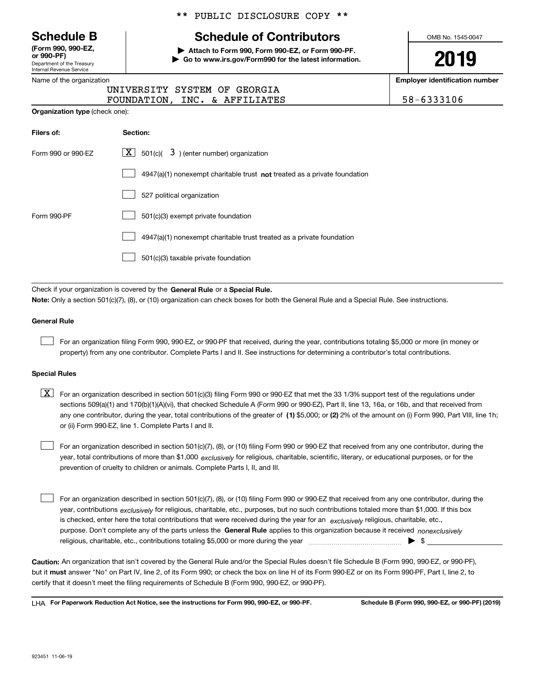Department of the Treasury Internal Revenue Service **(Form 990, 990-EZ, or 990-PF)**

Name of the organization

**Organization type** (check one):

|  |  | ** PUBLIC DISCLOSURE COPY ** |  |  |
|--|--|------------------------------|--|--|
|--|--|------------------------------|--|--|

# **Schedule B Schedule of Contributors**

**| Attach to Form 990, Form 990-EZ, or Form 990-PF. | Go to www.irs.gov/Form990 for the latest information.** OMB No. 1545-0047

**2019**

**Employer identification number**

| UNIVERSITY SYSTEM OF GEORGIA  |  |  |
|-------------------------------|--|--|
| FOUNDATION, INC. & AFFILIATES |  |  |

58-6333106

| Filers of:         | <b>Section:</b>                                                                    |
|--------------------|------------------------------------------------------------------------------------|
| Form 990 or 990-EZ | $\lfloor x \rfloor$ 501(c)( 3) (enter number) organization                         |
|                    | $4947(a)(1)$ nonexempt charitable trust <b>not</b> treated as a private foundation |
|                    | 527 political organization                                                         |
| Form 990-PF        | 501(c)(3) exempt private foundation                                                |
|                    | 4947(a)(1) nonexempt charitable trust treated as a private foundation              |
|                    | 501(c)(3) taxable private foundation                                               |

Check if your organization is covered by the **General Rule** or a **Special Rule. Note:**  Only a section 501(c)(7), (8), or (10) organization can check boxes for both the General Rule and a Special Rule. See instructions.

#### **General Rule**

 $\mathcal{L}^{\text{max}}$ 

For an organization filing Form 990, 990-EZ, or 990-PF that received, during the year, contributions totaling \$5,000 or more (in money or property) from any one contributor. Complete Parts I and II. See instructions for determining a contributor's total contributions.

#### **Special Rules**

any one contributor, during the year, total contributions of the greater of  $\,$  (1) \$5,000; or **(2)** 2% of the amount on (i) Form 990, Part VIII, line 1h;  $\boxed{\textbf{X}}$  For an organization described in section 501(c)(3) filing Form 990 or 990-EZ that met the 33 1/3% support test of the regulations under sections 509(a)(1) and 170(b)(1)(A)(vi), that checked Schedule A (Form 990 or 990-EZ), Part II, line 13, 16a, or 16b, and that received from or (ii) Form 990-EZ, line 1. Complete Parts I and II.

year, total contributions of more than \$1,000 *exclusively* for religious, charitable, scientific, literary, or educational purposes, or for the For an organization described in section 501(c)(7), (8), or (10) filing Form 990 or 990-EZ that received from any one contributor, during the prevention of cruelty to children or animals. Complete Parts I, II, and III.  $\mathcal{L}^{\text{max}}$ 

purpose. Don't complete any of the parts unless the **General Rule** applies to this organization because it received *nonexclusively* year, contributions <sub>exclusively</sub> for religious, charitable, etc., purposes, but no such contributions totaled more than \$1,000. If this box is checked, enter here the total contributions that were received during the year for an  $\;$ exclusively religious, charitable, etc., For an organization described in section 501(c)(7), (8), or (10) filing Form 990 or 990-EZ that received from any one contributor, during the religious, charitable, etc., contributions totaling \$5,000 or more during the year  $\Box$ — $\Box$   $\Box$  $\mathcal{L}^{\text{max}}$ 

**Caution:**  An organization that isn't covered by the General Rule and/or the Special Rules doesn't file Schedule B (Form 990, 990-EZ, or 990-PF),  **must** but it answer "No" on Part IV, line 2, of its Form 990; or check the box on line H of its Form 990-EZ or on its Form 990-PF, Part I, line 2, to certify that it doesn't meet the filing requirements of Schedule B (Form 990, 990-EZ, or 990-PF).

**For Paperwork Reduction Act Notice, see the instructions for Form 990, 990-EZ, or 990-PF. Schedule B (Form 990, 990-EZ, or 990-PF) (2019)** LHA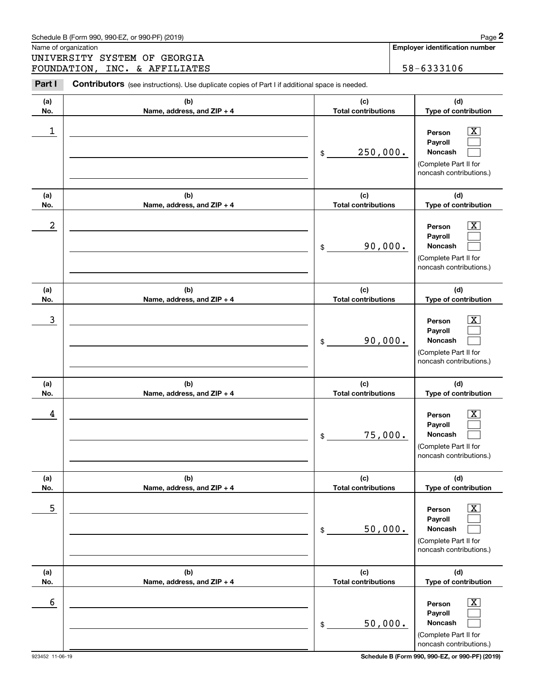|            | Schedule B (Form 990, 990-EZ, or 990-PF) (2019)                                                                                        |                                   | Page 2                                                                                                    |
|------------|----------------------------------------------------------------------------------------------------------------------------------------|-----------------------------------|-----------------------------------------------------------------------------------------------------------|
|            | Name of organization<br>UNIVERSITY SYSTEM OF GEORGIA                                                                                   |                                   | <b>Employer identification number</b>                                                                     |
| Part I     | FOUNDATION, INC. & AFFILIATES<br><b>Contributors</b> (see instructions). Use duplicate copies of Part I if additional space is needed. |                                   | 58-6333106                                                                                                |
| (a)<br>No. | (b)<br>Name, address, and ZIP + 4                                                                                                      | (c)<br><b>Total contributions</b> | (d)<br>Type of contribution                                                                               |
| 1          |                                                                                                                                        | 250,000.<br>\$                    | $\overline{\text{X}}$<br>Person<br>Payroll<br>Noncash<br>(Complete Part II for<br>noncash contributions.) |
| (a)<br>No. | (b)<br>Name, address, and ZIP + 4                                                                                                      | (c)<br><b>Total contributions</b> | (d)<br>Type of contribution                                                                               |
| 2          |                                                                                                                                        | 90,000.<br>\$                     | $\overline{\text{X}}$<br>Person<br>Payroll<br>Noncash<br>(Complete Part II for<br>noncash contributions.) |
| (a)<br>No. | (b)<br>Name, address, and ZIP + 4                                                                                                      | (c)<br><b>Total contributions</b> | (d)<br>Type of contribution                                                                               |
| 3          |                                                                                                                                        | 90,000.<br>\$                     | X<br>Person<br>Payroll<br>Noncash<br>(Complete Part II for<br>noncash contributions.)                     |
| (a)<br>No. | (b)<br>Name, address, and ZIP + 4                                                                                                      | (c)<br><b>Total contributions</b> | (d)<br>Type of contribution                                                                               |
| 4          |                                                                                                                                        | 75,000.<br>\$                     | $\overline{\text{X}}$<br>Person<br>Payroll<br>Noncash<br>(Complete Part II for<br>noncash contributions.) |
| (a)<br>No. | (b)<br>Name, address, and ZIP + 4                                                                                                      | (c)<br><b>Total contributions</b> | (d)<br>Type of contribution                                                                               |
| 5          |                                                                                                                                        | 50,000.<br>\$                     | $\overline{\text{X}}$<br>Person<br>Payroll<br>Noncash<br>(Complete Part II for<br>noncash contributions.) |
| (a)<br>No. | (b)<br>Name, address, and ZIP + 4                                                                                                      | (c)<br><b>Total contributions</b> | (d)<br>Type of contribution                                                                               |
| 6          |                                                                                                                                        | 50,000.<br>\$                     | $\overline{\text{X}}$<br>Person<br>Payroll<br>Noncash<br>(Complete Part II for<br>noncash contributions.) |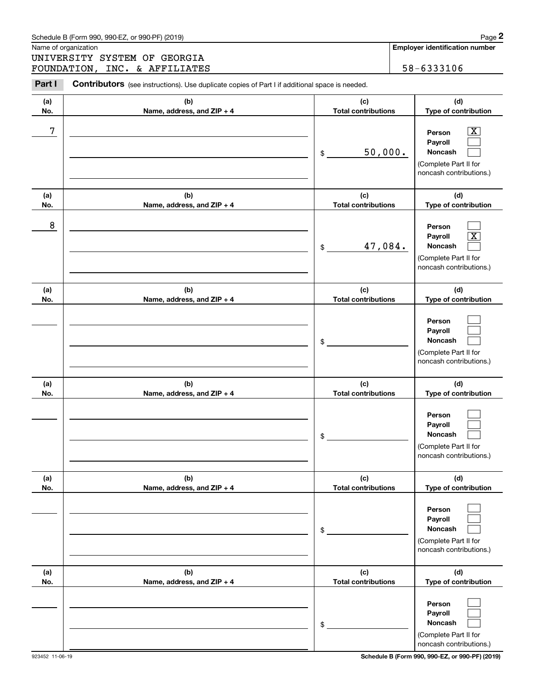|            | Schedule B (Form 990, 990-EZ, or 990-PF) (2019)                                                |                                   | Page 2                                                                                                    |
|------------|------------------------------------------------------------------------------------------------|-----------------------------------|-----------------------------------------------------------------------------------------------------------|
|            | Name of organization                                                                           |                                   | <b>Employer identification number</b>                                                                     |
|            | UNIVERSITY SYSTEM OF GEORGIA<br>FOUNDATION, INC. & AFFILIATES                                  |                                   | 58-6333106                                                                                                |
| Part I     | Contributors (see instructions). Use duplicate copies of Part I if additional space is needed. |                                   |                                                                                                           |
|            |                                                                                                |                                   |                                                                                                           |
| (a)<br>No. | (b)<br>Name, address, and ZIP + 4                                                              | (c)<br><b>Total contributions</b> | (d)<br>Type of contribution                                                                               |
| 7          |                                                                                                | 50,000.<br>\$                     | $\overline{\text{X}}$<br>Person<br>Payroll<br>Noncash<br>(Complete Part II for<br>noncash contributions.) |
| (a)<br>No. | (b)<br>Name, address, and ZIP + 4                                                              | (c)<br><b>Total contributions</b> | (d)<br>Type of contribution                                                                               |
| 8          |                                                                                                | 47,084.<br>$\mathfrak{S}$         | Person<br>$\mathbf{X}$<br>Payroll<br>Noncash<br>(Complete Part II for<br>noncash contributions.)          |
| (a)<br>No. | (b)<br>Name, address, and ZIP + 4                                                              | (c)<br><b>Total contributions</b> | (d)<br>Type of contribution                                                                               |
|            |                                                                                                | \$                                | Person<br>Payroll<br>Noncash<br>(Complete Part II for<br>noncash contributions.)                          |
| (a)<br>No. | (b)<br>Name, address, and ZIP + 4                                                              | (c)<br><b>Total contributions</b> | (d)<br>Type of contribution                                                                               |
|            |                                                                                                | \$                                | Person<br>Payroll<br>Noncash<br>(Complete Part II for<br>noncash contributions.)                          |
| (a)<br>No. | (b)<br>Name, address, and ZIP + 4                                                              | (c)<br><b>Total contributions</b> | (d)<br>Type of contribution                                                                               |
|            |                                                                                                | \$                                | Person<br>Payroll<br>Noncash<br>(Complete Part II for<br>noncash contributions.)                          |
| (a)<br>No. | (b)<br>Name, address, and ZIP + 4                                                              | (c)<br><b>Total contributions</b> | (d)<br>Type of contribution                                                                               |
|            |                                                                                                | \$                                | Person<br>Payroll<br>Noncash<br>(Complete Part II for<br>noncash contributions.)                          |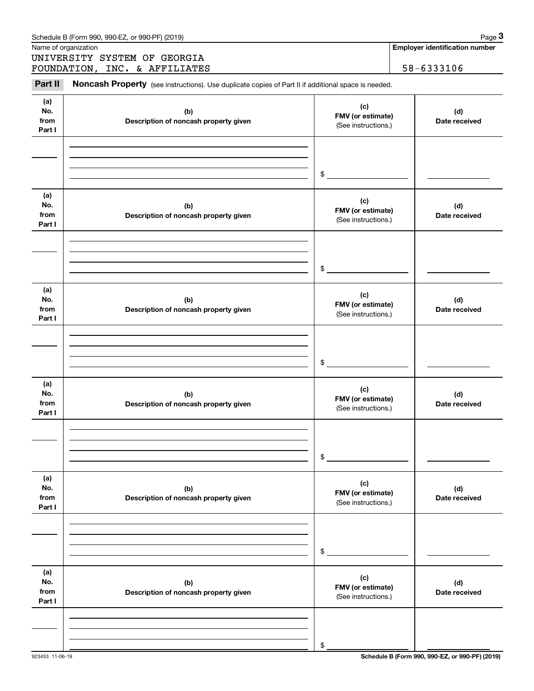|                              | Schedule B (Form 990, 990-EZ, or 990-PF) (2019)                                                     |                                                 | Page 3                                          |
|------------------------------|-----------------------------------------------------------------------------------------------------|-------------------------------------------------|-------------------------------------------------|
|                              | Name of organization                                                                                |                                                 | <b>Employer identification number</b>           |
|                              | UNIVERSITY SYSTEM OF GEORGIA<br>FOUNDATION, INC. & AFFILIATES                                       |                                                 | 58-6333106                                      |
| Part II                      | Noncash Property (see instructions). Use duplicate copies of Part II if additional space is needed. |                                                 |                                                 |
| (a)<br>No.<br>from<br>Part I | (b)<br>Description of noncash property given                                                        | (c)<br>FMV (or estimate)<br>(See instructions.) | (d)<br>Date received                            |
|                              |                                                                                                     | \$                                              |                                                 |
| (a)<br>No.<br>from<br>Part I | (b)<br>Description of noncash property given                                                        | (c)<br>FMV (or estimate)<br>(See instructions.) | (d)<br>Date received                            |
|                              |                                                                                                     | \$                                              |                                                 |
| (a)<br>No.<br>from<br>Part I | (b)<br>Description of noncash property given                                                        | (c)<br>FMV (or estimate)<br>(See instructions.) | (d)<br>Date received                            |
|                              |                                                                                                     | \$                                              |                                                 |
| (a)<br>No.<br>from<br>Part I | (b)<br>Description of noncash property given                                                        | (c)<br>FMV (or estimate)<br>(See instructions.) | (d)<br>Date received                            |
|                              |                                                                                                     | \$                                              |                                                 |
| (a)<br>No.<br>from<br>Part I | (b)<br>Description of noncash property given                                                        | (c)<br>FMV (or estimate)<br>(See instructions.) | (d)<br>Date received                            |
|                              |                                                                                                     | \$                                              |                                                 |
| (a)<br>No.<br>from<br>Part I | (b)<br>Description of noncash property given                                                        | (c)<br>FMV (or estimate)<br>(See instructions.) | (d)<br>Date received                            |
|                              |                                                                                                     | \$                                              |                                                 |
| 923453 11-06-19              |                                                                                                     |                                                 | Schedule B (Form 990, 990-EZ, or 990-PF) (2019) |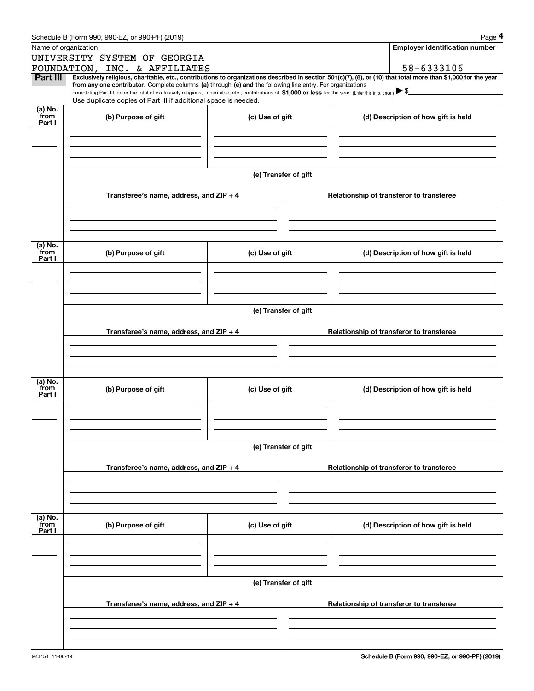|                 | Schedule B (Form 990, 990-EZ, or 990-PF) (2019)                                                                                                                                   |                      | Page 4                                                                                                                                                         |  |  |  |  |
|-----------------|-----------------------------------------------------------------------------------------------------------------------------------------------------------------------------------|----------------------|----------------------------------------------------------------------------------------------------------------------------------------------------------------|--|--|--|--|
|                 | Name of organization                                                                                                                                                              |                      | <b>Employer identification number</b>                                                                                                                          |  |  |  |  |
|                 | UNIVERSITY SYSTEM OF GEORGIA                                                                                                                                                      |                      |                                                                                                                                                                |  |  |  |  |
|                 | FOUNDATION, INC. & AFFILIATES                                                                                                                                                     |                      | 58-6333106                                                                                                                                                     |  |  |  |  |
| Part III        | from any one contributor. Complete columns (a) through (e) and the following line entry. For organizations                                                                        |                      | Exclusively religious, charitable, etc., contributions to organizations described in section 501(c)(7), (8), or (10) that total more than \$1,000 for the year |  |  |  |  |
|                 | completing Part III, enter the total of exclusively religious, charitable, etc., contributions of \$1,000 or less for the year. (Enter this info. once.) $\blacktriangleright$ \$ |                      |                                                                                                                                                                |  |  |  |  |
|                 | Use duplicate copies of Part III if additional space is needed.                                                                                                                   |                      |                                                                                                                                                                |  |  |  |  |
| (a) No.<br>from | (b) Purpose of gift                                                                                                                                                               | (c) Use of gift      | (d) Description of how gift is held                                                                                                                            |  |  |  |  |
| Part I          |                                                                                                                                                                                   |                      |                                                                                                                                                                |  |  |  |  |
|                 |                                                                                                                                                                                   |                      |                                                                                                                                                                |  |  |  |  |
|                 |                                                                                                                                                                                   |                      |                                                                                                                                                                |  |  |  |  |
|                 |                                                                                                                                                                                   |                      |                                                                                                                                                                |  |  |  |  |
|                 |                                                                                                                                                                                   | (e) Transfer of gift |                                                                                                                                                                |  |  |  |  |
|                 |                                                                                                                                                                                   |                      |                                                                                                                                                                |  |  |  |  |
|                 | Transferee's name, address, and $ZIP + 4$                                                                                                                                         |                      | Relationship of transferor to transferee                                                                                                                       |  |  |  |  |
|                 |                                                                                                                                                                                   |                      |                                                                                                                                                                |  |  |  |  |
|                 |                                                                                                                                                                                   |                      |                                                                                                                                                                |  |  |  |  |
|                 |                                                                                                                                                                                   |                      |                                                                                                                                                                |  |  |  |  |
|                 |                                                                                                                                                                                   |                      |                                                                                                                                                                |  |  |  |  |
| (a) No.<br>from | (b) Purpose of gift                                                                                                                                                               | (c) Use of gift      | (d) Description of how gift is held                                                                                                                            |  |  |  |  |
| Part I          |                                                                                                                                                                                   |                      |                                                                                                                                                                |  |  |  |  |
|                 |                                                                                                                                                                                   |                      |                                                                                                                                                                |  |  |  |  |
|                 |                                                                                                                                                                                   |                      |                                                                                                                                                                |  |  |  |  |
|                 |                                                                                                                                                                                   |                      |                                                                                                                                                                |  |  |  |  |
|                 | (e) Transfer of gift                                                                                                                                                              |                      |                                                                                                                                                                |  |  |  |  |
|                 |                                                                                                                                                                                   |                      |                                                                                                                                                                |  |  |  |  |
|                 | Transferee's name, address, and ZIP + 4                                                                                                                                           |                      | Relationship of transferor to transferee                                                                                                                       |  |  |  |  |
|                 |                                                                                                                                                                                   |                      |                                                                                                                                                                |  |  |  |  |
|                 |                                                                                                                                                                                   |                      |                                                                                                                                                                |  |  |  |  |
|                 |                                                                                                                                                                                   |                      |                                                                                                                                                                |  |  |  |  |
| (a) No.         |                                                                                                                                                                                   |                      |                                                                                                                                                                |  |  |  |  |
| from            | (b) Purpose of gift                                                                                                                                                               | (c) Use of gift      | (d) Description of how gift is held                                                                                                                            |  |  |  |  |
| Part I          |                                                                                                                                                                                   |                      |                                                                                                                                                                |  |  |  |  |
|                 |                                                                                                                                                                                   |                      |                                                                                                                                                                |  |  |  |  |
|                 |                                                                                                                                                                                   |                      |                                                                                                                                                                |  |  |  |  |
|                 |                                                                                                                                                                                   |                      |                                                                                                                                                                |  |  |  |  |
|                 |                                                                                                                                                                                   | (e) Transfer of gift |                                                                                                                                                                |  |  |  |  |
|                 |                                                                                                                                                                                   |                      |                                                                                                                                                                |  |  |  |  |
|                 | Transferee's name, address, and ZIP + 4                                                                                                                                           |                      | Relationship of transferor to transferee                                                                                                                       |  |  |  |  |
|                 |                                                                                                                                                                                   |                      |                                                                                                                                                                |  |  |  |  |
|                 |                                                                                                                                                                                   |                      |                                                                                                                                                                |  |  |  |  |
|                 |                                                                                                                                                                                   |                      |                                                                                                                                                                |  |  |  |  |
|                 |                                                                                                                                                                                   |                      |                                                                                                                                                                |  |  |  |  |
| (a) No.<br>from | (b) Purpose of gift                                                                                                                                                               | (c) Use of gift      | (d) Description of how gift is held                                                                                                                            |  |  |  |  |
| Part I          |                                                                                                                                                                                   |                      |                                                                                                                                                                |  |  |  |  |
|                 |                                                                                                                                                                                   |                      |                                                                                                                                                                |  |  |  |  |
|                 |                                                                                                                                                                                   |                      |                                                                                                                                                                |  |  |  |  |
|                 |                                                                                                                                                                                   |                      |                                                                                                                                                                |  |  |  |  |
|                 | (e) Transfer of gift                                                                                                                                                              |                      |                                                                                                                                                                |  |  |  |  |
|                 |                                                                                                                                                                                   |                      |                                                                                                                                                                |  |  |  |  |
|                 | Transferee's name, address, and ZIP + 4                                                                                                                                           |                      | Relationship of transferor to transferee                                                                                                                       |  |  |  |  |
|                 |                                                                                                                                                                                   |                      |                                                                                                                                                                |  |  |  |  |
|                 |                                                                                                                                                                                   |                      |                                                                                                                                                                |  |  |  |  |
|                 |                                                                                                                                                                                   |                      |                                                                                                                                                                |  |  |  |  |
|                 |                                                                                                                                                                                   |                      |                                                                                                                                                                |  |  |  |  |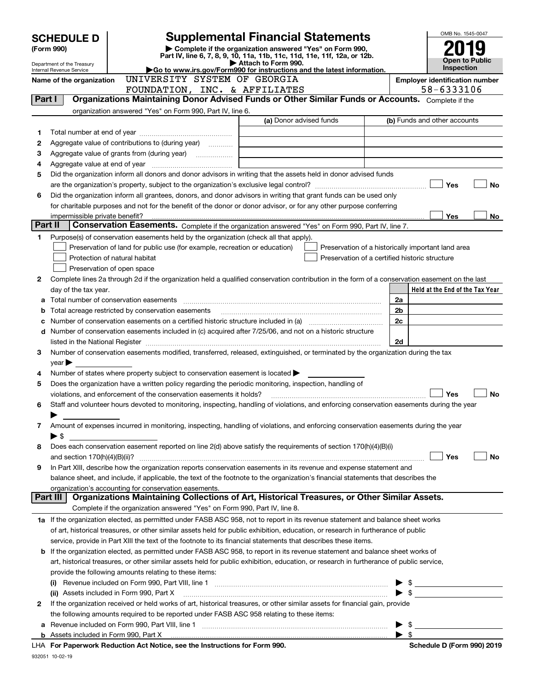| <b>Supplemental Financial Statements</b><br><b>SCHEDULE D</b><br>Complete if the organization answered "Yes" on Form 990,<br>(Form 990) |                                                        |                                                                                                                                                                                                                               |                         |                                                    | OMB No. 1545-0047       |                                       |
|-----------------------------------------------------------------------------------------------------------------------------------------|--------------------------------------------------------|-------------------------------------------------------------------------------------------------------------------------------------------------------------------------------------------------------------------------------|-------------------------|----------------------------------------------------|-------------------------|---------------------------------------|
|                                                                                                                                         |                                                        | Part IV, line 6, 7, 8, 9, 10, 11a, 11b, 11c, 11d, 11e, 11f, 12a, or 12b.                                                                                                                                                      |                         |                                                    |                         | <b>Open to Public</b>                 |
|                                                                                                                                         | Department of the Treasury<br>Internal Revenue Service | Go to www.irs.gov/Form990 for instructions and the latest information.                                                                                                                                                        | Attach to Form 990.     |                                                    |                         | Inspection                            |
|                                                                                                                                         | Name of the organization                               | UNIVERSITY SYSTEM OF GEORGIA                                                                                                                                                                                                  |                         |                                                    |                         | <b>Employer identification number</b> |
|                                                                                                                                         |                                                        | FOUNDATION, INC. & AFFILIATES                                                                                                                                                                                                 |                         |                                                    |                         | 58-6333106                            |
| Part I                                                                                                                                  |                                                        | Organizations Maintaining Donor Advised Funds or Other Similar Funds or Accounts. Complete if the                                                                                                                             |                         |                                                    |                         |                                       |
|                                                                                                                                         |                                                        | organization answered "Yes" on Form 990, Part IV, line 6.                                                                                                                                                                     |                         |                                                    |                         |                                       |
|                                                                                                                                         |                                                        |                                                                                                                                                                                                                               | (a) Donor advised funds |                                                    |                         | (b) Funds and other accounts          |
| 1                                                                                                                                       |                                                        |                                                                                                                                                                                                                               |                         |                                                    |                         |                                       |
| 2                                                                                                                                       |                                                        | Aggregate value of contributions to (during year)                                                                                                                                                                             |                         |                                                    |                         |                                       |
| з                                                                                                                                       |                                                        |                                                                                                                                                                                                                               |                         |                                                    |                         |                                       |
| 4                                                                                                                                       |                                                        |                                                                                                                                                                                                                               |                         |                                                    |                         |                                       |
| 5                                                                                                                                       |                                                        | Did the organization inform all donors and donor advisors in writing that the assets held in donor advised funds                                                                                                              |                         |                                                    |                         |                                       |
|                                                                                                                                         | Yes<br>No                                              |                                                                                                                                                                                                                               |                         |                                                    |                         |                                       |
| 6                                                                                                                                       |                                                        | Did the organization inform all grantees, donors, and donor advisors in writing that grant funds can be used only                                                                                                             |                         |                                                    |                         |                                       |
|                                                                                                                                         |                                                        | for charitable purposes and not for the benefit of the donor or donor advisor, or for any other purpose conferring                                                                                                            |                         |                                                    |                         |                                       |
|                                                                                                                                         |                                                        |                                                                                                                                                                                                                               |                         |                                                    |                         | Yes<br>No                             |
| Part II                                                                                                                                 |                                                        | Conservation Easements. Complete if the organization answered "Yes" on Form 990, Part IV, line 7.                                                                                                                             |                         |                                                    |                         |                                       |
| 1                                                                                                                                       |                                                        | Purpose(s) of conservation easements held by the organization (check all that apply).                                                                                                                                         |                         |                                                    |                         |                                       |
|                                                                                                                                         |                                                        | Preservation of land for public use (for example, recreation or education)                                                                                                                                                    |                         | Preservation of a historically important land area |                         |                                       |
|                                                                                                                                         |                                                        | Protection of natural habitat                                                                                                                                                                                                 |                         | Preservation of a certified historic structure     |                         |                                       |
|                                                                                                                                         |                                                        | Preservation of open space                                                                                                                                                                                                    |                         |                                                    |                         |                                       |
| 2                                                                                                                                       |                                                        | Complete lines 2a through 2d if the organization held a qualified conservation contribution in the form of a conservation easement on the last                                                                                |                         |                                                    |                         |                                       |
|                                                                                                                                         | day of the tax year.                                   |                                                                                                                                                                                                                               |                         |                                                    |                         | Held at the End of the Tax Year       |
| a                                                                                                                                       |                                                        |                                                                                                                                                                                                                               |                         |                                                    | 2a                      |                                       |
| b                                                                                                                                       |                                                        | Total acreage restricted by conservation easements                                                                                                                                                                            |                         |                                                    | 2b                      |                                       |
| с                                                                                                                                       |                                                        |                                                                                                                                                                                                                               |                         |                                                    | 2c                      |                                       |
| d                                                                                                                                       |                                                        | Number of conservation easements included in (c) acquired after 7/25/06, and not on a historic structure                                                                                                                      |                         |                                                    |                         |                                       |
|                                                                                                                                         |                                                        | listed in the National Register [11, 1200] [12] The National Register [11, 1200] [12] The National Register [11, 1200] [12] The National Register [11, 1200] [12] The National Register [11, 1200] [12] The National Register |                         |                                                    | 2d                      |                                       |
| 3                                                                                                                                       |                                                        | Number of conservation easements modified, transferred, released, extinguished, or terminated by the organization during the tax                                                                                              |                         |                                                    |                         |                                       |
|                                                                                                                                         | $year \blacktriangleright$                             |                                                                                                                                                                                                                               |                         |                                                    |                         |                                       |
| 4                                                                                                                                       |                                                        | Number of states where property subject to conservation easement is located $\blacktriangleright$                                                                                                                             |                         |                                                    |                         |                                       |
| 5                                                                                                                                       |                                                        | Does the organization have a written policy regarding the periodic monitoring, inspection, handling of                                                                                                                        |                         |                                                    |                         |                                       |
|                                                                                                                                         |                                                        | violations, and enforcement of the conservation easements it holds?                                                                                                                                                           |                         |                                                    |                         | Yes<br><b>No</b>                      |
| 6                                                                                                                                       |                                                        | Staff and volunteer hours devoted to monitoring, inspecting, handling of violations, and enforcing conservation easements during the year                                                                                     |                         |                                                    |                         |                                       |
|                                                                                                                                         |                                                        |                                                                                                                                                                                                                               |                         |                                                    |                         |                                       |
| 7                                                                                                                                       |                                                        | Amount of expenses incurred in monitoring, inspecting, handling of violations, and enforcing conservation easements during the year                                                                                           |                         |                                                    |                         |                                       |
|                                                                                                                                         | $\blacktriangleright$ \$                               |                                                                                                                                                                                                                               |                         |                                                    |                         |                                       |
| 8                                                                                                                                       |                                                        | Does each conservation easement reported on line 2(d) above satisfy the requirements of section 170(h)(4)(B)(i)                                                                                                               |                         |                                                    |                         |                                       |
|                                                                                                                                         |                                                        |                                                                                                                                                                                                                               |                         |                                                    |                         | Yes<br>No                             |
| 9                                                                                                                                       |                                                        | In Part XIII, describe how the organization reports conservation easements in its revenue and expense statement and                                                                                                           |                         |                                                    |                         |                                       |
|                                                                                                                                         |                                                        | balance sheet, and include, if applicable, the text of the footnote to the organization's financial statements that describes the                                                                                             |                         |                                                    |                         |                                       |
|                                                                                                                                         |                                                        | organization's accounting for conservation easements.                                                                                                                                                                         |                         |                                                    |                         |                                       |
|                                                                                                                                         | Part III                                               | Organizations Maintaining Collections of Art, Historical Treasures, or Other Similar Assets.                                                                                                                                  |                         |                                                    |                         |                                       |
|                                                                                                                                         |                                                        | Complete if the organization answered "Yes" on Form 990, Part IV, line 8.                                                                                                                                                     |                         |                                                    |                         |                                       |
|                                                                                                                                         |                                                        | 1a If the organization elected, as permitted under FASB ASC 958, not to report in its revenue statement and balance sheet works                                                                                               |                         |                                                    |                         |                                       |
|                                                                                                                                         |                                                        | of art, historical treasures, or other similar assets held for public exhibition, education, or research in furtherance of public                                                                                             |                         |                                                    |                         |                                       |
|                                                                                                                                         |                                                        | service, provide in Part XIII the text of the footnote to its financial statements that describes these items.                                                                                                                |                         |                                                    |                         |                                       |
| b                                                                                                                                       |                                                        | If the organization elected, as permitted under FASB ASC 958, to report in its revenue statement and balance sheet works of                                                                                                   |                         |                                                    |                         |                                       |
|                                                                                                                                         |                                                        | art, historical treasures, or other similar assets held for public exhibition, education, or research in furtherance of public service,                                                                                       |                         |                                                    |                         |                                       |
|                                                                                                                                         |                                                        | provide the following amounts relating to these items:                                                                                                                                                                        |                         |                                                    |                         |                                       |
|                                                                                                                                         |                                                        | (i) Revenue included on Form 990, Part VIII, line 1 [1] [1] [1] [1] [1] [1] [1] Revenue included on Form 990, Part VIII, line 1                                                                                               |                         |                                                    |                         |                                       |
|                                                                                                                                         |                                                        | (ii) Assets included in Form 990, Part X                                                                                                                                                                                      |                         |                                                    |                         | $\triangleright$ \$                   |
| 2                                                                                                                                       |                                                        | If the organization received or held works of art, historical treasures, or other similar assets for financial gain, provide                                                                                                  |                         |                                                    |                         |                                       |
|                                                                                                                                         |                                                        | the following amounts required to be reported under FASB ASC 958 relating to these items:                                                                                                                                     |                         |                                                    |                         |                                       |
| а                                                                                                                                       |                                                        | Revenue included on Form 990, Part VIII, line 1 [2000] [2000] [2000] [2000] [3000] [3000] [3000] [3000] [3000                                                                                                                 |                         |                                                    | \$                      |                                       |
|                                                                                                                                         |                                                        |                                                                                                                                                                                                                               |                         |                                                    | $\blacktriangleright$ s |                                       |
|                                                                                                                                         |                                                        | $1\mu\Lambda$ For Deparwork Reduction $\Lambda$ ct Notice, see the Instructions for Form 000                                                                                                                                  |                         |                                                    |                         | Schedule D (Form 000) 2010            |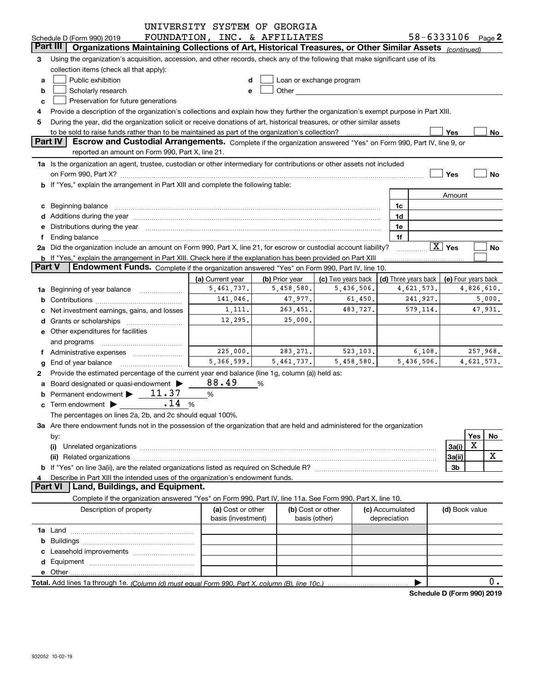|               |                                                                                                                                                                                                                                | UNIVERSITY SYSTEM OF GEORGIA  |                |                          |                 |                                            |                        |     |            |
|---------------|--------------------------------------------------------------------------------------------------------------------------------------------------------------------------------------------------------------------------------|-------------------------------|----------------|--------------------------|-----------------|--------------------------------------------|------------------------|-----|------------|
|               | Schedule D (Form 990) 2019                                                                                                                                                                                                     | FOUNDATION, INC. & AFFILIATES |                |                          |                 | 58-6333106                                 |                        |     | Page $2$   |
|               | Organizations Maintaining Collections of Art, Historical Treasures, or Other Similar Assets (continued)<br>Part III                                                                                                            |                               |                |                          |                 |                                            |                        |     |            |
| 3             | Using the organization's acquisition, accession, and other records, check any of the following that make significant use of its                                                                                                |                               |                |                          |                 |                                            |                        |     |            |
|               | collection items (check all that apply):                                                                                                                                                                                       |                               |                |                          |                 |                                            |                        |     |            |
| a             | Public exhibition                                                                                                                                                                                                              | d                             |                | Loan or exchange program |                 |                                            |                        |     |            |
| b             | Scholarly research                                                                                                                                                                                                             | e                             |                |                          |                 |                                            |                        |     |            |
| c             | Preservation for future generations                                                                                                                                                                                            |                               |                |                          |                 |                                            |                        |     |            |
| 4             | Provide a description of the organization's collections and explain how they further the organization's exempt purpose in Part XIII.                                                                                           |                               |                |                          |                 |                                            |                        |     |            |
| 5             | During the year, did the organization solicit or receive donations of art, historical treasures, or other similar assets                                                                                                       |                               |                |                          |                 |                                            |                        |     |            |
|               | to be sold to raise funds rather than to be maintained as part of the organization's collection?                                                                                                                               |                               |                |                          |                 |                                            | Yes                    |     | No         |
|               | Part IV<br>Escrow and Custodial Arrangements. Complete if the organization answered "Yes" on Form 990, Part IV, line 9, or                                                                                                     |                               |                |                          |                 |                                            |                        |     |            |
|               | reported an amount on Form 990, Part X, line 21.                                                                                                                                                                               |                               |                |                          |                 |                                            |                        |     |            |
|               | 1a Is the organization an agent, trustee, custodian or other intermediary for contributions or other assets not included                                                                                                       |                               |                |                          |                 |                                            |                        |     |            |
|               |                                                                                                                                                                                                                                |                               |                |                          |                 |                                            | Yes                    |     | No         |
|               | on Form 990, Part X? [11] matter and the contract of the contract of the contract of the contract of the contract of the contract of the contract of the contract of the contract of the contract of the contract of the contr |                               |                |                          |                 |                                            |                        |     |            |
|               | b If "Yes," explain the arrangement in Part XIII and complete the following table:                                                                                                                                             |                               |                |                          |                 |                                            |                        |     |            |
|               |                                                                                                                                                                                                                                |                               |                |                          |                 |                                            | Amount                 |     |            |
|               | c Beginning balance                                                                                                                                                                                                            |                               |                |                          | 1c              |                                            |                        |     |            |
|               |                                                                                                                                                                                                                                |                               |                |                          | 1d              |                                            |                        |     |            |
|               | e Distributions during the year manufactured and contain an account of the state of the state of the state of the state of the state of the state of the state of the state of the state of the state of the state of the stat |                               |                |                          | 1e              |                                            |                        |     |            |
| f             |                                                                                                                                                                                                                                |                               |                |                          |                 | 1f                                         |                        |     |            |
|               | 2a Did the organization include an amount on Form 990, Part X, line 21, for escrow or custodial account liability?                                                                                                             |                               |                |                          |                 |                                            | $\boxed{\text{X}}$ Yes |     | No         |
|               | b If "Yes," explain the arrangement in Part XIII. Check here if the explanation has been provided on Part XIII                                                                                                                 |                               |                |                          |                 |                                            |                        |     |            |
| <b>Part V</b> | Endowment Funds. Complete if the organization answered "Yes" on Form 990, Part IV, line 10.                                                                                                                                    |                               |                |                          |                 |                                            |                        |     |            |
|               |                                                                                                                                                                                                                                | (a) Current year              | (b) Prior year | (c) Two years back       |                 | (d) Three years back   (e) Four years back |                        |     |            |
| 1a            | Beginning of year balance                                                                                                                                                                                                      | 5,461,737.                    | 5,458,580.     | 5,436,506.               |                 | 4,621,573.                                 |                        |     | 4,826,610. |
|               |                                                                                                                                                                                                                                | 141,046.                      | 47,977.        | 61,450.                  |                 | 241,927.                                   |                        |     | 5,000.     |
| с             | Net investment earnings, gains, and losses                                                                                                                                                                                     | 1,111.                        | 263, 451.      | 483,727.                 |                 | 579, 114.                                  |                        |     | 47,931.    |
|               |                                                                                                                                                                                                                                | 12,295.                       | 25,000.        |                          |                 |                                            |                        |     |            |
|               | <b>e</b> Other expenditures for facilities                                                                                                                                                                                     |                               |                |                          |                 |                                            |                        |     |            |
|               | and programs                                                                                                                                                                                                                   |                               |                |                          |                 |                                            |                        |     |            |
| f             | Administrative expenses                                                                                                                                                                                                        | 225,000.                      | 283, 271.      | 523,103.                 |                 | 6,108.                                     |                        |     | 257,968.   |
|               | End of year balance                                                                                                                                                                                                            | 5,366,599.                    | 5,461,737.     | 5,458,580.               |                 | 5,436,506.                                 |                        |     | 4,621,573. |
| g<br>2        | Provide the estimated percentage of the current year end balance (line 1g, column (a)) held as:                                                                                                                                |                               |                |                          |                 |                                            |                        |     |            |
|               |                                                                                                                                                                                                                                | 88.49                         |                |                          |                 |                                            |                        |     |            |
| a             | Board designated or quasi-endowment ><br>11.37                                                                                                                                                                                 |                               | %              |                          |                 |                                            |                        |     |            |
| b             | Permanent endowment                                                                                                                                                                                                            | %                             |                |                          |                 |                                            |                        |     |            |
| c             | .14<br>Term endowment $\blacktriangleright$ $\_\_$                                                                                                                                                                             | %                             |                |                          |                 |                                            |                        |     |            |
|               | The percentages on lines 2a, 2b, and 2c should equal 100%.                                                                                                                                                                     |                               |                |                          |                 |                                            |                        |     |            |
|               | 3a Are there endowment funds not in the possession of the organization that are held and administered for the organization                                                                                                     |                               |                |                          |                 |                                            |                        |     |            |
|               | by:                                                                                                                                                                                                                            |                               |                |                          |                 |                                            |                        | Yes | No         |
|               | Unrelated organizations [111] March 1999, March 1999, March 1999, March 1999, March 1999, March 1999, March 19<br>(i)                                                                                                          |                               |                |                          |                 |                                            | 3a(i)                  | X   |            |
|               |                                                                                                                                                                                                                                |                               |                |                          |                 |                                            | 3a(ii)                 |     | X          |
|               |                                                                                                                                                                                                                                |                               |                |                          |                 |                                            | 3b                     |     |            |
| 4             | Describe in Part XIII the intended uses of the organization's endowment funds.                                                                                                                                                 |                               |                |                          |                 |                                            |                        |     |            |
|               | Land, Buildings, and Equipment.<br><b>Part VI</b>                                                                                                                                                                              |                               |                |                          |                 |                                            |                        |     |            |
|               | Complete if the organization answered "Yes" on Form 990, Part IV, line 11a. See Form 990, Part X, line 10.                                                                                                                     |                               |                |                          |                 |                                            |                        |     |            |
|               | Description of property                                                                                                                                                                                                        | (a) Cost or other             |                | (b) Cost or other        | (c) Accumulated |                                            | (d) Book value         |     |            |
|               |                                                                                                                                                                                                                                | basis (investment)            |                | basis (other)            | depreciation    |                                            |                        |     |            |
|               |                                                                                                                                                                                                                                |                               |                |                          |                 |                                            |                        |     |            |
|               |                                                                                                                                                                                                                                |                               |                |                          |                 |                                            |                        |     |            |
|               |                                                                                                                                                                                                                                |                               |                |                          |                 |                                            |                        |     |            |
|               |                                                                                                                                                                                                                                |                               |                |                          |                 |                                            |                        |     |            |
|               |                                                                                                                                                                                                                                |                               |                |                          |                 |                                            |                        |     |            |
|               |                                                                                                                                                                                                                                |                               |                |                          |                 |                                            |                        |     | 0.         |
|               |                                                                                                                                                                                                                                |                               |                |                          |                 | Schedule D (Form 990) 2019                 |                        |     |            |
|               |                                                                                                                                                                                                                                |                               |                |                          |                 |                                            |                        |     |            |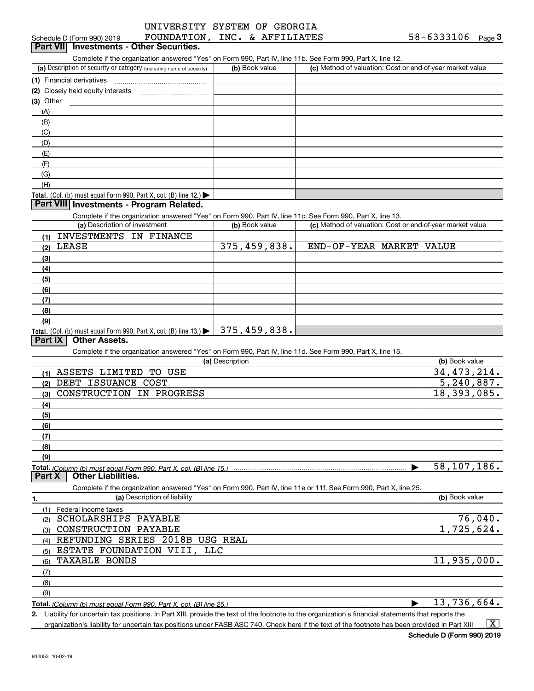| UNIVERSITY SYSTEM OF GEORGIA |      |   |
|------------------------------|------|---|
|                              |      |   |
| -----------                  | ---- | . |

#### (a) Description of security or category (including name of security)  $\vert$  (b) Book value  $\vert$  (c) Total. (Col. (b) must equal Form 990, Part X, col. (B) line 12.) **Total.**  (Col. (b) must equal Form 990, Part X, col. (B) line 13.) | 375,459,838. **(1)** Financial derivatives ~~~~~~~~~~~~~~~ **(2)** Closely held equity interests ~~~~~~~~~~~ **(3)** Other (a) Description of investment **b (b)** Book value **(1)**INVESTMENTS IN FINANCE **(2)**LEASE **(3)(4) (5)(6)(7)(8)(9)(a) (b)**  Description**(1)**ASSETS LIMITED TO USE **(2)(3)**CONSTRUCTION IN PROGRESS **(4)(5) (6)(7) (8)(9)Total.**  *(Column (b) must equal Form 990, Part X, col. (B) line 15.)* **1.(a)** Description of liability **Book value** Book value Book value Book value Book value **Total.**  *(Column (b) must equal Form 990, Part X, col. (B) line 25.)* **2.**Schedule D (Form 990) 2019  ${\hbox{FOUNDATION}}$  ,  ${\hbox{INC.}}$  &  ${\hbox{AFFILIATES}}$  58-6333106 Page Complete if the organization answered "Yes" on Form 990, Part IV, line 11b. See Form 990, Part X, line 12.  $(b)$  Book value  $\vert$  (c) Method of valuation: Cost or end-of-year market value (A)(B)(C)(D)(E)(F)(G)(H)Complete if the organization answered "Yes" on Form 990, Part IV, line 11c. See Form 990, Part X, line 13. (c) Method of valuation: Cost or end-of-year market value Complete if the organization answered "Yes" on Form 990, Part IV, line 11d. See Form 990, Part X, line 15. (b) Book value  $\blacktriangleright$ Complete if the organization answered "Yes" on Form 990, Part IV, line 11e or 11f. See Form 990, Part X, line 25. (1)Federal income taxes <sub>(2)</sub> SCHOLARSHIPS PAYABLE (3)(4)(5)ESTATE FOUNDATION VIII, LLC (6)(7)(8)(9) $\blacktriangleright$ Liability for uncertain tax positions. In Part XIII, provide the text of the footnote to the organization's financial statements that reports the organization's liability for uncertain tax positions under FASB ASC 740. Check here if the text of the footnote has been provided in Part XIII **Schedule D (Form 990) 2019 FOUNDATION**,<br>**Part VII Investments - Other Securities. Part VIII Investments - Program Related. Part IX Other Assets. Part X Other Liabilities.**  $\vert$  X  $\vert$ DEBT ISSUANCE COST CONSTRUCTION PAYABLE REFUNDING SERIES 2018B USG REAL TAXABLE BONDS 375,459,838. 34,473,214. 5,240,887. 18,393,085. 58,107,186. 76,040. 1,725,624. 11,935,000. 13,736,664. END-OF-YEAR MARKET VALUE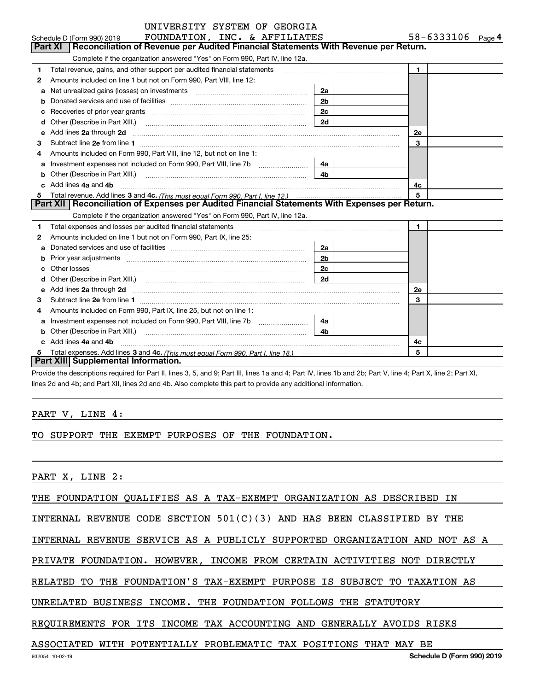|   | UNIVERSITY SYSTEM OF GEORGIA                                                                                                                                                                                                       |                |                   |
|---|------------------------------------------------------------------------------------------------------------------------------------------------------------------------------------------------------------------------------------|----------------|-------------------|
|   | FOUNDATION, INC. & AFFILIATES<br>Schedule D (Form 990) 2019                                                                                                                                                                        |                | 58-6333106 Page 4 |
|   | Reconciliation of Revenue per Audited Financial Statements With Revenue per Return.<br>Part XI                                                                                                                                     |                |                   |
|   | Complete if the organization answered "Yes" on Form 990, Part IV, line 12a.                                                                                                                                                        |                |                   |
| 1 | Total revenue, gains, and other support per audited financial statements                                                                                                                                                           |                | $\mathbf{1}$      |
| 2 | Amounts included on line 1 but not on Form 990, Part VIII, line 12:                                                                                                                                                                |                |                   |
| a | Net unrealized gains (losses) on investments [11] matter contracts and the unrealized gains (losses) on investments                                                                                                                | 2a             |                   |
|   |                                                                                                                                                                                                                                    | 2 <sub>b</sub> |                   |
| c |                                                                                                                                                                                                                                    | 2c             |                   |
| d |                                                                                                                                                                                                                                    | 2d             |                   |
| e | Add lines 2a through 2d                                                                                                                                                                                                            |                | 2e                |
| 3 |                                                                                                                                                                                                                                    |                | 3                 |
| 4 | Amounts included on Form 990, Part VIII, line 12, but not on line 1:                                                                                                                                                               |                |                   |
| a |                                                                                                                                                                                                                                    | 4a l           |                   |
|   | Other (Describe in Part XIII.) <b>COLOGIST:</b> (2001)                                                                                                                                                                             | 4b             |                   |
|   | Add lines 4a and 4b                                                                                                                                                                                                                |                | 4c                |
| 5 |                                                                                                                                                                                                                                    |                | 5                 |
|   | Part XII   Reconciliation of Expenses per Audited Financial Statements With Expenses per Return.                                                                                                                                   |                |                   |
|   | Complete if the organization answered "Yes" on Form 990, Part IV, line 12a.                                                                                                                                                        |                |                   |
| 1 |                                                                                                                                                                                                                                    |                | $\mathbf{1}$      |
| 2 | Amounts included on line 1 but not on Form 990, Part IX, line 25:                                                                                                                                                                  |                |                   |
| a |                                                                                                                                                                                                                                    | 2a             |                   |
|   |                                                                                                                                                                                                                                    | 2 <sub>b</sub> |                   |
|   |                                                                                                                                                                                                                                    | 2с             |                   |
| d |                                                                                                                                                                                                                                    | 2d             |                   |
| е | Add lines 2a through 2d <b>manufactures</b> in the contract of the contract of the contract of the contract of the contract of the contract of the contract of the contract of the contract of the contract of the contract of the |                | 2e                |
| з |                                                                                                                                                                                                                                    |                | 3                 |
| 4 | Amounts included on Form 990, Part IX, line 25, but not on line 1:                                                                                                                                                                 |                |                   |
| a |                                                                                                                                                                                                                                    | 4a -           |                   |
| b |                                                                                                                                                                                                                                    | 4 <sub>b</sub> |                   |
|   | c Add lines 4a and 4b                                                                                                                                                                                                              |                | 4c                |
| 5 |                                                                                                                                                                                                                                    |                | 5                 |
|   | Part XIII Supplemental Information.                                                                                                                                                                                                |                |                   |

Provide the descriptions required for Part II, lines 3, 5, and 9; Part III, lines 1a and 4; Part IV, lines 1b and 2b; Part V, line 4; Part X, line 2; Part XI, lines 2d and 4b; and Part XII, lines 2d and 4b. Also complete this part to provide any additional information.

## PART V, LINE 4:

TO SUPPORT THE EXEMPT PURPOSES OF THE FOUNDATION.

PART X, LINE 2:

THE FOUNDATION QUALIFIES AS A TAX-EXEMPT ORGANIZATION AS DESCRIBED IN

INTERNAL REVENUE CODE SECTION 501(C)(3) AND HAS BEEN CLASSIFIED BY THE

INTERNAL REVENUE SERVICE AS A PUBLICLY SUPPORTED ORGANIZATION AND NOT AS A

PRIVATE FOUNDATION. HOWEVER, INCOME FROM CERTAIN ACTIVITIES NOT DIRECTLY

RELATED TO THE FOUNDATION'S TAX-EXEMPT PURPOSE IS SUBJECT TO TAXATION AS

UNRELATED BUSINESS INCOME. THE FOUNDATION FOLLOWS THE STATUTORY

REQUIREMENTS FOR ITS INCOME TAX ACCOUNTING AND GENERALLY AVOIDS RISKS

## ASSOCIATED WITH POTENTIALLY PROBLEMATIC TAX POSITIONS THAT MAY BE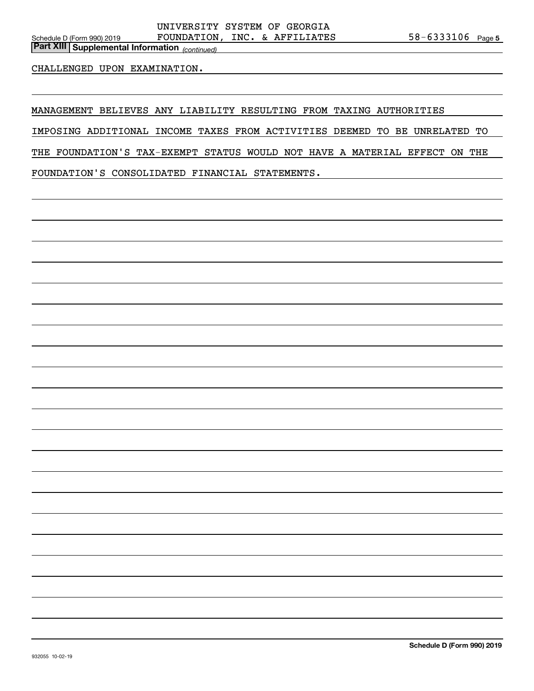*(continued)* **Part XIII Supplemental Information** 

### CHALLENGED UPON EXAMINATION.

MANAGEMENT BELIEVES ANY LIABILITY RESULTING FROM TAXING AUTHORITIES

IMPOSING ADDITIONAL INCOME TAXES FROM ACTIVITIES DEEMED TO BE UNRELATED TO

THE FOUNDATION'S TAX-EXEMPT STATUS WOULD NOT HAVE A MATERIAL EFFECT ON THE

FOUNDATION'S CONSOLIDATED FINANCIAL STATEMENTS.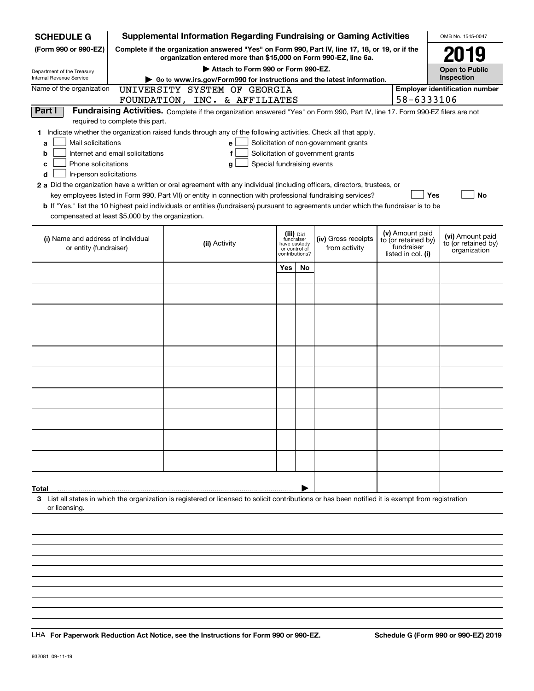| <b>SCHEDULE G</b>                                            |                                  | <b>Supplemental Information Regarding Fundraising or Gaming Activities</b>                                                                                          |                            |                                 |                                       |                                   | OMB No. 1545-0047                     |
|--------------------------------------------------------------|----------------------------------|---------------------------------------------------------------------------------------------------------------------------------------------------------------------|----------------------------|---------------------------------|---------------------------------------|-----------------------------------|---------------------------------------|
| (Form 990 or 990-EZ)                                         |                                  | Complete if the organization answered "Yes" on Form 990, Part IV, line 17, 18, or 19, or if the<br>organization entered more than \$15,000 on Form 990-EZ, line 6a. |                            |                                 |                                       |                                   | 2019                                  |
| Department of the Treasury                                   |                                  | Attach to Form 990 or Form 990-EZ.                                                                                                                                  |                            |                                 |                                       |                                   | <b>Open to Public</b>                 |
| <b>Internal Revenue Service</b>                              |                                  | Go to www.irs.gov/Form990 for instructions and the latest information.                                                                                              |                            |                                 |                                       |                                   | Inspection                            |
| Name of the organization                                     |                                  | UNIVERSITY SYSTEM OF GEORGIA                                                                                                                                        |                            |                                 |                                       |                                   | <b>Employer identification number</b> |
|                                                              |                                  | FOUNDATION, INC. & AFFILIATES                                                                                                                                       |                            |                                 |                                       | 58-6333106                        |                                       |
| Part I                                                       |                                  | Fundraising Activities. Complete if the organization answered "Yes" on Form 990, Part IV, line 17. Form 990-EZ filers are not                                       |                            |                                 |                                       |                                   |                                       |
|                                                              | required to complete this part.  | 1 Indicate whether the organization raised funds through any of the following activities. Check all that apply.                                                     |                            |                                 |                                       |                                   |                                       |
| Mail solicitations<br>a                                      |                                  | е                                                                                                                                                                   |                            |                                 | Solicitation of non-government grants |                                   |                                       |
| b                                                            | Internet and email solicitations | f                                                                                                                                                                   |                            |                                 | Solicitation of government grants     |                                   |                                       |
| Phone solicitations<br>c                                     |                                  | g                                                                                                                                                                   | Special fundraising events |                                 |                                       |                                   |                                       |
| In-person solicitations<br>d                                 |                                  |                                                                                                                                                                     |                            |                                 |                                       |                                   |                                       |
|                                                              |                                  | 2 a Did the organization have a written or oral agreement with any individual (including officers, directors, trustees, or                                          |                            |                                 |                                       |                                   |                                       |
|                                                              |                                  | key employees listed in Form 990, Part VII) or entity in connection with professional fundraising services?                                                         |                            |                                 |                                       | Yes                               | No                                    |
|                                                              |                                  | b If "Yes," list the 10 highest paid individuals or entities (fundraisers) pursuant to agreements under which the fundraiser is to be                               |                            |                                 |                                       |                                   |                                       |
| compensated at least \$5,000 by the organization.            |                                  |                                                                                                                                                                     |                            |                                 |                                       |                                   |                                       |
|                                                              |                                  |                                                                                                                                                                     |                            | (iii) Did<br>fundraiser         |                                       | (v) Amount paid                   | (vi) Amount paid                      |
| (i) Name and address of individual<br>or entity (fundraiser) |                                  | (ii) Activity                                                                                                                                                       |                            | have custody                    | (iv) Gross receipts<br>from activity  | to (or retained by)<br>fundraiser | to (or retained by)                   |
|                                                              |                                  |                                                                                                                                                                     |                            | or control of<br>contributions? |                                       | listed in col. (i)                | organization                          |
|                                                              |                                  |                                                                                                                                                                     | Yes                        | <b>No</b>                       |                                       |                                   |                                       |
|                                                              |                                  |                                                                                                                                                                     |                            |                                 |                                       |                                   |                                       |
|                                                              |                                  |                                                                                                                                                                     |                            |                                 |                                       |                                   |                                       |
|                                                              |                                  |                                                                                                                                                                     |                            |                                 |                                       |                                   |                                       |
|                                                              |                                  |                                                                                                                                                                     |                            |                                 |                                       |                                   |                                       |
|                                                              |                                  |                                                                                                                                                                     |                            |                                 |                                       |                                   |                                       |
|                                                              |                                  |                                                                                                                                                                     |                            |                                 |                                       |                                   |                                       |
|                                                              |                                  |                                                                                                                                                                     |                            |                                 |                                       |                                   |                                       |
|                                                              |                                  |                                                                                                                                                                     |                            |                                 |                                       |                                   |                                       |
|                                                              |                                  |                                                                                                                                                                     |                            |                                 |                                       |                                   |                                       |
|                                                              |                                  |                                                                                                                                                                     |                            |                                 |                                       |                                   |                                       |
|                                                              |                                  |                                                                                                                                                                     |                            |                                 |                                       |                                   |                                       |
|                                                              |                                  |                                                                                                                                                                     |                            |                                 |                                       |                                   |                                       |
|                                                              |                                  |                                                                                                                                                                     |                            |                                 |                                       |                                   |                                       |
|                                                              |                                  |                                                                                                                                                                     |                            |                                 |                                       |                                   |                                       |
|                                                              |                                  |                                                                                                                                                                     |                            |                                 |                                       |                                   |                                       |
|                                                              |                                  |                                                                                                                                                                     |                            |                                 |                                       |                                   |                                       |
|                                                              |                                  |                                                                                                                                                                     |                            |                                 |                                       |                                   |                                       |
|                                                              |                                  |                                                                                                                                                                     |                            |                                 |                                       |                                   |                                       |
| Total                                                        |                                  |                                                                                                                                                                     |                            |                                 |                                       |                                   |                                       |
| or licensing.                                                |                                  | 3 List all states in which the organization is registered or licensed to solicit contributions or has been notified it is exempt from registration                  |                            |                                 |                                       |                                   |                                       |
|                                                              |                                  |                                                                                                                                                                     |                            |                                 |                                       |                                   |                                       |
|                                                              |                                  |                                                                                                                                                                     |                            |                                 |                                       |                                   |                                       |
|                                                              |                                  |                                                                                                                                                                     |                            |                                 |                                       |                                   |                                       |
|                                                              |                                  |                                                                                                                                                                     |                            |                                 |                                       |                                   |                                       |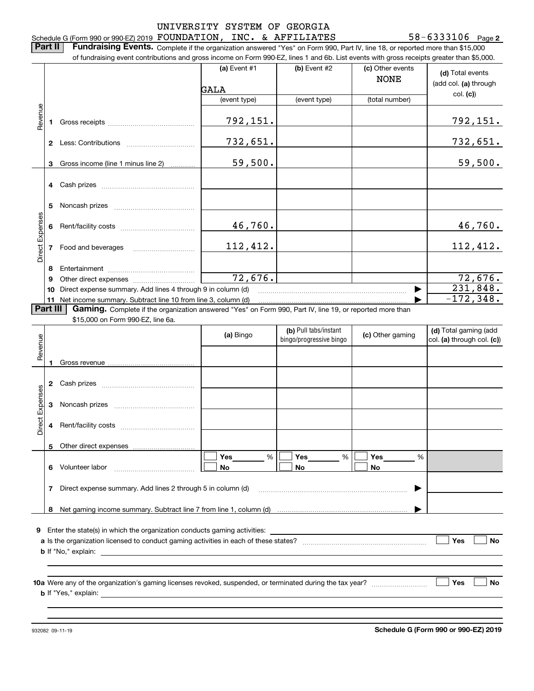**2** Schedule G (Form 990 or 990-EZ) 2019  ${\hbox{ FOUNDATION}}$  ,  ${\hbox{INC.}}$  &  ${\hbox{AFFLLIATES}}$   ${\hbox{58-6333106}}$   ${\hbox{ Page}}$ 

**Part II** | Fundraising Events. Complete if the organization answered "Yes" on Form 990, Part IV, line 18, or reported more than \$15,000 of fundraising event contributions and gross income on Form 990-EZ, lines 1 and 6b. List events with gross receipts greater than \$5,000.

|                 |          | of fundraising event contributions and gross income on Form 990-EZ, lines 1 and 6D. List events with gross receipts greater than \$5,000. |                        |                                                  |                                 |                                                     |
|-----------------|----------|-------------------------------------------------------------------------------------------------------------------------------------------|------------------------|--------------------------------------------------|---------------------------------|-----------------------------------------------------|
|                 |          |                                                                                                                                           | (a) Event $#1$<br>GALA | $(b)$ Event #2                                   | (c) Other events<br><b>NONE</b> | (d) Total events<br>(add col. (a) through           |
|                 |          |                                                                                                                                           | (event type)           | (event type)                                     | (total number)                  | col. (c)                                            |
|                 |          |                                                                                                                                           |                        |                                                  |                                 |                                                     |
| Revenue         | 1.       |                                                                                                                                           | 792,151.               |                                                  |                                 | 792, 151.                                           |
|                 |          |                                                                                                                                           | 732,651.               |                                                  |                                 | 732,651.                                            |
|                 |          | 3 Gross income (line 1 minus line 2)                                                                                                      | 59,500.                |                                                  |                                 | 59,500.                                             |
|                 |          |                                                                                                                                           |                        |                                                  |                                 |                                                     |
|                 |          |                                                                                                                                           |                        |                                                  |                                 |                                                     |
|                 |          |                                                                                                                                           | 46,760.                |                                                  |                                 | 46,760.                                             |
| Direct Expenses |          | 7 Food and beverages                                                                                                                      | 112,412.               |                                                  |                                 | 112,412.                                            |
|                 | 8        |                                                                                                                                           |                        |                                                  |                                 |                                                     |
|                 | 9        |                                                                                                                                           | 72,676.                |                                                  |                                 | 72,676.                                             |
|                 |          | 10 Direct expense summary. Add lines 4 through 9 in column (d)                                                                            |                        |                                                  |                                 | 231,848.                                            |
|                 |          | 11 Net income summary. Subtract line 10 from line 3, column (d)                                                                           |                        |                                                  |                                 | $-172,348.$                                         |
|                 | Part III | Gaming. Complete if the organization answered "Yes" on Form 990, Part IV, line 19, or reported more than                                  |                        |                                                  |                                 |                                                     |
|                 |          | \$15,000 on Form 990-EZ, line 6a.                                                                                                         |                        |                                                  |                                 |                                                     |
| Revenue         |          |                                                                                                                                           | (a) Bingo              | (b) Pull tabs/instant<br>bingo/progressive bingo | (c) Other gaming                | (d) Total gaming (add<br>col. (a) through col. (c)) |
|                 | 1        |                                                                                                                                           |                        |                                                  |                                 |                                                     |
|                 |          |                                                                                                                                           |                        |                                                  |                                 |                                                     |
| Direct Expenses | 3        |                                                                                                                                           |                        |                                                  |                                 |                                                     |
|                 |          |                                                                                                                                           |                        |                                                  |                                 |                                                     |
|                 |          | 5 Other direct expenses                                                                                                                   |                        |                                                  |                                 |                                                     |
|                 | 6        | Volunteer labor                                                                                                                           | %<br>Yes<br>No         | Yes<br>%<br>No                                   | Yes<br>%<br>No                  |                                                     |
|                 | 7        | Direct expense summary. Add lines 2 through 5 in column (d)                                                                               |                        |                                                  |                                 |                                                     |
|                 |          |                                                                                                                                           |                        |                                                  |                                 |                                                     |
|                 | 8        |                                                                                                                                           |                        |                                                  |                                 |                                                     |
|                 |          | <b>9</b> Enter the state(s) in which the organization conducts gaming activities:                                                         |                        |                                                  |                                 |                                                     |
|                 |          | <b>b</b> If "No," explain:                                                                                                                |                        |                                                  |                                 | Yes<br><b>No</b>                                    |
|                 |          |                                                                                                                                           |                        |                                                  |                                 |                                                     |
|                 |          | <b>b</b> If "Yes," explain: <b>b</b> If "Yes," explain:                                                                                   |                        |                                                  |                                 | Yes<br>No                                           |
|                 |          |                                                                                                                                           |                        |                                                  |                                 |                                                     |
|                 |          |                                                                                                                                           |                        |                                                  |                                 |                                                     |

932082 09-11-19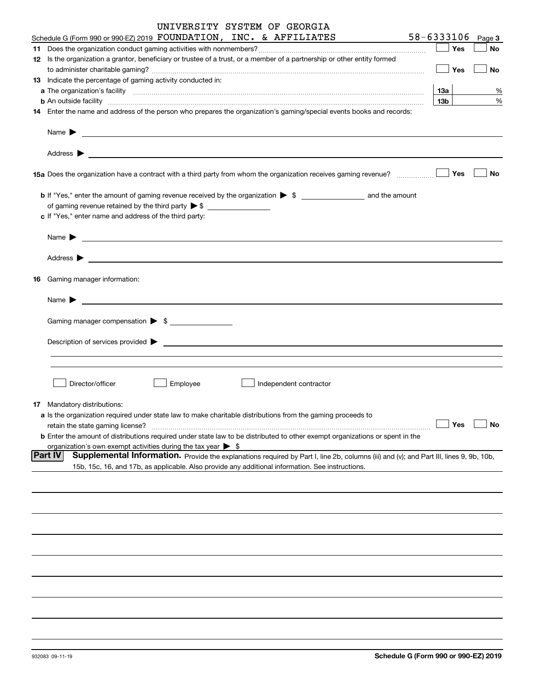| UNIVERSITY SYSTEM OF GEORGIA                                                                                                                                                                                                                                                                                                                                      |            |                              |              |
|-------------------------------------------------------------------------------------------------------------------------------------------------------------------------------------------------------------------------------------------------------------------------------------------------------------------------------------------------------------------|------------|------------------------------|--------------|
| 58-6333106<br>Schedule G (Form 990 or 990-EZ) 2019 FOUNDATION, INC. & AFFILIATES<br>the control of the control of                                                                                                                                                                                                                                                 |            |                              | Page 3       |
|                                                                                                                                                                                                                                                                                                                                                                   |            | Yes                          | No           |
| 12 Is the organization a grantor, beneficiary or trustee of a trust, or a member of a partnership or other entity formed                                                                                                                                                                                                                                          |            |                              |              |
|                                                                                                                                                                                                                                                                                                                                                                   |            | $\overline{\phantom{a}}$ Yes | No           |
| 13 Indicate the percentage of gaming activity conducted in:                                                                                                                                                                                                                                                                                                       |            |                              |              |
|                                                                                                                                                                                                                                                                                                                                                                   | 13а<br>13b |                              |              |
| <b>b</b> An outside facility <i>www.communicality communicality communicality communicality communicality communicality communicality communicality communicality communicality communicality communicality communicality communicali</i><br>14 Enter the name and address of the person who prepares the organization's gaming/special events books and records: |            |                              |              |
|                                                                                                                                                                                                                                                                                                                                                                   |            |                              |              |
|                                                                                                                                                                                                                                                                                                                                                                   |            |                              |              |
|                                                                                                                                                                                                                                                                                                                                                                   |            |                              |              |
|                                                                                                                                                                                                                                                                                                                                                                   |            |                              |              |
|                                                                                                                                                                                                                                                                                                                                                                   |            | Yes                          | No           |
|                                                                                                                                                                                                                                                                                                                                                                   |            |                              |              |
| of gaming revenue retained by the third party $\triangleright$ \$                                                                                                                                                                                                                                                                                                 |            |                              |              |
| c If "Yes," enter name and address of the third party:                                                                                                                                                                                                                                                                                                            |            |                              |              |
|                                                                                                                                                                                                                                                                                                                                                                   |            |                              |              |
|                                                                                                                                                                                                                                                                                                                                                                   |            |                              |              |
|                                                                                                                                                                                                                                                                                                                                                                   |            |                              |              |
|                                                                                                                                                                                                                                                                                                                                                                   |            |                              |              |
| 16 Gaming manager information:                                                                                                                                                                                                                                                                                                                                    |            |                              |              |
|                                                                                                                                                                                                                                                                                                                                                                   |            |                              |              |
|                                                                                                                                                                                                                                                                                                                                                                   |            |                              |              |
|                                                                                                                                                                                                                                                                                                                                                                   |            |                              |              |
| Gaming manager compensation > \$                                                                                                                                                                                                                                                                                                                                  |            |                              |              |
| Description of services provided states and the service of the service of the services provided states are not                                                                                                                                                                                                                                                    |            |                              |              |
|                                                                                                                                                                                                                                                                                                                                                                   |            |                              |              |
|                                                                                                                                                                                                                                                                                                                                                                   |            |                              |              |
|                                                                                                                                                                                                                                                                                                                                                                   |            |                              |              |
| Director/officer<br>Employee<br>Independent contractor                                                                                                                                                                                                                                                                                                            |            |                              |              |
|                                                                                                                                                                                                                                                                                                                                                                   |            |                              |              |
| <b>17</b> Mandatory distributions:                                                                                                                                                                                                                                                                                                                                |            |                              |              |
| a Is the organization required under state law to make charitable distributions from the gaming proceeds to<br>retain the state gaming license?                                                                                                                                                                                                                   |            | Yes                          |              |
| <b>b</b> Enter the amount of distributions required under state law to be distributed to other exempt organizations or spent in the                                                                                                                                                                                                                               |            |                              |              |
| organization's own exempt activities during the tax year > \$                                                                                                                                                                                                                                                                                                     |            |                              |              |
| <b>Part IV</b><br>Supplemental Information. Provide the explanations required by Part I, line 2b, columns (iii) and (v); and Part III, lines 9, 9b, 10b,                                                                                                                                                                                                          |            |                              |              |
| 15b, 15c, 16, and 17b, as applicable. Also provide any additional information. See instructions.                                                                                                                                                                                                                                                                  |            |                              |              |
|                                                                                                                                                                                                                                                                                                                                                                   |            |                              |              |
|                                                                                                                                                                                                                                                                                                                                                                   |            |                              |              |
|                                                                                                                                                                                                                                                                                                                                                                   |            |                              |              |
|                                                                                                                                                                                                                                                                                                                                                                   |            |                              |              |
|                                                                                                                                                                                                                                                                                                                                                                   |            |                              |              |
|                                                                                                                                                                                                                                                                                                                                                                   |            |                              |              |
|                                                                                                                                                                                                                                                                                                                                                                   |            |                              |              |
|                                                                                                                                                                                                                                                                                                                                                                   |            |                              |              |
|                                                                                                                                                                                                                                                                                                                                                                   |            |                              |              |
|                                                                                                                                                                                                                                                                                                                                                                   |            |                              | %<br>%<br>No |
|                                                                                                                                                                                                                                                                                                                                                                   |            |                              |              |
|                                                                                                                                                                                                                                                                                                                                                                   |            |                              |              |
|                                                                                                                                                                                                                                                                                                                                                                   |            |                              |              |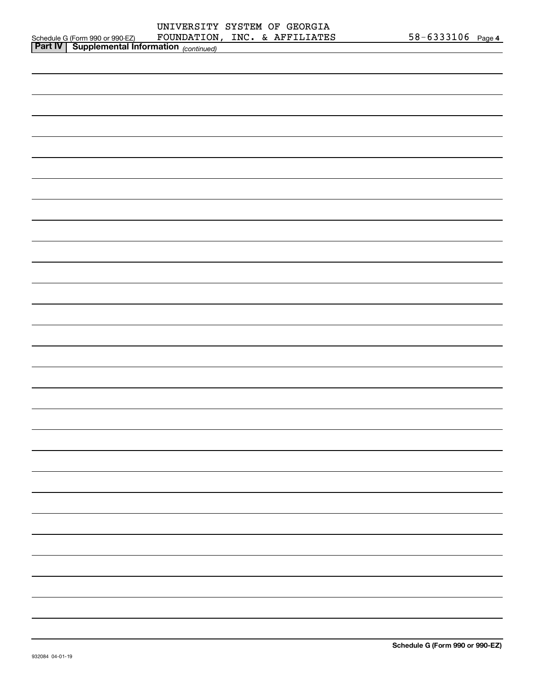|                                                          |  | UNIVERSITY SYSTEM OF GEORGIA  |                       |  |
|----------------------------------------------------------|--|-------------------------------|-----------------------|--|
| Schedule G (Form 990 or 990-EZ)                          |  | FOUNDATION, INC. & AFFILIATES | $58 - 6333106$ Page 4 |  |
| <b>Part IV</b> Supplemental Information $\text{control}$ |  |                               |                       |  |

| <b>Part IV</b> Supplemental Information (continued) |  |  |
|-----------------------------------------------------|--|--|
|                                                     |  |  |
|                                                     |  |  |
|                                                     |  |  |
|                                                     |  |  |
|                                                     |  |  |
|                                                     |  |  |
|                                                     |  |  |
|                                                     |  |  |
|                                                     |  |  |
|                                                     |  |  |
|                                                     |  |  |
|                                                     |  |  |
|                                                     |  |  |
|                                                     |  |  |
|                                                     |  |  |
|                                                     |  |  |
|                                                     |  |  |
|                                                     |  |  |
|                                                     |  |  |
|                                                     |  |  |
|                                                     |  |  |
|                                                     |  |  |
|                                                     |  |  |
|                                                     |  |  |
|                                                     |  |  |
|                                                     |  |  |
|                                                     |  |  |
|                                                     |  |  |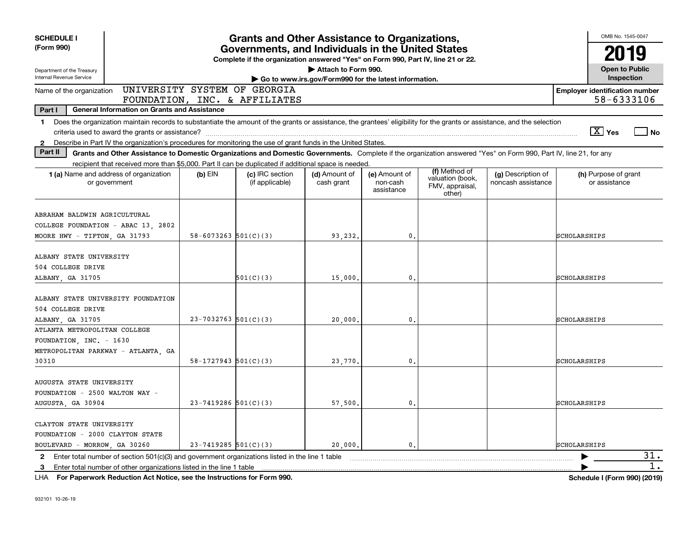| <b>SCHEDULE I</b>                                                                                                                                                                                                                                                                                                        |                                                               | <b>Grants and Other Assistance to Organizations,</b>                                                                                  |                                                                              |                                         |                                                                |                                          |              | OMB No. 1545-0047                                   |           |
|--------------------------------------------------------------------------------------------------------------------------------------------------------------------------------------------------------------------------------------------------------------------------------------------------------------------------|---------------------------------------------------------------|---------------------------------------------------------------------------------------------------------------------------------------|------------------------------------------------------------------------------|-----------------------------------------|----------------------------------------------------------------|------------------------------------------|--------------|-----------------------------------------------------|-----------|
| (Form 990)                                                                                                                                                                                                                                                                                                               |                                                               | Governments, and Individuals in the United States<br>Complete if the organization answered "Yes" on Form 990, Part IV, line 21 or 22. |                                                                              |                                         |                                                                |                                          |              | 2019                                                |           |
| Department of the Treasury<br>Internal Revenue Service                                                                                                                                                                                                                                                                   |                                                               |                                                                                                                                       | Attach to Form 990.<br>Go to www.irs.gov/Form990 for the latest information. |                                         |                                                                |                                          |              | <b>Open to Public</b><br>Inspection                 |           |
| Name of the organization                                                                                                                                                                                                                                                                                                 | UNIVERSITY SYSTEM OF GEORGIA<br>FOUNDATION, INC. & AFFILIATES |                                                                                                                                       |                                                                              |                                         |                                                                |                                          |              | <b>Employer identification number</b><br>58-6333106 |           |
| Part I<br><b>General Information on Grants and Assistance</b>                                                                                                                                                                                                                                                            |                                                               |                                                                                                                                       |                                                                              |                                         |                                                                |                                          |              |                                                     |           |
| Does the organization maintain records to substantiate the amount of the grants or assistance, the grantees' eligibility for the grants or assistance, and the selection<br>$\mathbf 1$<br>Describe in Part IV the organization's procedures for monitoring the use of grant funds in the United States.<br>$\mathbf{2}$ |                                                               |                                                                                                                                       |                                                                              |                                         |                                                                |                                          |              | $\boxed{\text{X}}$ Yes                              | $ $ No    |
| Part II<br>Grants and Other Assistance to Domestic Organizations and Domestic Governments. Complete if the organization answered "Yes" on Form 990, Part IV, line 21, for any                                                                                                                                            |                                                               |                                                                                                                                       |                                                                              |                                         |                                                                |                                          |              |                                                     |           |
| recipient that received more than \$5,000. Part II can be duplicated if additional space is needed.                                                                                                                                                                                                                      |                                                               |                                                                                                                                       |                                                                              |                                         |                                                                |                                          |              |                                                     |           |
| 1 (a) Name and address of organization<br>or government                                                                                                                                                                                                                                                                  | $(b)$ EIN                                                     | (c) IRC section<br>(if applicable)                                                                                                    | (d) Amount of<br>cash grant                                                  | (e) Amount of<br>non-cash<br>assistance | (f) Method of<br>valuation (book,<br>FMV, appraisal,<br>other) | (g) Description of<br>noncash assistance |              | (h) Purpose of grant<br>or assistance               |           |
| ABRAHAM BALDWIN AGRICULTURAL<br>COLLEGE FOUNDATION - ABAC 13, 2802<br>MOORE HWY - TIFTON, GA 31793                                                                                                                                                                                                                       | $58 - 6073263$ $501(C)(3)$                                    |                                                                                                                                       | 93,232.                                                                      | 0.                                      |                                                                |                                          | SCHOLARSHIPS |                                                     |           |
| ALBANY STATE UNIVERSITY<br>504 COLLEGE DRIVE<br>ALBANY, GA 31705                                                                                                                                                                                                                                                         |                                                               | 501(C)(3)                                                                                                                             | 15,000                                                                       | $\mathbf{0}$ .                          |                                                                |                                          | SCHOLARSHIPS |                                                     |           |
| ALBANY STATE UNIVERSITY FOUNDATION<br>504 COLLEGE DRIVE<br>ALBANY, GA 31705                                                                                                                                                                                                                                              | $23 - 7032763$ 501(C)(3)                                      |                                                                                                                                       | 20,000                                                                       | 0.                                      |                                                                |                                          | SCHOLARSHIPS |                                                     |           |
| ATLANTA METROPOLITAN COLLEGE<br>FOUNDATION, INC. - 1630<br>METROPOLITAN PARKWAY - ATLANTA, GA<br>30310                                                                                                                                                                                                                   | $58-1727943$ $501(C)(3)$                                      |                                                                                                                                       | 23,770.                                                                      | 0.                                      |                                                                |                                          | SCHOLARSHIPS |                                                     |           |
| AUGUSTA STATE UNIVERSITY<br>FOUNDATION - 2500 WALTON WAY -<br>AUGUSTA, GA 30904                                                                                                                                                                                                                                          | $23 - 7419286$ 501(C)(3)                                      |                                                                                                                                       | 57,500.                                                                      | 0.                                      |                                                                |                                          | SCHOLARSHIPS |                                                     |           |
| CLAYTON STATE UNIVERSITY<br>FOUNDATION - 2000 CLAYTON STATE<br>BOULEVARD - MORROW, GA 30260                                                                                                                                                                                                                              | $23 - 7419285$ 501(C)(3)                                      |                                                                                                                                       | 20,000.                                                                      | 0.                                      |                                                                |                                          | SCHOLARSHIPS |                                                     |           |
| 2 Enter total number of section 501(c)(3) and government organizations listed in the line 1 table<br>3 Enter total number of other organizations listed in the line 1 table                                                                                                                                              |                                                               |                                                                                                                                       |                                                                              |                                         |                                                                |                                          |              |                                                     | 31.<br>1. |
|                                                                                                                                                                                                                                                                                                                          |                                                               |                                                                                                                                       |                                                                              |                                         |                                                                |                                          |              |                                                     |           |

**For Paperwork Reduction Act Notice, see the Instructions for Form 990. Schedule I (Form 990) (2019)** LHA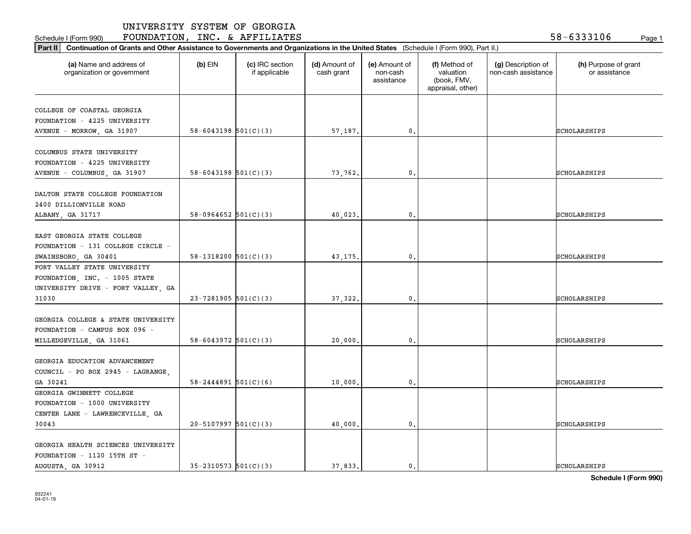**Part II Continuation of Grants and Other Assistance to Governments and Organizations in the United States**  (Schedule I (Form 990), Part II.)

Schedule I (Form 990) **FOUNDATION, INC. & AFFILIATES** 5 8-6 3 3 3 1 0 6 Page 1

| (a) Name and address of<br>organization or government | $(b)$ EIN                  | (c) IRC section<br>if applicable | (d) Amount of<br>cash grant | (e) Amount of<br>non-cash<br>assistance | (f) Method of<br>valuation<br>(book, FMV,<br>appraisal, other) | (g) Description of<br>non-cash assistance | (h) Purpose of grant<br>or assistance |
|-------------------------------------------------------|----------------------------|----------------------------------|-----------------------------|-----------------------------------------|----------------------------------------------------------------|-------------------------------------------|---------------------------------------|
| COLLEGE OF COASTAL GEORGIA                            |                            |                                  |                             |                                         |                                                                |                                           |                                       |
| FOUNDATION - 4225 UNIVERSITY                          |                            |                                  |                             |                                         |                                                                |                                           |                                       |
| AVENUE - MORROW, GA 31907                             | $58 - 6043198$ $501(C)(3)$ |                                  | 57,187.                     | 0.                                      |                                                                |                                           | SCHOLARSHIPS                          |
|                                                       |                            |                                  |                             |                                         |                                                                |                                           |                                       |
| COLUMBUS STATE UNIVERSITY                             |                            |                                  |                             |                                         |                                                                |                                           |                                       |
| FOUNDATION - 4225 UNIVERSITY                          |                            |                                  |                             |                                         |                                                                |                                           |                                       |
| AVENUE - COLUMBUS, GA 31907                           | $58 - 6043198$ $501(C)(3)$ |                                  | 73,762.                     | 0.                                      |                                                                |                                           | SCHOLARSHIPS                          |
|                                                       |                            |                                  |                             |                                         |                                                                |                                           |                                       |
| DALTON STATE COLLEGE FOUNDATION                       |                            |                                  |                             |                                         |                                                                |                                           |                                       |
| 2400 DILLIONVILLE ROAD                                |                            |                                  |                             |                                         |                                                                |                                           |                                       |
| ALBANY, GA 31717                                      | $58-0964652$ $501(C)(3)$   |                                  | 40,023.                     | 0.                                      |                                                                |                                           | SCHOLARSHIPS                          |
|                                                       |                            |                                  |                             |                                         |                                                                |                                           |                                       |
| EAST GEORGIA STATE COLLEGE                            |                            |                                  |                             |                                         |                                                                |                                           |                                       |
| FOUNDATION - 131 COLLEGE CIRCLE -                     |                            |                                  |                             |                                         |                                                                |                                           |                                       |
| SWAINSBORO, GA 30401                                  | 58-1318200 $501(C)(3)$     |                                  | 43,175.                     | 0.                                      |                                                                |                                           | SCHOLARSHIPS                          |
| FORT VALLEY STATE UNIVERSITY                          |                            |                                  |                             |                                         |                                                                |                                           |                                       |
| FOUNDATION, INC. - 1005 STATE                         |                            |                                  |                             |                                         |                                                                |                                           |                                       |
| UNIVERSITY DRIVE - FORT VALLEY, GA                    |                            |                                  |                             |                                         |                                                                |                                           |                                       |
| 31030                                                 | $23 - 7281905$ 501(C)(3)   |                                  | 37,322.                     | $\mathbf{0}$ .                          |                                                                |                                           | SCHOLARSHIPS                          |
|                                                       |                            |                                  |                             |                                         |                                                                |                                           |                                       |
| GEORGIA COLLEGE & STATE UNIVERSITY                    |                            |                                  |                             |                                         |                                                                |                                           |                                       |
| FOUNDATION - CAMPUS BOX 096 -                         |                            |                                  |                             |                                         |                                                                |                                           |                                       |
| MILLEDGEVILLE, GA 31061                               | $58 - 6043972$ $501(C)(3)$ |                                  | 20,000                      | 0.                                      |                                                                |                                           | SCHOLARSHIPS                          |
|                                                       |                            |                                  |                             |                                         |                                                                |                                           |                                       |
| GEORGIA EDUCATION ADVANCEMENT                         |                            |                                  |                             |                                         |                                                                |                                           |                                       |
| COUNCIL - PO BOX 2945 - LAGRANGE,                     |                            |                                  |                             |                                         |                                                                |                                           |                                       |
| GA 30241                                              | $58 - 2444891$ $501(C)(6)$ |                                  | 10,000                      | 0.                                      |                                                                |                                           | SCHOLARSHIPS                          |
| GEORGIA GWINNETT COLLEGE                              |                            |                                  |                             |                                         |                                                                |                                           |                                       |
| FOUNDATION - 1000 UNIVERSITY                          |                            |                                  |                             |                                         |                                                                |                                           |                                       |
| CENTER LANE - LAWRENCEVILLE, GA                       |                            |                                  |                             |                                         |                                                                |                                           |                                       |
| 30043                                                 | $20 - 5107997$ 501(C)(3)   |                                  | 40,000.                     | 0.                                      |                                                                |                                           | SCHOLARSHIPS                          |
|                                                       |                            |                                  |                             |                                         |                                                                |                                           |                                       |
| GEORGIA HEALTH SCIENCES UNIVERSITY                    |                            |                                  |                             |                                         |                                                                |                                           |                                       |
| FOUNDATION - 1120 15TH ST -                           |                            |                                  |                             |                                         |                                                                |                                           |                                       |

AUGUSTA, GA 30912 | 35-2310573 501(C)(3) | 37,833. 0. 0.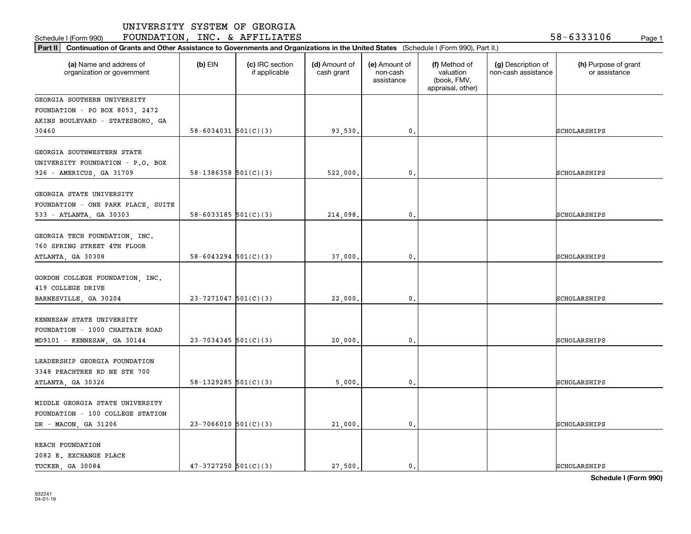**Part II Continuation of Grants and Other Assistance to Governments and Organizations in the United States**  (Schedule I (Form 990), Part II.)

Schedule I (Form 990) **FOUNDATION, INC. & AFFILIATES** 5 8-6 3 3 3 1 0 6 Page 1

| (a) Name and address of<br>organization or government                                       | $(b)$ EIN                  | (c) IRC section<br>if applicable | (d) Amount of<br>cash grant | (e) Amount of<br>non-cash<br>assistance | (f) Method of<br>valuation<br>(book, FMV,<br>appraisal, other) | (g) Description of<br>non-cash assistance | (h) Purpose of grant<br>or assistance |
|---------------------------------------------------------------------------------------------|----------------------------|----------------------------------|-----------------------------|-----------------------------------------|----------------------------------------------------------------|-------------------------------------------|---------------------------------------|
| GEORGIA SOUTHERN UNIVERSITY                                                                 |                            |                                  |                             |                                         |                                                                |                                           |                                       |
| FOUNDATION - PO BOX 8053, 2472                                                              |                            |                                  |                             |                                         |                                                                |                                           |                                       |
| AKINS BOULEVARD - STATESBORO, GA                                                            |                            |                                  |                             |                                         |                                                                |                                           |                                       |
| 30460                                                                                       | $58 - 6034031$ $501(C)(3)$ |                                  | 93,530,                     | $\mathbf{0}$ .                          |                                                                |                                           | <b>SCHOLARSHIPS</b>                   |
| GEORGIA SOUTHWESTERN STATE                                                                  |                            |                                  |                             |                                         |                                                                |                                           |                                       |
| UNIVERSITY FOUNDATION - P.O. BOX                                                            |                            |                                  |                             |                                         |                                                                |                                           |                                       |
|                                                                                             | 58-1386358 $501(C)(3)$     |                                  | 522,000.                    | 0.                                      |                                                                |                                           | SCHOLARSHIPS                          |
| 926 - AMERICUS, GA 31709                                                                    |                            |                                  |                             |                                         |                                                                |                                           |                                       |
| GEORGIA STATE UNIVERSITY                                                                    |                            |                                  |                             |                                         |                                                                |                                           |                                       |
| FOUNDATION - ONE PARK PLACE, SUITE                                                          |                            |                                  |                             |                                         |                                                                |                                           |                                       |
| 533 - ATLANTA, GA 30303                                                                     | 58-6033185 $501(C)(3)$     |                                  | 214,098.                    | $\mathbf{0}$ .                          |                                                                |                                           | SCHOLARSHIPS                          |
| GEORGIA TECH FOUNDATION, INC.<br>760 SPRING STREET 4TH FLOOR<br>ATLANTA, GA 30308           | $58 - 6043294$ $501(C)(3)$ |                                  | 37,000.                     | 0.                                      |                                                                |                                           | SCHOLARSHIPS                          |
| GORDON COLLEGE FOUNDATION, INC.<br>419 COLLEGE DRIVE<br>BARNESVILLE, GA 30204               | $23 - 7271047$ 501(C)(3)   |                                  | 22,000.                     | 0.                                      |                                                                |                                           | SCHOLARSHIPS                          |
| KENNESAW STATE UNIVERSITY<br>FOUNDATION - 1000 CHASTAIN ROAD<br>MD9101 - KENNESAW, GA 30144 | $23 - 7034345$ 501(C)(3)   |                                  | 20,000                      | $\mathsf{0}\,$ .                        |                                                                |                                           | SCHOLARSHIPS                          |
| LEADERSHIP GEORGIA FOUNDATION<br>3348 PEACHTREE RD NE STE 700<br>ATLANTA, GA 30326          | 58-1329285 $501(C)(3)$     |                                  | 5,000                       | 0.                                      |                                                                |                                           | SCHOLARSHIPS                          |
| MIDDLE GEORGIA STATE UNIVERSITY<br>FOUNDATION - 100 COLLEGE STATION<br>DR - MACON, GA 31206 | $23-7066010$ 501(C)(3)     |                                  | 21,000.                     | 0.                                      |                                                                |                                           | SCHOLARSHIPS                          |
| REACH FOUNDATION<br>2082 E. EXCHANGE PLACE<br>TUCKER GA 30084                               | $47-3727250$ $501(C)(3)$   |                                  | 27,500.                     | $\mathbf{0}$ .                          |                                                                |                                           | <b>SCHOLARSHIPS</b>                   |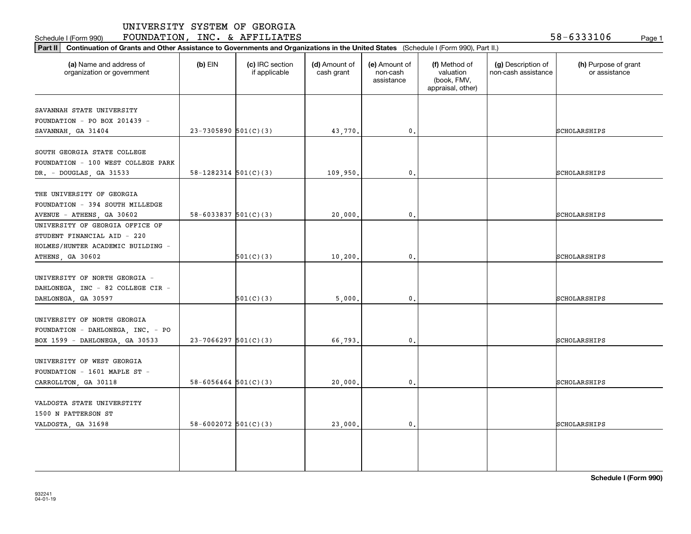Schedule I (Form 990) **FOUNDATION, INC. & AFFILIATES** 5 8-6 3 3 3 1 0 6 <sub>Page 1</sub>

| (a) Name and address of<br>organization or government                                               | $(b)$ EIN                  | (c) IRC section<br>if applicable | (d) Amount of<br>cash grant | (e) Amount of<br>non-cash<br>assistance | (f) Method of<br>valuation<br>(book, FMV,<br>appraisal, other) | (g) Description of<br>non-cash assistance | (h) Purpose of grant<br>or assistance |
|-----------------------------------------------------------------------------------------------------|----------------------------|----------------------------------|-----------------------------|-----------------------------------------|----------------------------------------------------------------|-------------------------------------------|---------------------------------------|
| SAVANNAH STATE UNIVERSITY                                                                           |                            |                                  |                             |                                         |                                                                |                                           |                                       |
| FOUNDATION - PO BOX 201439 -                                                                        |                            |                                  |                             |                                         |                                                                |                                           |                                       |
| SAVANNAH, GA 31404                                                                                  | $23-7305890$ $501(C)(3)$   |                                  | 43,770.                     | $\mathbf{0}$                            |                                                                |                                           | SCHOLARSHIPS                          |
| SOUTH GEORGIA STATE COLLEGE<br>FOUNDATION - 100 WEST COLLEGE PARK                                   |                            |                                  |                             |                                         |                                                                |                                           |                                       |
| DR. - DOUGLAS, GA 31533                                                                             | $58 - 1282314$ $501(C)(3)$ |                                  | 109,950.                    | $\mathbf{0}$                            |                                                                |                                           | SCHOLARSHIPS                          |
| THE UNIVERSITY OF GEORGIA<br>FOUNDATION - 394 SOUTH MILLEDGE<br>AVENUE - ATHENS, GA 30602           | $58 - 6033837$ $501(C)(3)$ |                                  | 20,000.                     | 0.                                      |                                                                |                                           | SCHOLARSHIPS                          |
| UNIVERSITY OF GEORGIA OFFICE OF<br>STUDENT FINANCIAL AID - 220<br>HOLMES/HUNTER ACADEMIC BUILDING - |                            |                                  |                             |                                         |                                                                |                                           |                                       |
| ATHENS, GA 30602                                                                                    |                            | 501(C)(3)                        | 10, 200.                    | 0.                                      |                                                                |                                           | SCHOLARSHIPS                          |
| UNIVERSITY OF NORTH GEORGIA -<br>DAHLONEGA, INC - 82 COLLEGE CIR -<br>DAHLONEGA, GA 30597           |                            | 501(C)(3)                        | 5,000,                      | 0.                                      |                                                                |                                           | SCHOLARSHIPS                          |
| UNIVERSITY OF NORTH GEORGIA<br>FOUNDATION - DAHLONEGA, INC. - PO                                    |                            |                                  |                             |                                         |                                                                |                                           |                                       |
| BOX 1599 - DAHLONEGA, GA 30533                                                                      | $23-7066297$ 501(C)(3)     |                                  | 66,793.                     | 0.                                      |                                                                |                                           | SCHOLARSHIPS                          |
| UNIVERSITY OF WEST GEORGIA<br>FOUNDATION - 1601 MAPLE ST -<br>CARROLLTON, GA 30118                  | $58 - 6056464$ $501(C)(3)$ |                                  | 20,000.                     | $\mathbf{0}$ .                          |                                                                |                                           | SCHOLARSHIPS                          |
| VALDOSTA STATE UNIVERSTITY<br>1500 N PATTERSON ST                                                   |                            |                                  |                             |                                         |                                                                |                                           |                                       |
| VALDOSTA, GA 31698                                                                                  | 58-6002072 $501(C)(3)$     |                                  | 23,000.                     | $\mathbf{0}$ .                          |                                                                |                                           | SCHOLARSHIPS                          |

**Schedule I (Form 990)**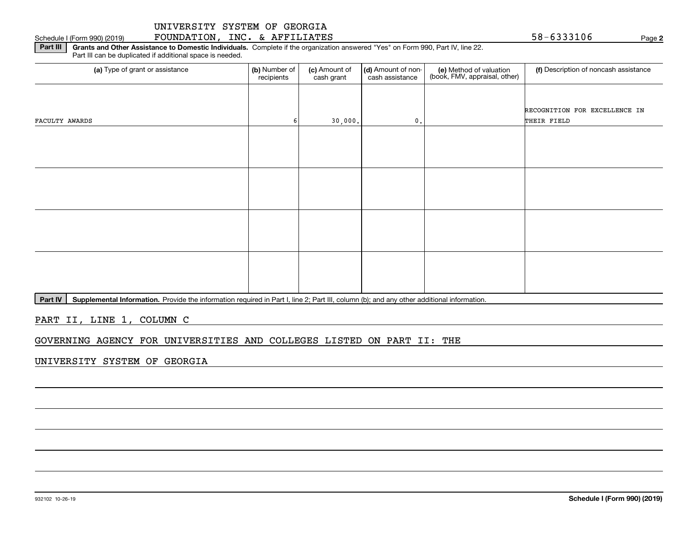#### Schedule I (Form 990) (2019) **FOUNDATION, INC. & AFFILIATES** 5 8-6 3 3 3 1 0 6 Page

**2**

**Part III | Grants and Other Assistance to Domestic Individuals. Complete if the organization answered "Yes" on Form 990, Part IV, line 22.** Part III can be duplicated if additional space is needed.

| (b) Number of<br>recipients | (c) Amount of<br>cash grant | cash assistance | (e) Method of valuation<br>(book, FMV, appraisal, other) | (f) Description of noncash assistance |
|-----------------------------|-----------------------------|-----------------|----------------------------------------------------------|---------------------------------------|
|                             |                             |                 |                                                          |                                       |
|                             |                             |                 |                                                          | RECOGNITION FOR EXCELLENCE IN         |
|                             |                             | $\mathbf{0}$ .  |                                                          | THEIR FIELD                           |
|                             |                             |                 |                                                          |                                       |
|                             |                             |                 |                                                          |                                       |
|                             |                             |                 |                                                          |                                       |
|                             |                             |                 |                                                          |                                       |
|                             |                             |                 |                                                          |                                       |
|                             |                             |                 |                                                          |                                       |
|                             |                             |                 |                                                          |                                       |
|                             |                             |                 |                                                          |                                       |
|                             |                             |                 |                                                          |                                       |
|                             |                             |                 |                                                          |                                       |
|                             |                             |                 |                                                          |                                       |
|                             |                             |                 |                                                          |                                       |
|                             |                             |                 | 30,000.                                                  | (d) Amount of non-                    |

Part IV | Supplemental Information. Provide the information required in Part I, line 2; Part III, column (b); and any other additional information.

PART II, LINE 1, COLUMN C

GOVERNING AGENCY FOR UNIVERSITIES AND COLLEGES LISTED ON PART II: THE

UNIVERSITY SYSTEM OF GEORGIA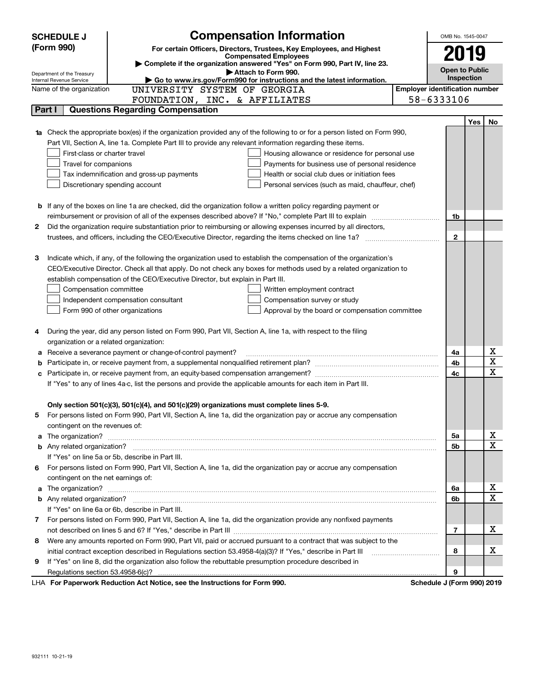|        | <b>Compensation Information</b><br><b>SCHEDULE J</b>                                                                             | OMB No. 1545-0047     |     |    |
|--------|----------------------------------------------------------------------------------------------------------------------------------|-----------------------|-----|----|
|        | (Form 990)<br>For certain Officers, Directors, Trustees, Key Employees, and Highest                                              |                       |     |    |
|        | <b>Compensated Employees</b>                                                                                                     | 2019                  |     |    |
|        | Complete if the organization answered "Yes" on Form 990, Part IV, line 23.<br>Attach to Form 990.                                | <b>Open to Public</b> |     |    |
|        | Department of the Treasury<br>Go to www.irs.gov/Form990 for instructions and the latest information.<br>Internal Revenue Service | <b>Inspection</b>     |     |    |
|        | UNIVERSITY SYSTEM OF GEORGIA<br><b>Employer identification number</b><br>Name of the organization                                |                       |     |    |
|        | 58-6333106<br>FOUNDATION, INC. & AFFILIATES                                                                                      |                       |     |    |
| Part I | <b>Questions Regarding Compensation</b>                                                                                          |                       |     |    |
|        |                                                                                                                                  |                       | Yes | No |
|        | Check the appropriate box(es) if the organization provided any of the following to or for a person listed on Form 990,           |                       |     |    |
|        | Part VII, Section A, line 1a. Complete Part III to provide any relevant information regarding these items.                       |                       |     |    |
|        | First-class or charter travel<br>Housing allowance or residence for personal use                                                 |                       |     |    |
|        | Travel for companions<br>Payments for business use of personal residence                                                         |                       |     |    |
|        | Tax indemnification and gross-up payments<br>Health or social club dues or initiation fees                                       |                       |     |    |
|        | Discretionary spending account<br>Personal services (such as maid, chauffeur, chef)                                              |                       |     |    |
|        |                                                                                                                                  |                       |     |    |
|        | <b>b</b> If any of the boxes on line 1a are checked, did the organization follow a written policy regarding payment or           |                       |     |    |
|        |                                                                                                                                  | 1b                    |     |    |
| 2      | Did the organization require substantiation prior to reimbursing or allowing expenses incurred by all directors,                 |                       |     |    |
|        |                                                                                                                                  | $\mathbf{2}$          |     |    |
|        |                                                                                                                                  |                       |     |    |
| з      | Indicate which, if any, of the following the organization used to establish the compensation of the organization's               |                       |     |    |
|        | CEO/Executive Director. Check all that apply. Do not check any boxes for methods used by a related organization to               |                       |     |    |
|        | establish compensation of the CEO/Executive Director, but explain in Part III.                                                   |                       |     |    |
|        | Compensation committee<br>Written employment contract                                                                            |                       |     |    |
|        | Independent compensation consultant<br>Compensation survey or study                                                              |                       |     |    |
|        | Form 990 of other organizations<br>Approval by the board or compensation committee                                               |                       |     |    |
|        |                                                                                                                                  |                       |     |    |
| 4      | During the year, did any person listed on Form 990, Part VII, Section A, line 1a, with respect to the filing                     |                       |     |    |
|        | organization or a related organization:                                                                                          |                       |     |    |
| а      | Receive a severance payment or change-of-control payment?                                                                        | 4a                    |     | х  |
| b      |                                                                                                                                  | 4b                    |     | X  |
| с      |                                                                                                                                  | 4c                    |     | х  |
|        | If "Yes" to any of lines 4a-c, list the persons and provide the applicable amounts for each item in Part III.                    |                       |     |    |
|        |                                                                                                                                  |                       |     |    |
|        | Only section 501(c)(3), 501(c)(4), and 501(c)(29) organizations must complete lines 5-9.                                         |                       |     |    |
| 5      | For persons listed on Form 990, Part VII, Section A, line 1a, did the organization pay or accrue any compensation                |                       |     |    |
|        | contingent on the revenues of:                                                                                                   |                       |     | х  |
| a      |                                                                                                                                  | 5а                    |     | х  |
|        | If "Yes" on line 5a or 5b, describe in Part III.                                                                                 | 5b                    |     |    |
|        |                                                                                                                                  |                       |     |    |
|        | 6 For persons listed on Form 990, Part VII, Section A, line 1a, did the organization pay or accrue any compensation              |                       |     |    |
|        | contingent on the net earnings of:                                                                                               |                       |     | х  |
| a      |                                                                                                                                  | 6a<br>6b              |     | Х  |
|        | If "Yes" on line 6a or 6b, describe in Part III.                                                                                 |                       |     |    |
|        | 7 For persons listed on Form 990, Part VII, Section A, line 1a, did the organization provide any nonfixed payments               |                       |     |    |
|        |                                                                                                                                  | 7                     |     | x  |
| 8      | Were any amounts reported on Form 990, Part VII, paid or accrued pursuant to a contract that was subject to the                  |                       |     |    |
|        | initial contract exception described in Regulations section 53.4958-4(a)(3)? If "Yes," describe in Part III                      | 8                     |     | х  |
| 9      | If "Yes" on line 8, did the organization also follow the rebuttable presumption procedure described in                           |                       |     |    |
|        |                                                                                                                                  | 9                     |     |    |
|        | <b>LHA.</b> For Paperwork Reduction Act Notice, see the Instructions for Form 990<br>Schodule I (Form 000) 2010                  |                       |     |    |

LHA For Paperwork Reduction Act Notice, see the Instructions for Form 990. Schedule J (Form 990) 2019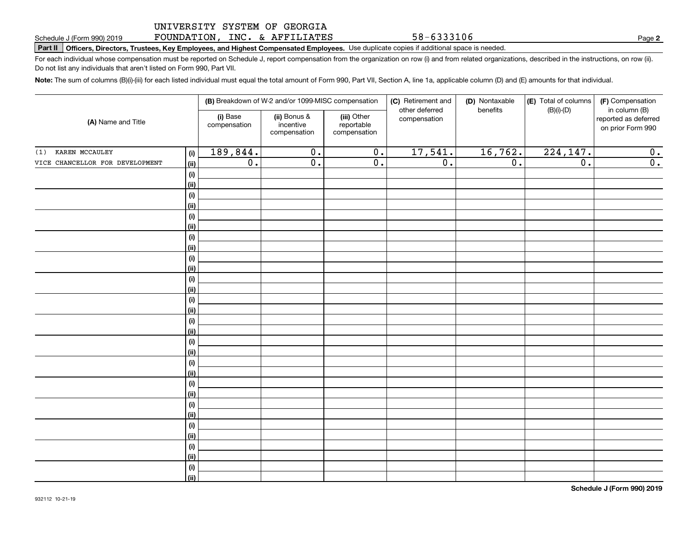#### UNIVERSITY SYSTEM OF GEORGIA FOUNDATION, INC. & AFFILIATES

**Part II Officers, Directors, Trustees, Key Employees, and Highest Compensated Employees.**  Schedule J (Form 990) 2019 Page Use duplicate copies if additional space is needed.

For each individual whose compensation must be reported on Schedule J, report compensation from the organization on row (i) and from related organizations, described in the instructions, on row (ii). Do not list any individuals that aren't listed on Form 990, Part VII.

**Note:**  The sum of columns (B)(i)-(iii) for each listed individual must equal the total amount of Form 990, Part VII, Section A, line 1a, applicable column (D) and (E) amounts for that individual.

|                                 | (B) Breakdown of W-2 and/or 1099-MISC compensation |                          |                                           | (C) Retirement and<br>other deferred      | (D) Nontaxable<br>benefits | (E) Total of columns | (F) Compensation<br>in column (B) |                                           |
|---------------------------------|----------------------------------------------------|--------------------------|-------------------------------------------|-------------------------------------------|----------------------------|----------------------|-----------------------------------|-------------------------------------------|
| (A) Name and Title              |                                                    | (i) Base<br>compensation | (ii) Bonus &<br>incentive<br>compensation | (iii) Other<br>reportable<br>compensation | compensation               |                      | $(B)(i)-(D)$                      | reported as deferred<br>on prior Form 990 |
| KAREN MCCAULEY<br>(1)           | (i)                                                | 189,844.                 | $\overline{0}$ .                          | $\overline{0}$ .                          | 17,541.                    | 16,762.              | 224, 147.                         | 0.                                        |
| VICE CHANCELLOR FOR DEVELOPMENT | (ii)                                               | 0.                       | $\overline{0}$ .                          | $\overline{0}$ .                          | $\overline{0}$ .           | $\overline{0}$ .     | $\overline{0}$ .                  | $\overline{0}$ .                          |
|                                 | $(\sf{i})$                                         |                          |                                           |                                           |                            |                      |                                   |                                           |
|                                 | (ii)                                               |                          |                                           |                                           |                            |                      |                                   |                                           |
|                                 | (i)                                                |                          |                                           |                                           |                            |                      |                                   |                                           |
|                                 | (ii)                                               |                          |                                           |                                           |                            |                      |                                   |                                           |
|                                 | (i)                                                |                          |                                           |                                           |                            |                      |                                   |                                           |
|                                 | (ii)                                               |                          |                                           |                                           |                            |                      |                                   |                                           |
|                                 | (i)                                                |                          |                                           |                                           |                            |                      |                                   |                                           |
|                                 | (ii)                                               |                          |                                           |                                           |                            |                      |                                   |                                           |
|                                 | (i)                                                |                          |                                           |                                           |                            |                      |                                   |                                           |
|                                 | (ii)                                               |                          |                                           |                                           |                            |                      |                                   |                                           |
|                                 | (i)                                                |                          |                                           |                                           |                            |                      |                                   |                                           |
|                                 | (ii)                                               |                          |                                           |                                           |                            |                      |                                   |                                           |
|                                 | (i)                                                |                          |                                           |                                           |                            |                      |                                   |                                           |
|                                 | (ii)<br>(i)                                        |                          |                                           |                                           |                            |                      |                                   |                                           |
|                                 | (ii)                                               |                          |                                           |                                           |                            |                      |                                   |                                           |
|                                 | (i)                                                |                          |                                           |                                           |                            |                      |                                   |                                           |
|                                 | (ii)                                               |                          |                                           |                                           |                            |                      |                                   |                                           |
|                                 | (i)                                                |                          |                                           |                                           |                            |                      |                                   |                                           |
|                                 | (ii)                                               |                          |                                           |                                           |                            |                      |                                   |                                           |
|                                 | (i)                                                |                          |                                           |                                           |                            |                      |                                   |                                           |
|                                 | (ii)                                               |                          |                                           |                                           |                            |                      |                                   |                                           |
|                                 | (i)                                                |                          |                                           |                                           |                            |                      |                                   |                                           |
|                                 | (ii)                                               |                          |                                           |                                           |                            |                      |                                   |                                           |
|                                 | (i)                                                |                          |                                           |                                           |                            |                      |                                   |                                           |
|                                 | (ii)                                               |                          |                                           |                                           |                            |                      |                                   |                                           |
|                                 | (i)                                                |                          |                                           |                                           |                            |                      |                                   |                                           |
|                                 | (ii)                                               |                          |                                           |                                           |                            |                      |                                   |                                           |
|                                 | (i)                                                |                          |                                           |                                           |                            |                      |                                   |                                           |
|                                 | (ii)                                               |                          |                                           |                                           |                            |                      |                                   |                                           |

**2**

58-6333106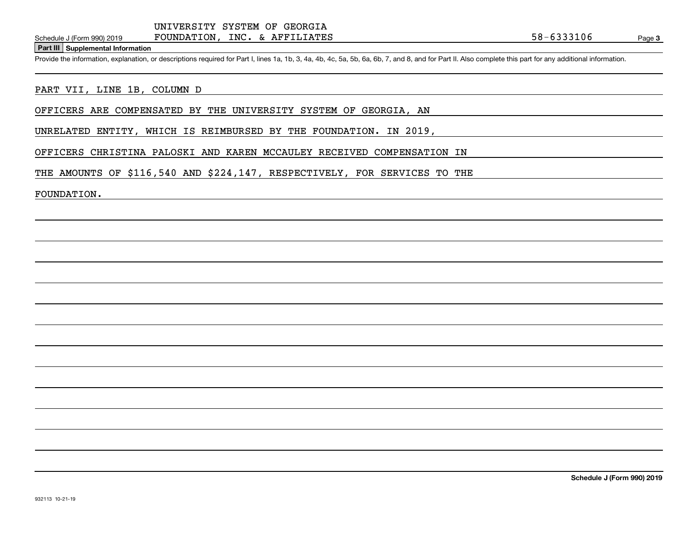## FOUNDATION, INC. & AFFILIATES

**Part III Supplemental Information**

Schedule J (Form 990) 2019 FOUNDATION, INC. & AFFILIATES<br>Part III Supplemental Information<br>Provide the information, explanation, or descriptions required for Part I, lines 1a, 1b, 3, 4a, 4b, 4c, 5a, 5b, 6a, 6b, 7, and 8, a

#### PART VII, LINE 1B, COLUMN D

OFFICERS ARE COMPENSATED BY THE UNIVERSITY SYSTEM OF GEORGIA, AN

UNRELATED ENTITY, WHICH IS REIMBURSED BY THE FOUNDATION. IN 2019,

OFFICERS CHRISTINA PALOSKI AND KAREN MCCAULEY RECEIVED COMPENSATION IN

THE AMOUNTS OF \$116,540 AND \$224,147, RESPECTIVELY, FOR SERVICES TO THE

FOUNDATION.

**Schedule J (Form 990) 2019**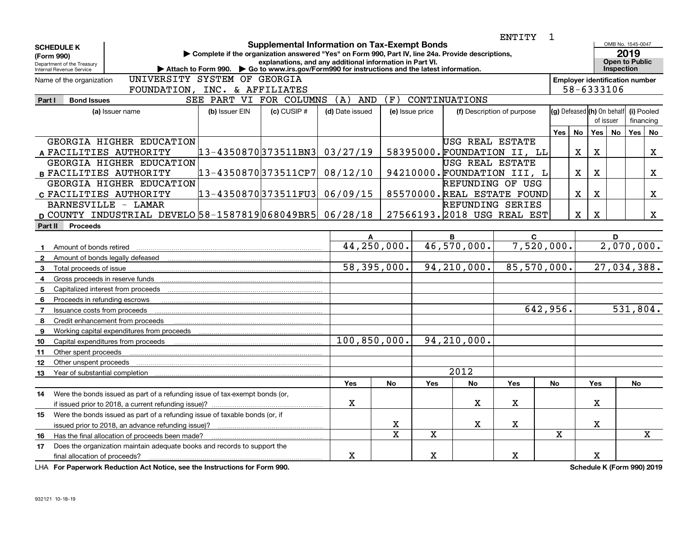|                                                                                                       |                                                                                                   |                                                                                                                 |                                           |                |             |                  | ENTITY                      | $\mathbf{1}$ |                                       |                                         |                                                    |                         |             |
|-------------------------------------------------------------------------------------------------------|---------------------------------------------------------------------------------------------------|-----------------------------------------------------------------------------------------------------------------|-------------------------------------------|----------------|-------------|------------------|-----------------------------|--------------|---------------------------------------|-----------------------------------------|----------------------------------------------------|-------------------------|-------------|
| <b>SCHEDULE K</b><br>(Form 990)<br>Department of the Treasury                                         | Complete if the organization answered "Yes" on Form 990, Part IV, line 24a. Provide descriptions, | <b>Supplemental Information on Tax-Exempt Bonds</b><br>explanations, and any additional information in Part VI. |                                           |                |             |                  |                             |              |                                       |                                         | OMB No. 1545-0047<br>2019<br><b>Open to Public</b> |                         |             |
| Internal Revenue Service                                                                              | Attach to Form 990. Co to www.irs.gov/Form990 for instructions and the latest information.        |                                                                                                                 |                                           |                |             |                  |                             | Inspection   |                                       |                                         |                                                    |                         |             |
| Name of the organization                                                                              | UNIVERSITY SYSTEM OF GEORGIA                                                                      |                                                                                                                 |                                           |                |             |                  |                             |              | <b>Employer identification number</b> |                                         |                                                    |                         |             |
|                                                                                                       | FOUNDATION, INC. & AFFILIATES                                                                     |                                                                                                                 | (F)<br>CONTINUATIONS<br>(A)<br><b>AND</b> |                |             |                  |                             | 58-6333106   |                                       |                                         |                                                    |                         |             |
| <b>Bond Issues</b><br>Part I                                                                          |                                                                                                   | SEE PART VI FOR COLUMNS                                                                                         |                                           |                |             |                  |                             |              |                                       |                                         |                                                    |                         |             |
| (a) Issuer name                                                                                       | (b) Issuer EIN                                                                                    | $(c)$ CUSIP $#$<br>(d) Date issued<br>(e) Issue price<br>(f) Description of purpose                             |                                           |                |             |                  |                             |              |                                       | (g) Defeased (h) On behalf<br>of issuer |                                                    | (i) Pooled<br>financing |             |
|                                                                                                       |                                                                                                   |                                                                                                                 |                                           |                |             |                  |                             |              | <b>No</b>                             |                                         | <b>No</b>                                          |                         |             |
| GEORGIA HIGHER EDUCATION                                                                              |                                                                                                   |                                                                                                                 |                                           |                |             | USG REAL ESTATE  |                             | Yes          |                                       | Yes                                     |                                                    | Yes   No                |             |
| A FACILITIES AUTHORITY                                                                                | 13-4350870373511BN3                                                                               |                                                                                                                 | 03/27/19                                  |                |             |                  | 58395000. FOUNDATION II, LL |              | X                                     | X                                       |                                                    |                         | X           |
| GEORGIA HIGHER EDUCATION                                                                              |                                                                                                   |                                                                                                                 |                                           |                |             | USG REAL ESTATE  |                             |              |                                       |                                         |                                                    |                         |             |
| <b>B FACILITIES AUTHORITY</b>                                                                         | 13-4350870373511CP7                                                                               |                                                                                                                 | 08/12/10                                  |                |             |                  | 94210000. FOUNDATION III, L |              | X                                     | X                                       |                                                    |                         | X.          |
| GEORGIA HIGHER EDUCATION                                                                              |                                                                                                   |                                                                                                                 |                                           |                |             | REFUNDING OF USG |                             |              |                                       |                                         |                                                    |                         |             |
| C FACILITIES AUTHORITY                                                                                | 13-4350870373511FU3                                                                               |                                                                                                                 | 06/09/15                                  |                |             |                  | 85570000. REAL ESTATE FOUND |              | $\mathbf X$                           | X                                       |                                                    |                         | $\mathbf X$ |
| BARNESVILLE - LAMAR                                                                                   |                                                                                                   |                                                                                                                 |                                           |                |             | REFUNDING SERIES |                             |              |                                       |                                         |                                                    |                         |             |
| D COUNTY INDUSTRIAL DEVELO 58-1587819068049BR5 06/28/18                                               |                                                                                                   |                                                                                                                 |                                           |                |             |                  | 27566193. 2018 USG REAL EST |              | $\mathbf X$                           | X                                       |                                                    |                         | X           |
| Part II<br><b>Proceeds</b>                                                                            |                                                                                                   |                                                                                                                 |                                           |                |             |                  |                             |              |                                       |                                         |                                                    |                         |             |
|                                                                                                       |                                                                                                   |                                                                                                                 | A                                         |                |             | B                | $\mathbf{C}$                |              |                                       |                                         | D                                                  |                         |             |
| Amount of bonds retired<br>$\mathbf 1$                                                                |                                                                                                   |                                                                                                                 |                                           | 44,250,000.    |             | 46,570,000.      | 7,520,000.                  |              |                                       |                                         | 2,070,000.                                         |                         |             |
| $\overline{2}$<br>Amount of bonds legally defeased                                                    |                                                                                                   |                                                                                                                 |                                           |                |             |                  |                             |              |                                       |                                         |                                                    |                         |             |
| Total proceeds of issue<br>3                                                                          |                                                                                                   |                                                                                                                 |                                           | 58,395,000.    |             | 94,210,000.      | 85,570,000.                 |              |                                       |                                         | 27,034,388.                                        |                         |             |
| Gross proceeds in reserve funds<br>4                                                                  |                                                                                                   |                                                                                                                 |                                           |                |             |                  |                             |              |                                       |                                         |                                                    |                         |             |
| Capitalized interest from proceeds<br>5                                                               |                                                                                                   |                                                                                                                 |                                           |                |             |                  |                             |              |                                       |                                         |                                                    |                         |             |
| Proceeds in refunding escrows<br>6                                                                    |                                                                                                   |                                                                                                                 |                                           |                |             |                  |                             |              |                                       |                                         |                                                    |                         |             |
| $\overline{7}$<br>Issuance costs from proceeds                                                        |                                                                                                   |                                                                                                                 |                                           |                |             |                  | 642,956.                    |              |                                       |                                         | 531,804.                                           |                         |             |
| Credit enhancement from proceeds<br>8                                                                 |                                                                                                   |                                                                                                                 |                                           |                |             |                  |                             |              |                                       |                                         |                                                    |                         |             |
| 9<br>Working capital expenditures from proceeds                                                       |                                                                                                   |                                                                                                                 |                                           |                |             |                  |                             |              |                                       |                                         |                                                    |                         |             |
| Capital expenditures from proceeds<br>10                                                              |                                                                                                   |                                                                                                                 |                                           | 100, 850, 000. |             | 94,210,000.      |                             |              |                                       |                                         |                                                    |                         |             |
| Other spent proceeds<br>11                                                                            |                                                                                                   |                                                                                                                 |                                           |                |             |                  |                             |              |                                       |                                         |                                                    |                         |             |
| 12<br>Other unspent proceeds                                                                          |                                                                                                   |                                                                                                                 |                                           |                |             |                  |                             |              |                                       |                                         |                                                    |                         |             |
| 13<br>Year of substantial completion                                                                  |                                                                                                   |                                                                                                                 |                                           |                |             | 2012             |                             |              |                                       |                                         |                                                    |                         |             |
|                                                                                                       |                                                                                                   |                                                                                                                 | Yes                                       | No             | <b>Yes</b>  | <b>No</b>        | Yes                         | No           |                                       | Yes                                     |                                                    | No                      |             |
| Were the bonds issued as part of a refunding issue of tax-exempt bonds (or,<br>14                     |                                                                                                   |                                                                                                                 | X                                         |                |             | X                | X                           |              |                                       | X                                       |                                                    |                         |             |
| if issued prior to 2018, a current refunding issue)?                                                  |                                                                                                   |                                                                                                                 |                                           |                |             |                  |                             |              |                                       |                                         |                                                    |                         |             |
| Were the bonds issued as part of a refunding issue of taxable bonds (or, if<br>15                     |                                                                                                   |                                                                                                                 |                                           | Χ              |             | $\mathbf X$      | $\mathbf X$                 |              |                                       | X                                       |                                                    |                         |             |
| issued prior to 2018, an advance refunding issue)?<br>Has the final allocation of proceeds been made? |                                                                                                   |                                                                                                                 |                                           | X              | x           |                  |                             | х            |                                       |                                         |                                                    |                         | $\mathbf X$ |
| 16<br>Does the organization maintain adequate books and records to support the<br>17                  |                                                                                                   |                                                                                                                 |                                           |                |             |                  |                             |              |                                       |                                         |                                                    |                         |             |
| final allocation of proceeds?                                                                         |                                                                                                   |                                                                                                                 | X                                         |                | $\mathbf X$ |                  | X                           |              |                                       | $\mathbf X$                             |                                                    |                         |             |
|                                                                                                       |                                                                                                   |                                                                                                                 |                                           |                |             |                  |                             |              |                                       |                                         |                                                    |                         |             |

**For Paperwork Reduction Act Notice, see the Instructions for Form 990. Schedule K (Form 990) 2019** LHA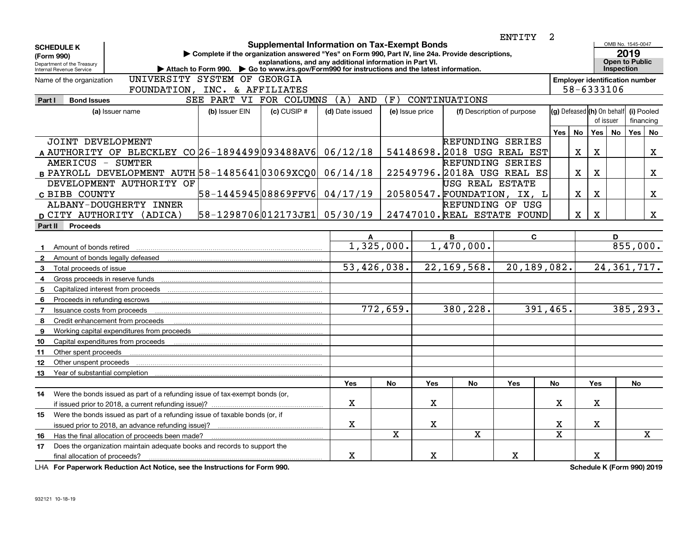|                                                                                           |                                                                             |                                                                                                                                                                                                 |                 |                                                                                                                 |             |                 |                          | ENTITY                      | 2                                     |             |                                         |                                                                  |                         |             |
|-------------------------------------------------------------------------------------------|-----------------------------------------------------------------------------|-------------------------------------------------------------------------------------------------------------------------------------------------------------------------------------------------|-----------------|-----------------------------------------------------------------------------------------------------------------|-------------|-----------------|--------------------------|-----------------------------|---------------------------------------|-------------|-----------------------------------------|------------------------------------------------------------------|-------------------------|-------------|
| <b>SCHEDULE K</b><br>(Form 990)<br>Department of the Treasury<br>Internal Revenue Service |                                                                             | Complete if the organization answered "Yes" on Form 990, Part IV, line 24a. Provide descriptions,<br>Attach to Form 990. Co to www.irs.gov/Form990 for instructions and the latest information. |                 | <b>Supplemental Information on Tax-Exempt Bonds</b><br>explanations, and any additional information in Part VI. |             |                 |                          |                             |                                       |             |                                         | OMB No. 1545-0047<br>2019<br><b>Open to Public</b><br>Inspection |                         |             |
| Name of the organization                                                                  | UNIVERSITY SYSTEM OF GEORGIA                                                |                                                                                                                                                                                                 |                 |                                                                                                                 |             |                 |                          |                             | <b>Employer identification number</b> |             |                                         |                                                                  |                         |             |
|                                                                                           | FOUNDATION, INC. & AFFILIATES                                               |                                                                                                                                                                                                 |                 |                                                                                                                 |             |                 |                          |                             |                                       |             | 58-6333106                              |                                                                  |                         |             |
| <b>Bond Issues</b><br>Part I                                                              |                                                                             | SEE PART VI FOR COLUMNS                                                                                                                                                                         |                 | (F)<br>CONTINUATIONS<br>(A)<br><b>AND</b>                                                                       |             |                 |                          |                             |                                       |             |                                         |                                                                  |                         |             |
|                                                                                           | (a) Issuer name                                                             | (b) Issuer EIN                                                                                                                                                                                  | $(c)$ CUSIP $#$ | (d) Date issued                                                                                                 |             | (e) Issue price |                          | (f) Description of purpose  |                                       |             | (g) Defeased (h) On behalf<br>of issuer |                                                                  | (i) Pooled<br>financing |             |
|                                                                                           |                                                                             |                                                                                                                                                                                                 |                 |                                                                                                                 |             |                 |                          |                             | Yes                                   | <b>No</b>   | Yes                                     | <b>No</b>                                                        | Yes   No                |             |
| JOINT DEVELOPMENT                                                                         |                                                                             |                                                                                                                                                                                                 |                 |                                                                                                                 |             |                 | REFUNDING SERIES         |                             |                                       |             |                                         |                                                                  |                         |             |
|                                                                                           | A AUTHORITY OF BLECKLEY CO 26-1894499 093488AV6                             |                                                                                                                                                                                                 |                 | 06/12/18                                                                                                        |             |                 |                          | 54148698. 2018 USG REAL EST |                                       | X           | X                                       |                                                                  |                         | X           |
| AMERICUS - SUMTER                                                                         |                                                                             |                                                                                                                                                                                                 |                 |                                                                                                                 |             |                 | REFUNDING SERIES         |                             |                                       |             |                                         |                                                                  |                         |             |
|                                                                                           | B PAYROLL DEVELOPMENT AUTH 58-148564103069XCQ0                              |                                                                                                                                                                                                 |                 | 06/14/18                                                                                                        |             |                 |                          | 22549796. 2018A USG REAL ES |                                       | $\mathbf X$ | х                                       |                                                                  |                         | X.          |
|                                                                                           | DEVELOPMENT AUTHORITY OF                                                    |                                                                                                                                                                                                 |                 |                                                                                                                 |             |                 | USG REAL ESTATE          |                             |                                       |             |                                         |                                                                  |                         |             |
| C BIBB COUNTY                                                                             |                                                                             | 58-144594508869FFV6                                                                                                                                                                             |                 | 04/17/19                                                                                                        |             |                 |                          | 20580547. FOUNDATION, IX, L |                                       | $\mathbf X$ | X                                       |                                                                  |                         | X           |
|                                                                                           | ALBANY-DOUGHERTY INNER                                                      |                                                                                                                                                                                                 |                 |                                                                                                                 |             |                 | REFUNDING OF USG         |                             |                                       |             |                                         |                                                                  |                         |             |
|                                                                                           | D CITY AUTHORITY (ADICA)                                                    | 58-1298706012173JE1 05/30/19                                                                                                                                                                    |                 |                                                                                                                 |             |                 |                          | 24747010. REAL ESTATE FOUND |                                       | $\mathbf X$ | х                                       |                                                                  |                         | X           |
| Part II<br><b>Proceeds</b>                                                                |                                                                             |                                                                                                                                                                                                 |                 |                                                                                                                 |             |                 |                          |                             |                                       |             |                                         |                                                                  |                         |             |
|                                                                                           |                                                                             |                                                                                                                                                                                                 |                 | A                                                                                                               |             |                 | B                        | C                           |                                       |             |                                         | D                                                                |                         |             |
| Amount of bonds retired<br>$\mathbf{1}$                                                   |                                                                             |                                                                                                                                                                                                 |                 |                                                                                                                 | 1,325,000.  |                 | $\overline{1,470}$ ,000. |                             |                                       |             |                                         |                                                                  | 855,000.                |             |
| $\mathbf{2}$                                                                              | Amount of bonds legally defeased                                            |                                                                                                                                                                                                 |                 |                                                                                                                 |             |                 |                          |                             |                                       |             |                                         |                                                                  |                         |             |
| 3 Total proceeds of issue                                                                 |                                                                             |                                                                                                                                                                                                 |                 |                                                                                                                 | 53,426,038. |                 | 22, 169, 568.            | 20,189,082.                 |                                       |             |                                         | 24, 361, 717.                                                    |                         |             |
| Gross proceeds in reserve funds<br>4                                                      |                                                                             |                                                                                                                                                                                                 |                 |                                                                                                                 |             |                 |                          |                             |                                       |             |                                         |                                                                  |                         |             |
| Capitalized interest from proceeds<br>5                                                   |                                                                             |                                                                                                                                                                                                 |                 |                                                                                                                 |             |                 |                          |                             |                                       |             |                                         |                                                                  |                         |             |
| 6<br>Proceeds in refunding escrows                                                        |                                                                             |                                                                                                                                                                                                 |                 |                                                                                                                 |             |                 |                          |                             |                                       |             |                                         |                                                                  |                         |             |
| $\overline{7}$<br>Issuance costs from proceeds                                            |                                                                             |                                                                                                                                                                                                 |                 |                                                                                                                 | 772,659.    |                 | 380,228.                 | 391,465.                    |                                       |             |                                         |                                                                  | 385,293.                |             |
| 8                                                                                         | Credit enhancement from proceeds                                            |                                                                                                                                                                                                 |                 |                                                                                                                 |             |                 |                          |                             |                                       |             |                                         |                                                                  |                         |             |
| 9                                                                                         | Working capital expenditures from proceeds                                  |                                                                                                                                                                                                 |                 |                                                                                                                 |             |                 |                          |                             |                                       |             |                                         |                                                                  |                         |             |
| 10                                                                                        | Capital expenditures from proceeds                                          |                                                                                                                                                                                                 |                 |                                                                                                                 |             |                 |                          |                             |                                       |             |                                         |                                                                  |                         |             |
| Other spent proceeds<br>11                                                                |                                                                             |                                                                                                                                                                                                 |                 |                                                                                                                 |             |                 |                          |                             |                                       |             |                                         |                                                                  |                         |             |
| 12 <sup>2</sup><br>Other unspent proceeds                                                 |                                                                             |                                                                                                                                                                                                 |                 |                                                                                                                 |             |                 |                          |                             |                                       |             |                                         |                                                                  |                         |             |
| 13<br>Year of substantial completion                                                      |                                                                             |                                                                                                                                                                                                 |                 |                                                                                                                 |             |                 |                          |                             |                                       |             |                                         |                                                                  |                         |             |
|                                                                                           |                                                                             |                                                                                                                                                                                                 |                 | Yes                                                                                                             | No          | <b>Yes</b>      | No                       | Yes                         | No                                    |             | Yes                                     |                                                                  | No                      |             |
| 14                                                                                        | Were the bonds issued as part of a refunding issue of tax-exempt bonds (or, |                                                                                                                                                                                                 |                 |                                                                                                                 |             |                 |                          |                             |                                       |             |                                         |                                                                  |                         |             |
|                                                                                           | if issued prior to 2018, a current refunding issue)?                        |                                                                                                                                                                                                 |                 | X                                                                                                               |             | X               |                          |                             | x                                     |             | X                                       |                                                                  |                         |             |
| 15                                                                                        | Were the bonds issued as part of a refunding issue of taxable bonds (or, if |                                                                                                                                                                                                 |                 |                                                                                                                 |             |                 |                          |                             |                                       |             |                                         |                                                                  |                         |             |
|                                                                                           | issued prior to 2018, an advance refunding issue)?                          |                                                                                                                                                                                                 |                 | $\mathbf X$                                                                                                     |             | $\mathbf X$     |                          |                             | X                                     |             | $\mathbf X$                             |                                                                  |                         |             |
| 16                                                                                        | Has the final allocation of proceeds been made?                             |                                                                                                                                                                                                 |                 |                                                                                                                 | X           |                 | $\mathbf X$              |                             | $\mathbf X$                           |             |                                         |                                                                  |                         | $\mathbf X$ |
| 17                                                                                        | Does the organization maintain adequate books and records to support the    |                                                                                                                                                                                                 |                 |                                                                                                                 |             |                 |                          |                             |                                       |             |                                         |                                                                  |                         |             |
| final allocation of proceeds?                                                             |                                                                             |                                                                                                                                                                                                 |                 | X                                                                                                               |             | $\mathbf X$     |                          | X                           |                                       |             | $\mathbf X$                             |                                                                  |                         |             |

**For Paperwork Reduction Act Notice, see the Instructions for Form 990. Schedule K (Form 990) 2019** LHA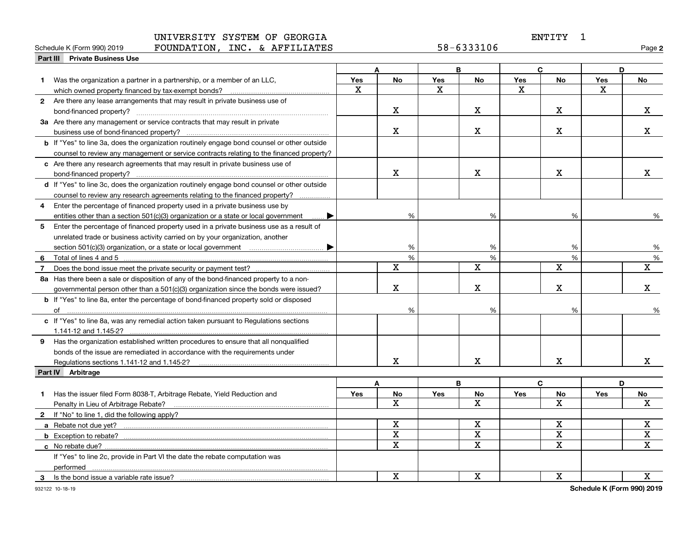# ENTITY 1

| Schedule K (Form 990) 2019              | <b>FOUNDATION</b> | INC.<br>AFFILIATES<br>$\sim$ | $ \sim$<br>6333106<br>8 כ<br>$ \sim$ | Page |
|-----------------------------------------|-------------------|------------------------------|--------------------------------------|------|
| Part III<br><b>Private Business Use</b> |                   |                              |                                      |      |

**2**

|   |                                                                                                    | B<br>A       |                         | C          |                         |              | D           |     |                         |
|---|----------------------------------------------------------------------------------------------------|--------------|-------------------------|------------|-------------------------|--------------|-------------|-----|-------------------------|
|   | Was the organization a partner in a partnership, or a member of an LLC,                            | <b>Yes</b>   | No                      | <b>Yes</b> | No                      | <b>Yes</b>   | <b>No</b>   | Yes | No                      |
|   |                                                                                                    | $\mathbf{x}$ |                         | X          |                         | $\mathbf{x}$ |             | X   |                         |
|   | 2 Are there any lease arrangements that may result in private business use of                      |              |                         |            |                         |              |             |     |                         |
|   |                                                                                                    |              | X                       |            | x                       |              | $\mathbf x$ |     | x                       |
|   | 3a Are there any management or service contracts that may result in private                        |              |                         |            |                         |              |             |     |                         |
|   |                                                                                                    |              | $\mathbf X$             |            | X                       |              | X           |     | X.                      |
|   | <b>b</b> If "Yes" to line 3a, does the organization routinely engage bond counsel or other outside |              |                         |            |                         |              |             |     |                         |
|   | counsel to review any management or service contracts relating to the financed property?           |              |                         |            |                         |              |             |     |                         |
|   | c Are there any research agreements that may result in private business use of                     |              |                         |            |                         |              |             |     |                         |
|   |                                                                                                    |              | $\mathbf X$             |            | X                       |              | $\mathbf X$ |     | x                       |
|   | d If "Yes" to line 3c, does the organization routinely engage bond counsel or other outside        |              |                         |            |                         |              |             |     |                         |
|   | counsel to review any research agreements relating to the financed property?                       |              |                         |            |                         |              |             |     |                         |
| 4 | Enter the percentage of financed property used in a private business use by                        |              |                         |            |                         |              |             |     |                         |
|   | entities other than a section 501(c)(3) organization or a state or local government                |              | %                       |            | %                       |              | %           |     | %                       |
| 5 | Enter the percentage of financed property used in a private business use as a result of            |              |                         |            |                         |              |             |     |                         |
|   | unrelated trade or business activity carried on by your organization, another                      |              |                         |            |                         |              |             |     |                         |
|   |                                                                                                    |              | %                       |            | %                       |              | %           |     | %                       |
| 6 |                                                                                                    |              | $\frac{0}{6}$           |            | %                       |              | %           |     | %                       |
|   |                                                                                                    |              | $\mathbf X$             |            | $\mathbf X$             |              | $\mathbf X$ |     | $\overline{\mathbf{x}}$ |
|   | 8a Has there been a sale or disposition of any of the bond-financed property to a non-             |              |                         |            |                         |              |             |     |                         |
|   | governmental person other than a 501(c)(3) organization since the bonds were issued?               |              | $\mathbf x$             |            | X                       |              | х           |     | X.                      |
|   | b If "Yes" to line 8a, enter the percentage of bond-financed property sold or disposed             |              |                         |            |                         |              |             |     |                         |
|   |                                                                                                    |              | %                       |            | $\%$                    |              | %           |     | %                       |
|   | c If "Yes" to line 8a, was any remedial action taken pursuant to Regulations sections              |              |                         |            |                         |              |             |     |                         |
|   |                                                                                                    |              |                         |            |                         |              |             |     |                         |
|   | 9 Has the organization established written procedures to ensure that all nonqualified              |              |                         |            |                         |              |             |     |                         |
|   | bonds of the issue are remediated in accordance with the requirements under                        |              |                         |            |                         |              |             |     |                         |
|   | Regulations sections 1.141-12 and 1.145-2?                                                         |              | x                       |            | x                       |              | х           |     | X.                      |
|   | Part IV Arbitrage                                                                                  |              |                         |            |                         |              |             |     |                         |
|   |                                                                                                    |              | A                       |            | B                       |              | C           |     | D                       |
| 1 | Has the issuer filed Form 8038-T, Arbitrage Rebate, Yield Reduction and                            | Yes          | No                      | Yes        | No                      | Yes          | No          | Yes | No                      |
|   | Penalty in Lieu of Arbitrage Rebate?                                                               |              | X                       |            | X                       |              | x           |     | x                       |
|   | 2 If "No" to line 1, did the following apply?                                                      |              |                         |            |                         |              |             |     |                         |
|   |                                                                                                    |              | $\mathbf X$             |            | $\mathbf X$             |              | $\mathbf X$ |     | X                       |
|   |                                                                                                    |              | $\overline{\mathbf{X}}$ |            | $\overline{\textbf{X}}$ |              | X           |     | X                       |
|   |                                                                                                    |              | $\mathbf X$             |            | X                       |              | x           |     | $\mathbf X$             |
|   | If "Yes" to line 2c, provide in Part VI the date the rebate computation was                        |              |                         |            |                         |              |             |     |                         |
|   |                                                                                                    |              |                         |            |                         |              |             |     |                         |
| 3 | Is the bond issue a variable rate issue?                                                           |              | $\mathbf X$             |            | x                       |              | х           |     | X                       |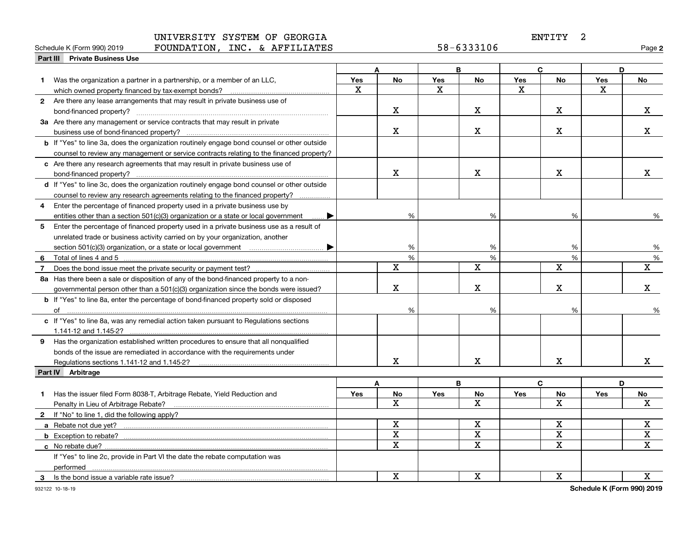# ENTITY 2

#### **Part III Private Business Use** Schedule K (Form 990) 2019  ${\bf F}$ OUNDATION, INC. &  ${\bf A}$ FFILIATES 58-6333106 Page

**2**

|   |                                                                                                    |     | A            |            | B                       |            | $\mathbf{C}$ | D          |                         |
|---|----------------------------------------------------------------------------------------------------|-----|--------------|------------|-------------------------|------------|--------------|------------|-------------------------|
| 1 | Was the organization a partner in a partnership, or a member of an LLC,                            | Yes | <b>No</b>    | Yes        | No                      | Yes        | <b>No</b>    | <b>Yes</b> | <b>No</b>               |
|   | which owned property financed by tax-exempt bonds?                                                 | X   |              | x          |                         | x          |              | x          |                         |
|   | 2 Are there any lease arrangements that may result in private business use of                      |     |              |            |                         |            |              |            |                         |
|   |                                                                                                    |     | $\mathbf X$  |            | X                       |            | X            |            | X                       |
|   | <b>3a</b> Are there any management or service contracts that may result in private                 |     |              |            |                         |            |              |            |                         |
|   |                                                                                                    |     | $\mathbf X$  |            | X                       |            | х            |            | x                       |
|   |                                                                                                    |     |              |            |                         |            |              |            |                         |
|   | <b>b</b> If "Yes" to line 3a, does the organization routinely engage bond counsel or other outside |     |              |            |                         |            |              |            |                         |
|   | counsel to review any management or service contracts relating to the financed property?           |     |              |            |                         |            |              |            |                         |
|   | c Are there any research agreements that may result in private business use of                     |     |              |            |                         |            |              |            |                         |
|   | bond-financed property?                                                                            |     | X            |            | х                       |            | $\mathbf X$  |            | x                       |
|   | d If "Yes" to line 3c, does the organization routinely engage bond counsel or other outside        |     |              |            |                         |            |              |            |                         |
|   | counsel to review any research agreements relating to the financed property?                       |     |              |            |                         |            |              |            |                         |
| 4 | Enter the percentage of financed property used in a private business use by                        |     |              |            |                         |            |              |            |                         |
|   | entities other than a section 501(c)(3) organization or a state or local government                |     | %            |            | %                       |            | %            |            | %                       |
| 5 | Enter the percentage of financed property used in a private business use as a result of            |     |              |            |                         |            |              |            |                         |
|   | unrelated trade or business activity carried on by your organization, another                      |     |              |            |                         |            |              |            |                         |
|   |                                                                                                    |     | %            |            | %                       |            | %            |            | %                       |
| 6 |                                                                                                    |     | $\%$         |            | %                       |            | %            |            | %                       |
|   |                                                                                                    |     | $\mathbf X$  |            | $\mathbf X$             |            | $\mathbf X$  |            | $\overline{\mathbf{X}}$ |
|   | 8a Has there been a sale or disposition of any of the bond-financed property to a non-             |     |              |            |                         |            |              |            |                         |
|   | governmental person other than a 501(c)(3) organization since the bonds were issued?               |     | $\mathbf X$  |            | X                       |            | X            |            | X.                      |
|   | <b>b</b> If "Yes" to line 8a, enter the percentage of bond-financed property sold or disposed      |     |              |            |                         |            |              |            |                         |
|   | of                                                                                                 |     | %            |            | %                       |            | %            |            | %                       |
|   | c If "Yes" to line 8a, was any remedial action taken pursuant to Regulations sections              |     |              |            |                         |            |              |            |                         |
|   |                                                                                                    |     |              |            |                         |            |              |            |                         |
|   | 9 Has the organization established written procedures to ensure that all nonqualified              |     |              |            |                         |            |              |            |                         |
|   | bonds of the issue are remediated in accordance with the requirements under                        |     |              |            |                         |            |              |            |                         |
|   |                                                                                                    |     | $\mathbf X$  |            | X                       |            | $\mathbf X$  |            | x                       |
|   | Part IV Arbitrage                                                                                  |     |              |            |                         |            |              |            |                         |
|   |                                                                                                    |     | A            |            | В                       | C          |              | D          |                         |
| 1 | Has the issuer filed Form 8038-T, Arbitrage Rebate, Yield Reduction and                            | Yes | No           | <b>Yes</b> | <b>No</b>               | <b>Yes</b> | No           | Yes        | No                      |
|   | Penalty in Lieu of Arbitrage Rebate?                                                               |     | $\mathbf{x}$ |            | $\overline{\mathbf{x}}$ |            | X            |            | x                       |
|   | 2 If "No" to line 1, did the following apply?                                                      |     |              |            |                         |            |              |            |                         |
|   | a Rebate not due yet?                                                                              |     | $\mathbf x$  |            | $\mathbf x$             |            | $\mathbf X$  |            | $\mathbf X$             |
|   |                                                                                                    |     | $\mathbf X$  |            | $\mathbf x$             |            | $\mathbf X$  |            | X                       |
|   | c No rebate due?.                                                                                  |     | $\mathbf X$  |            | $\overline{\mathbf{x}}$ |            | $\mathbf X$  |            | $\mathbf X$             |
|   | If "Yes" to line 2c, provide in Part VI the date the rebate computation was                        |     |              |            |                         |            |              |            |                         |
|   | performed                                                                                          |     |              |            |                         |            |              |            |                         |
| 3 | Is the bond issue a variable rate issue?                                                           |     | $\mathbf X$  |            | $\mathbf X$             |            | $\mathbf X$  |            | $\mathbf X$             |
|   |                                                                                                    |     |              |            |                         |            |              |            |                         |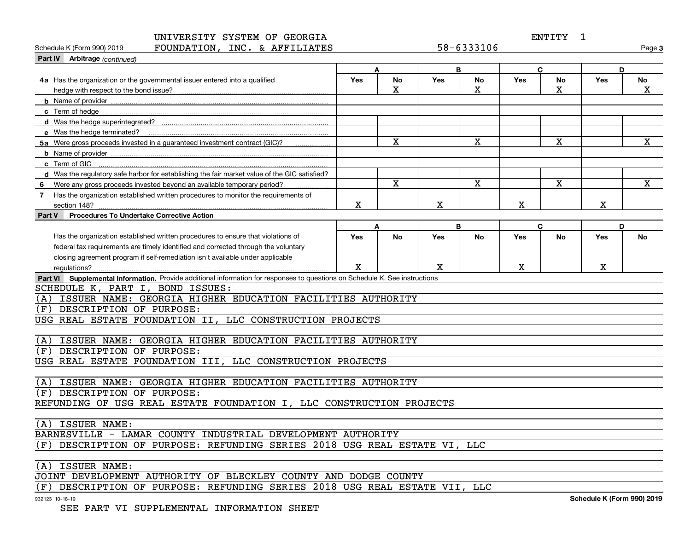ENTITY 1

| FOUNDATION, INC. & AFFILIATES<br>Schedule K (Form 990) 2019                                                                         |             |                         |             | 58-6333106              |             |                         |             | Page 3       |
|-------------------------------------------------------------------------------------------------------------------------------------|-------------|-------------------------|-------------|-------------------------|-------------|-------------------------|-------------|--------------|
| Part IV Arbitrage (continued)                                                                                                       |             |                         |             |                         |             |                         |             |              |
|                                                                                                                                     |             | A                       |             | B                       |             | C                       | D           |              |
| 4a Has the organization or the governmental issuer entered into a qualified                                                         | <b>Yes</b>  | No                      | <b>Yes</b>  | <b>No</b>               | Yes         | No                      | <b>Yes</b>  | No           |
| hedge with respect to the bond issue?                                                                                               |             | X                       |             | $\overline{\mathbf{x}}$ |             | $\overline{\mathbf{x}}$ |             | X            |
|                                                                                                                                     |             |                         |             |                         |             |                         |             |              |
|                                                                                                                                     |             |                         |             |                         |             |                         |             |              |
|                                                                                                                                     |             |                         |             |                         |             |                         |             |              |
|                                                                                                                                     |             |                         |             |                         |             |                         |             |              |
| 5a Were gross proceeds invested in a guaranteed investment contract (GIC)?                                                          |             | $\overline{\mathbf{x}}$ |             | $\mathbf X$             |             | $\mathbf X$             |             | $\mathbf X$  |
|                                                                                                                                     |             |                         |             |                         |             |                         |             |              |
| c Term of GIC                                                                                                                       |             |                         |             |                         |             |                         |             |              |
| d Was the regulatory safe harbor for establishing the fair market value of the GIC satisfied?                                       |             |                         |             |                         |             |                         |             |              |
| Were any gross proceeds invested beyond an available temporary period?<br>-6                                                        |             | $\mathbf{x}$            |             | $\mathbf X$             |             | $\mathbf x$             |             | $\mathbf{x}$ |
| Has the organization established written procedures to monitor the requirements of<br>$\overline{7}$                                |             |                         |             |                         |             |                         |             |              |
| section 148?                                                                                                                        | x           |                         | $\mathbf X$ |                         | $\mathbf X$ |                         | Х           |              |
| <b>Procedures To Undertake Corrective Action</b><br>Part V                                                                          |             |                         |             |                         |             |                         |             |              |
|                                                                                                                                     |             | A                       |             | B                       |             | C                       | D           |              |
| Has the organization established written procedures to ensure that violations of                                                    | <b>Yes</b>  | No                      | Yes         | <b>No</b>               | Yes         | <b>No</b>               | Yes         | No           |
| federal tax requirements are timely identified and corrected through the voluntary                                                  |             |                         |             |                         |             |                         |             |              |
| closing agreement program if self-remediation isn't available under applicable                                                      |             |                         |             |                         |             |                         |             |              |
| requlations?                                                                                                                        | $\mathbf X$ |                         | X           |                         | $\mathbf X$ |                         | $\mathbf X$ |              |
| Part VI Supplemental Information. Provide additional information for responses to questions on Schedule K. See instructions         |             |                         |             |                         |             |                         |             |              |
| SCHEDULE K, PART I, BOND ISSUES:                                                                                                    |             |                         |             |                         |             |                         |             |              |
| (A) ISSUER NAME: GEORGIA HIGHER EDUCATION FACILITIES AUTHORITY                                                                      |             |                         |             |                         |             |                         |             |              |
| DESCRIPTION OF PURPOSE:<br>(F)                                                                                                      |             |                         |             |                         |             |                         |             |              |
| USG REAL ESTATE FOUNDATION II, LLC CONSTRUCTION PROJECTS                                                                            |             |                         |             |                         |             |                         |             |              |
|                                                                                                                                     |             |                         |             |                         |             |                         |             |              |
| ISSUER NAME: GEORGIA HIGHER EDUCATION FACILITIES AUTHORITY<br>(A)                                                                   |             |                         |             |                         |             |                         |             |              |
| DESCRIPTION OF PURPOSE:<br>(F)                                                                                                      |             |                         |             |                         |             |                         |             |              |
| USG REAL ESTATE FOUNDATION III, LLC CONSTRUCTION PROJECTS                                                                           |             |                         |             |                         |             |                         |             |              |
|                                                                                                                                     |             |                         |             |                         |             |                         |             |              |
| ISSUER NAME: GEORGIA HIGHER EDUCATION FACILITIES AUTHORITY<br>(A)                                                                   |             |                         |             |                         |             |                         |             |              |
| DESCRIPTION OF PURPOSE:<br>(F)                                                                                                      |             |                         |             |                         |             |                         |             |              |
| REFUNDING OF USG REAL ESTATE FOUNDATION I, LLC CONSTRUCTION PROJECTS                                                                |             |                         |             |                         |             |                         |             |              |
|                                                                                                                                     |             |                         |             |                         |             |                         |             |              |
| ISSUER NAME:<br>(A)                                                                                                                 |             |                         |             |                         |             |                         |             |              |
| BARNESVILLE - LAMAR COUNTY INDUSTRIAL DEVELOPMENT AUTHORITY                                                                         |             |                         |             |                         |             |                         |             |              |
| (F) DESCRIPTION OF PURPOSE: REFUNDING SERIES 2018 USG REAL ESTATE VI, LLC                                                           |             |                         |             |                         |             |                         |             |              |
|                                                                                                                                     |             |                         |             |                         |             |                         |             |              |
| ISSUER NAME:<br>(A)                                                                                                                 |             |                         |             |                         |             |                         |             |              |
| JOINT DEVELOPMENT AUTHORITY OF BLECKLEY COUNTY AND DODGE COUNTY<br>pooptperator on propose. Deministra octas onto itas itanana itti |             |                         |             | $T T \Omega$            |             |                         |             |              |
|                                                                                                                                     |             |                         |             |                         |             |                         |             |              |

(F) DESCRIPTION OF PURPOSE: REFUNDING SERIES 2018 USG REAL ESTATE VII, LLC

932123 10-18-19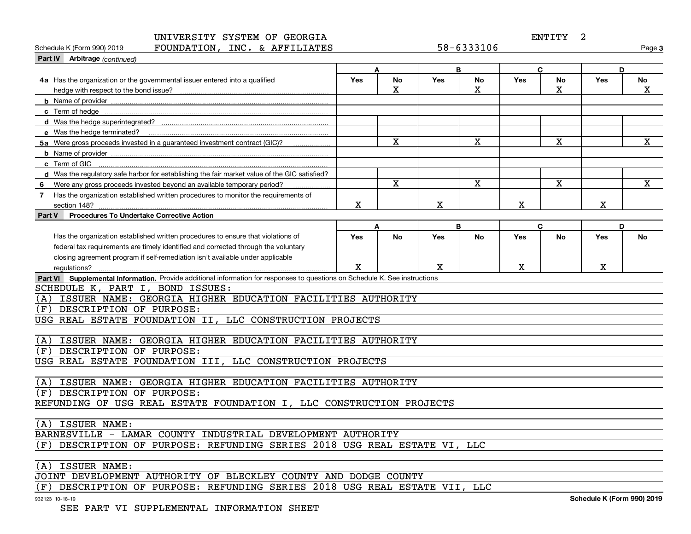ENTITY 2

| FOUNDATION, INC. & AFFILIATES<br>Schedule K (Form 990) 2019                                                                 |             |                         |             | 58-6333106   |             |             |     | Page 3       |
|-----------------------------------------------------------------------------------------------------------------------------|-------------|-------------------------|-------------|--------------|-------------|-------------|-----|--------------|
| Part IV Arbitrage (continued)                                                                                               |             |                         |             |              |             |             |     |              |
|                                                                                                                             |             | A                       |             | B            |             | C           | D   |              |
| 4a Has the organization or the governmental issuer entered into a qualified                                                 | <b>Yes</b>  | No                      | <b>Yes</b>  | No           | <b>Yes</b>  | No          | Yes | No           |
|                                                                                                                             |             | $\mathbf x$             |             | $\mathbf{x}$ |             | X           |     | $\mathbf{x}$ |
|                                                                                                                             |             |                         |             |              |             |             |     |              |
|                                                                                                                             |             |                         |             |              |             |             |     |              |
|                                                                                                                             |             |                         |             |              |             |             |     |              |
| e Was the hedge terminated?                                                                                                 |             |                         |             |              |             |             |     |              |
| 5a Were gross proceeds invested in a quaranteed investment contract (GIC)?                                                  |             | $\mathbf x$             |             | x            |             | X           |     | $\mathbf{x}$ |
|                                                                                                                             |             |                         |             |              |             |             |     |              |
| c Term of GIC                                                                                                               |             |                         |             |              |             |             |     |              |
| d Was the regulatory safe harbor for establishing the fair market value of the GIC satisfied?                               |             |                         |             |              |             |             |     |              |
| Were any gross proceeds invested beyond an available temporary period?                                                      |             | $\overline{\mathbf{x}}$ |             | $\mathbf x$  |             | $\mathbf X$ |     | $\mathbf{x}$ |
| Has the organization established written procedures to monitor the requirements of<br>$\overline{7}$                        |             |                         |             |              |             |             |     |              |
|                                                                                                                             | $\mathbf X$ |                         | $\mathbf X$ |              | $\mathbf X$ |             | X   |              |
| <b>Procedures To Undertake Corrective Action</b><br>Part V                                                                  |             |                         |             |              |             |             |     |              |
|                                                                                                                             |             | A                       |             | B            |             | $\mathbf C$ | D   |              |
| Has the organization established written procedures to ensure that violations of                                            | Yes         | No                      | Yes         | <b>No</b>    | <b>Yes</b>  | No          | Yes | No           |
| federal tax requirements are timely identified and corrected through the voluntary                                          |             |                         |             |              |             |             |     |              |
| closing agreement program if self-remediation isn't available under applicable                                              |             |                         |             |              |             |             |     |              |
| regulations?                                                                                                                | X           |                         | X           |              | $\mathbf X$ |             | X   |              |
| Part VI Supplemental Information. Provide additional information for responses to questions on Schedule K. See instructions |             |                         |             |              |             |             |     |              |
| SCHEDULE K, PART I, BOND ISSUES:                                                                                            |             |                         |             |              |             |             |     |              |
| ISSUER NAME: GEORGIA HIGHER EDUCATION FACILITIES AUTHORITY<br>(A)                                                           |             |                         |             |              |             |             |     |              |
| DESCRIPTION OF PURPOSE:<br>(F)                                                                                              |             |                         |             |              |             |             |     |              |
| USG REAL ESTATE FOUNDATION II, LLC CONSTRUCTION PROJECTS                                                                    |             |                         |             |              |             |             |     |              |
|                                                                                                                             |             |                         |             |              |             |             |     |              |
| ISSUER NAME: GEORGIA HIGHER EDUCATION FACILITIES AUTHORITY<br>(A)                                                           |             |                         |             |              |             |             |     |              |
| DESCRIPTION OF PURPOSE:<br>(F)                                                                                              |             |                         |             |              |             |             |     |              |
| USG REAL ESTATE FOUNDATION III, LLC CONSTRUCTION PROJECTS                                                                   |             |                         |             |              |             |             |     |              |
|                                                                                                                             |             |                         |             |              |             |             |     |              |
| ISSUER NAME: GEORGIA HIGHER EDUCATION FACILITIES AUTHORITY<br>(A)                                                           |             |                         |             |              |             |             |     |              |
| DESCRIPTION OF PURPOSE:<br>(F)                                                                                              |             |                         |             |              |             |             |     |              |
| REFUNDING OF USG REAL ESTATE FOUNDATION I, LLC CONSTRUCTION PROJECTS                                                        |             |                         |             |              |             |             |     |              |
|                                                                                                                             |             |                         |             |              |             |             |     |              |
| <b>ISSUER NAME:</b><br>(A)                                                                                                  |             |                         |             |              |             |             |     |              |
| BARNESVILLE - LAMAR COUNTY INDUSTRIAL DEVELOPMENT AUTHORITY                                                                 |             |                         |             |              |             |             |     |              |
| DESCRIPTION OF PURPOSE: REFUNDING SERIES 2018 USG REAL ESTATE VI, LLC<br>(F)                                                |             |                         |             |              |             |             |     |              |
|                                                                                                                             |             |                         |             |              |             |             |     |              |
| ISSUER NAME:<br>(A)                                                                                                         |             |                         |             |              |             |             |     |              |
| JOINT DEVELOPMENT AUTHORITY OF BLECKLEY COUNTY AND DODGE COUNTY                                                             |             |                         |             |              |             |             |     |              |
|                                                                                                                             |             |                         |             |              |             |             |     |              |

(F) DESCRIPTION OF PURPOSE: REFUNDING SERIES 2018 USG REAL ESTATE VII, LLC

932123 10-18-19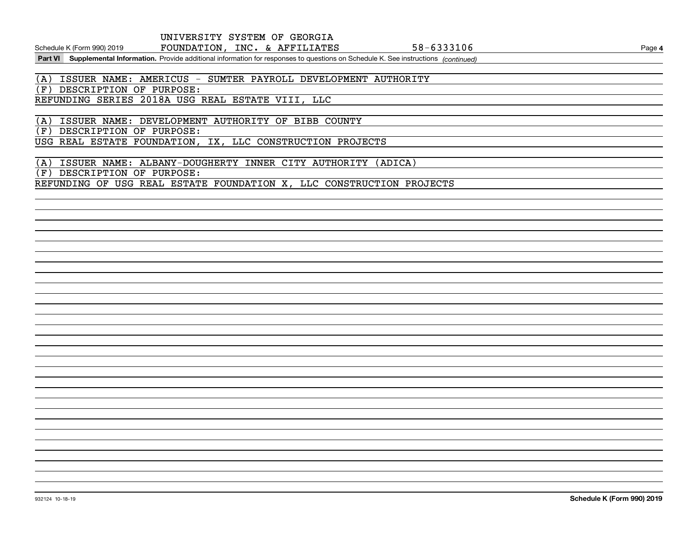Schedule K (Form 990) 2019 **FOUNDATION, INC. & AFFILIATES 58-6333106** Page

Part VI Supplemental Information. Provide additional information for responses to questions on Schedule K. See instructions (continued)

(A) ISSUER NAME: AMERICUS - SUMTER PAYROLL DEVELOPMENT AUTHORITY

(F) DESCRIPTION OF PURPOSE:

REFUNDING SERIES 2018A USG REAL ESTATE VIII, LLC

(A) ISSUER NAME: DEVELOPMENT AUTHORITY OF BIBB COUNTY (F) DESCRIPTION OF PURPOSE: USG REAL ESTATE FOUNDATION, IX, LLC CONSTRUCTION PROJECTS

(A) ISSUER NAME: ALBANY-DOUGHERTY INNER CITY AUTHORITY (ADICA) (F) DESCRIPTION OF PURPOSE: REFUNDING OF USG REAL ESTATE FOUNDATION X, LLC CONSTRUCTION PROJECTS

**4**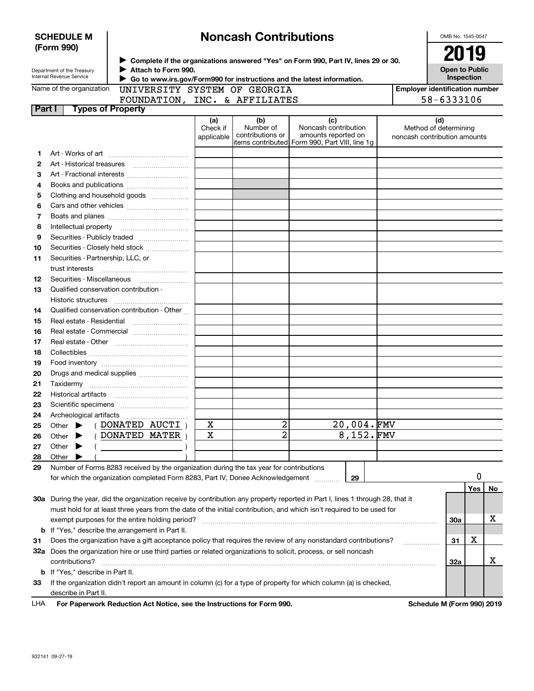|              | <b>SCHEDULE M</b>                                      |                                                                                                                   |                        | <b>Noncash Contributions</b>  |                                                                                                                                |  | OMB No. 1545-0047                                     |  |  |  |
|--------------|--------------------------------------------------------|-------------------------------------------------------------------------------------------------------------------|------------------------|-------------------------------|--------------------------------------------------------------------------------------------------------------------------------|--|-------------------------------------------------------|--|--|--|
|              | (Form 990)                                             |                                                                                                                   |                        |                               | 2019<br>> Complete if the organizations answered "Yes" on Form 990, Part IV, lines 29 or 30.                                   |  |                                                       |  |  |  |
|              | Department of the Treasury<br>Internal Revenue Service | Attach to Form 990.<br>Go to www.irs.gov/Form990 for instructions and the latest information.                     |                        |                               |                                                                                                                                |  | <b>Open to Public</b><br>Inspection                   |  |  |  |
|              | Name of the organization                               | UNIVERSITY SYSTEM OF GEORGIA                                                                                      |                        |                               |                                                                                                                                |  | <b>Employer identification number</b>                 |  |  |  |
|              |                                                        | FOUNDATION, INC. & AFFILIATES                                                                                     |                        |                               |                                                                                                                                |  | 58-6333106                                            |  |  |  |
| Part I       | <b>Types of Property</b>                               |                                                                                                                   |                        |                               |                                                                                                                                |  |                                                       |  |  |  |
|              |                                                        |                                                                                                                   | (a)                    | (b)                           | (c)                                                                                                                            |  | (d)                                                   |  |  |  |
|              |                                                        |                                                                                                                   | Check if<br>applicable | Number of<br>contributions or | Noncash contribution<br>amounts reported on<br>items contributed Form 990, Part VIII, line 1g                                  |  | Method of determining<br>noncash contribution amounts |  |  |  |
| 1            |                                                        |                                                                                                                   |                        |                               |                                                                                                                                |  |                                                       |  |  |  |
| $\mathbf{2}$ |                                                        |                                                                                                                   |                        |                               |                                                                                                                                |  |                                                       |  |  |  |
| 3            |                                                        |                                                                                                                   |                        |                               |                                                                                                                                |  |                                                       |  |  |  |
| 4            |                                                        |                                                                                                                   |                        |                               |                                                                                                                                |  |                                                       |  |  |  |
| 5            |                                                        |                                                                                                                   |                        |                               |                                                                                                                                |  |                                                       |  |  |  |
| 6            |                                                        | Clothing and household goods                                                                                      |                        |                               |                                                                                                                                |  |                                                       |  |  |  |
|              |                                                        |                                                                                                                   |                        |                               |                                                                                                                                |  |                                                       |  |  |  |
| 7            |                                                        |                                                                                                                   |                        |                               |                                                                                                                                |  |                                                       |  |  |  |
| 8            |                                                        |                                                                                                                   |                        |                               |                                                                                                                                |  |                                                       |  |  |  |
| 9            |                                                        |                                                                                                                   |                        |                               |                                                                                                                                |  |                                                       |  |  |  |
| 10           |                                                        | Securities - Closely held stock                                                                                   |                        |                               |                                                                                                                                |  |                                                       |  |  |  |
| 11           | Securities - Partnership, LLC, or<br>trust interests   |                                                                                                                   |                        |                               |                                                                                                                                |  |                                                       |  |  |  |
| 12           | Securities - Miscellaneous                             |                                                                                                                   |                        |                               |                                                                                                                                |  |                                                       |  |  |  |
| 13           | Qualified conservation contribution -                  |                                                                                                                   |                        |                               |                                                                                                                                |  |                                                       |  |  |  |
|              | Historic structures                                    |                                                                                                                   |                        |                               |                                                                                                                                |  |                                                       |  |  |  |
| 14           |                                                        | Qualified conservation contribution - Other                                                                       |                        |                               |                                                                                                                                |  |                                                       |  |  |  |
| 15           |                                                        |                                                                                                                   |                        |                               |                                                                                                                                |  |                                                       |  |  |  |
| 16           |                                                        |                                                                                                                   |                        |                               |                                                                                                                                |  |                                                       |  |  |  |
| 17           |                                                        |                                                                                                                   |                        |                               |                                                                                                                                |  |                                                       |  |  |  |
| 18           |                                                        |                                                                                                                   |                        |                               |                                                                                                                                |  |                                                       |  |  |  |
| 19           |                                                        |                                                                                                                   |                        |                               |                                                                                                                                |  |                                                       |  |  |  |
| 20           |                                                        |                                                                                                                   |                        |                               |                                                                                                                                |  |                                                       |  |  |  |
| 21           |                                                        |                                                                                                                   |                        |                               |                                                                                                                                |  |                                                       |  |  |  |
| 22           |                                                        |                                                                                                                   |                        |                               |                                                                                                                                |  |                                                       |  |  |  |
| 23           |                                                        |                                                                                                                   |                        |                               |                                                                                                                                |  |                                                       |  |  |  |
| 24           | Archeological artifacts                                |                                                                                                                   |                        |                               |                                                                                                                                |  |                                                       |  |  |  |
| 25           | Other                                                  | DONATED AUCTI)                                                                                                    | х                      | 2                             | 20,004.FMV                                                                                                                     |  |                                                       |  |  |  |
| 26           | Other                                                  | DONATED MATER                                                                                                     | $\mathbf X$            | $\overline{2}$                | 8,152.FMV                                                                                                                      |  |                                                       |  |  |  |
| 27           | Other                                                  |                                                                                                                   |                        |                               |                                                                                                                                |  |                                                       |  |  |  |
| 28           | Other                                                  |                                                                                                                   |                        |                               |                                                                                                                                |  |                                                       |  |  |  |
| 29           |                                                        | Number of Forms 8283 received by the organization during the tax year for contributions                           |                        |                               |                                                                                                                                |  |                                                       |  |  |  |
|              |                                                        | for which the organization completed Form 8283, Part IV, Donee Acknowledgement                                    |                        |                               | 29                                                                                                                             |  | 0                                                     |  |  |  |
|              |                                                        |                                                                                                                   |                        |                               |                                                                                                                                |  | Yes<br>No                                             |  |  |  |
|              |                                                        |                                                                                                                   |                        |                               | 30a During the year, did the organization receive by contribution any property reported in Part I, lines 1 through 28, that it |  |                                                       |  |  |  |
|              |                                                        |                                                                                                                   |                        |                               | must hold for at least three years from the date of the initial contribution, and which isn't required to be used for          |  |                                                       |  |  |  |
|              |                                                        | exempt purposes for the entire holding period?                                                                    |                        |                               |                                                                                                                                |  | х<br><b>30a</b>                                       |  |  |  |
|              |                                                        | <b>b</b> If "Yes," describe the arrangement in Part II.                                                           |                        |                               |                                                                                                                                |  |                                                       |  |  |  |
| 31           |                                                        |                                                                                                                   |                        |                               | Does the organization have a gift acceptance policy that requires the review of any nonstandard contributions?                 |  | х<br>31                                               |  |  |  |
|              |                                                        | 32a Does the organization hire or use third parties or related organizations to solicit, process, or sell noncash |                        |                               |                                                                                                                                |  |                                                       |  |  |  |
|              | contributions?                                         |                                                                                                                   |                        |                               |                                                                                                                                |  | х<br>32a                                              |  |  |  |
|              | <b>b</b> If "Yes," describe in Part II.                |                                                                                                                   |                        |                               |                                                                                                                                |  |                                                       |  |  |  |
| 33           |                                                        |                                                                                                                   |                        |                               | If the organization didn't report an amount in column (c) for a type of property for which column (a) is checked,              |  |                                                       |  |  |  |
|              | describe in Part II.                                   |                                                                                                                   |                        |                               |                                                                                                                                |  |                                                       |  |  |  |
| LHA          |                                                        | For Paperwork Reduction Act Notice, see the Instructions for Form 990.                                            |                        |                               |                                                                                                                                |  | Schedule M (Form 990) 2019                            |  |  |  |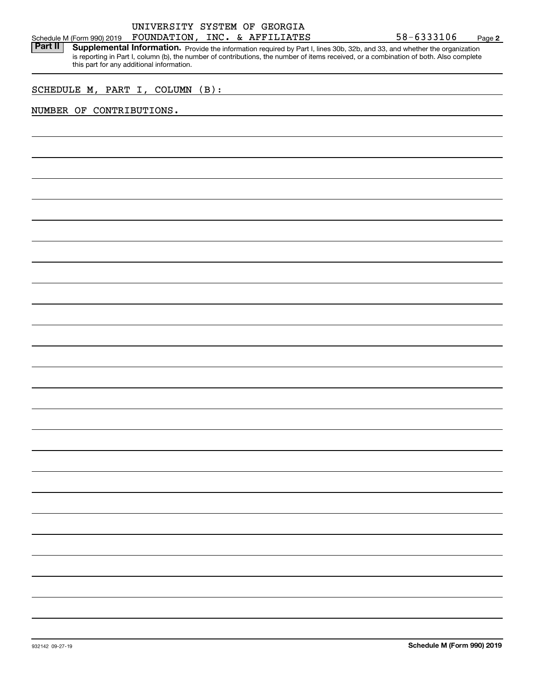Part II | Supplemental Information. Provide the information required by Part I, lines 30b, 32b, and 33, and whether the organization is reporting in Part I, column (b), the number of contributions, the number of items received, or a combination of both. Also complete this part for any additional information.

# SCHEDULE M, PART I, COLUMN (B):

## NUMBER OF CONTRIBUTIONS.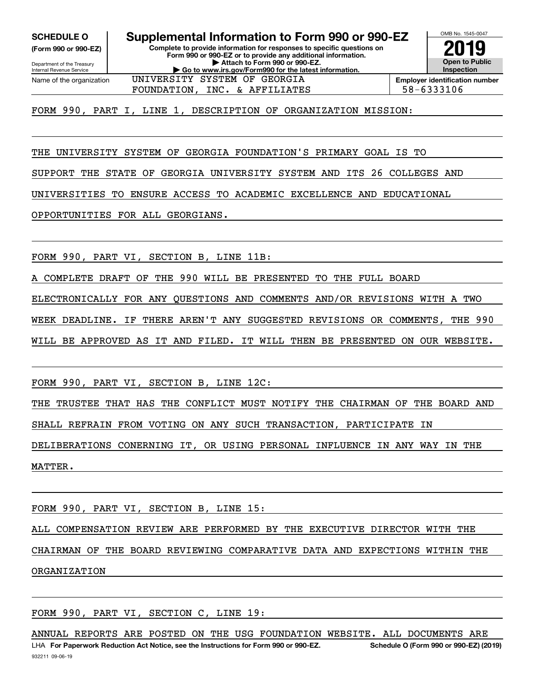**(Form 990 or 990-EZ)**

Department of the Treasury Internal Revenue Service Name of the organization

## **Complete to provide information for responses to specific questions on Form 990 or 990-EZ or to provide any additional information. SCHEDULE O Supplemental Information to Form 990 or 990-EZ**

**| Attach to Form 990 or 990-EZ. | Go to www.irs.gov/Form990 for the latest information.** UNIVERSITY SYSTEM OF GEORGIA



OMB No. 1545-0047

FOUNDATION, INC. & AFFILIATES  $\vert$  58-6333106

FORM 990, PART I, LINE 1, DESCRIPTION OF ORGANIZATION MISSION:

THE UNIVERSITY SYSTEM OF GEORGIA FOUNDATION'S PRIMARY GOAL IS TO

SUPPORT THE STATE OF GEORGIA UNIVERSITY SYSTEM AND ITS 26 COLLEGES AND

UNIVERSITIES TO ENSURE ACCESS TO ACADEMIC EXCELLENCE AND EDUCATIONAL

OPPORTUNITIES FOR ALL GEORGIANS.

FORM 990, PART VI, SECTION B, LINE 11B:

A COMPLETE DRAFT OF THE 990 WILL BE PRESENTED TO THE FULL BOARD

ELECTRONICALLY FOR ANY QUESTIONS AND COMMENTS AND/OR REVISIONS WITH A TWO

WEEK DEADLINE. IF THERE AREN'T ANY SUGGESTED REVISIONS OR COMMENTS, THE 990

WILL BE APPROVED AS IT AND FILED. IT WILL THEN BE PRESENTED ON OUR WEBSITE.

FORM 990, PART VI, SECTION B, LINE 12C:

THE TRUSTEE THAT HAS THE CONFLICT MUST NOTIFY THE CHAIRMAN OF THE BOARD AND SHALL REFRAIN FROM VOTING ON ANY SUCH TRANSACTION, PARTICIPATE IN

DELIBERATIONS CONERNING IT, OR USING PERSONAL INFLUENCE IN ANY WAY IN THE MATTER.

FORM 990, PART VI, SECTION B, LINE 15:

ALL COMPENSATION REVIEW ARE PERFORMED BY THE EXECUTIVE DIRECTOR WITH THE

CHAIRMAN OF THE BOARD REVIEWING COMPARATIVE DATA AND EXPECTIONS WITHIN THE ORGANIZATION

FORM 990, PART VI, SECTION C, LINE 19:

ANNUAL REPORTS ARE POSTED ON THE USG FOUNDATION WEBSITE. ALL DOCUMENTS ARE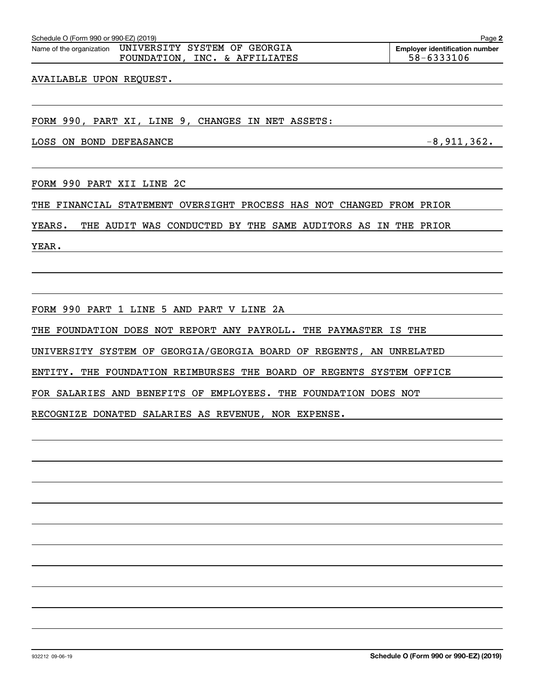Schedule O (Form 990 or 990-EZ) (2019) Page Name of the organization UNIVERSITY SYSTEM OF GEORGIAFOUNDATION, INC. & AFFILIATES  $\vert$  58-6333106

AVAILABLE UPON REQUEST.

FORM 990, PART XI, LINE 9, CHANGES IN NET ASSETS:

LOSS ON BOND DEFEASANCE  $-8,911,362$ .

FORM 990 PART XII LINE 2C

THE FINANCIAL STATEMENT OVERSIGHT PROCESS HAS NOT CHANGED FROM PRIOR

YEARS. THE AUDIT WAS CONDUCTED BY THE SAME AUDITORS AS IN THE PRIOR

YEAR.

FORM 990 PART 1 LINE 5 AND PART V LINE 2A

THE FOUNDATION DOES NOT REPORT ANY PAYROLL. THE PAYMASTER IS THE

UNIVERSITY SYSTEM OF GEORGIA/GEORGIA BOARD OF REGENTS, AN UNRELATED

ENTITY. THE FOUNDATION REIMBURSES THE BOARD OF REGENTS SYSTEM OFFICE

FOR SALARIES AND BENEFITS OF EMPLOYEES. THE FOUNDATION DOES NOT

RECOGNIZE DONATED SALARIES AS REVENUE, NOR EXPENSE.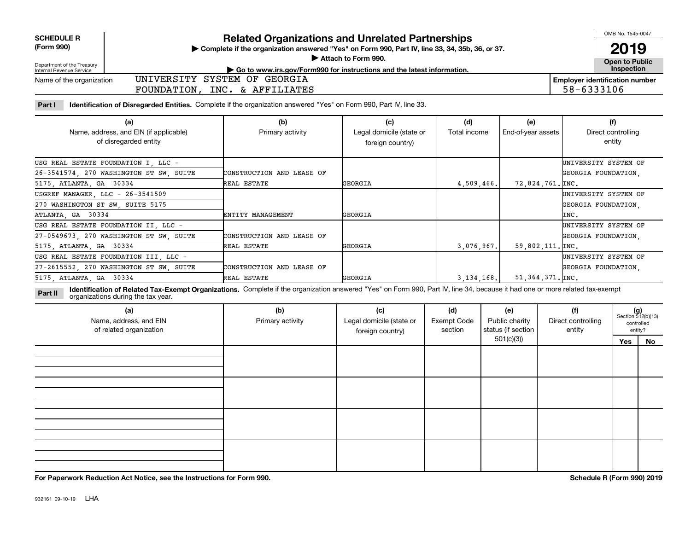| <b>SCHEDULE R</b> |
|-------------------|
| (Form 990)        |

# **Related Organizations and Unrelated Partnerships**

**Complete if the organization answered "Yes" on Form 990, Part IV, line 33, 34, 35b, 36, or 37.** |

**Attach to Form 990.**  |

OMB No. 1545-0047

**Open to Public 2019**

**Employer identification number**

58-6333106

| Department of the Treasury |  |
|----------------------------|--|
| Internal Revenue Service   |  |

## **| Go to www.irs.gov/Form990 for instructions and the latest information. Inspection**

Name of the organization UNIVERSITY SYSTEM OF GEORGIA FOUNDATION, INC. & AFFILIATES

**Part I Identification of Disregarded Entities.**  Complete if the organization answered "Yes" on Form 990, Part IV, line 33.

| (a)<br>Name, address, and EIN (if applicable)<br>of disregarded entity | (b)<br>Primary activity   | (c)<br>Legal domicile (state or<br>foreign country) | (d)<br>Total income | (e)<br>End-of-year assets     | (f)<br>Direct controlling<br>entity |
|------------------------------------------------------------------------|---------------------------|-----------------------------------------------------|---------------------|-------------------------------|-------------------------------------|
| USG REAL ESTATE FOUNDATION I, LLC -                                    |                           |                                                     |                     |                               | UNIVERSITY SYSTEM OF                |
| 26-3541574, 270 WASHINGTON ST SW, SUITE                                | CONSTRUCTION AND LEASE OF |                                                     |                     |                               | GEORGIA FOUNDATION.                 |
| 5175, ATLANTA, GA 30334                                                | REAL ESTATE               | GEORGIA                                             | 4,509,466.          | 72,824,761. INC.              |                                     |
| USGREF MANAGER, LLC - 26-3541509                                       |                           |                                                     |                     |                               | UNIVERSITY SYSTEM OF                |
| 270 WASHINGTON ST SW, SUITE 5175                                       |                           |                                                     |                     |                               | GEORGIA FOUNDATION,                 |
| ATLANTA, GA 30334                                                      | ENTITY MANAGEMENT         | GEORGIA                                             |                     |                               | INC.                                |
| USG REAL ESTATE FOUNDATION II LLC -                                    |                           |                                                     |                     |                               | UNIVERSITY SYSTEM OF                |
| 27-0549673, 270 WASHINGTON ST SW, SUITE                                | CONSTRUCTION AND LEASE OF |                                                     |                     |                               | GEORGIA FOUNDATION,                 |
| 5175, ATLANTA, GA 30334                                                | REAL ESTATE               | GEORGIA                                             | 3,076,967.          | $59,802,111.$ $\texttt{INC.}$ |                                     |
| USG REAL ESTATE FOUNDATION III, LLC -                                  |                           |                                                     |                     |                               | UNIVERSITY SYSTEM OF                |
| 27-2615552, 270 WASHINGTON ST SW, SUITE                                | CONSTRUCTION AND LEASE OF |                                                     |                     |                               | GEORGIA FOUNDATION,                 |
| 5175, ATLANTA, GA 30334                                                | REAL ESTATE               | GEORGIA                                             | 3, 134, 168.        | 51,364,371.µNC.               |                                     |

**Identification of Related Tax-Exempt Organizations.** Complete if the organization answered "Yes" on Form 990, Part IV, line 34, because it had one or more related tax-exempt **Part II** organizations during the tax year.

| (a)<br>Name, address, and EIN<br>of related organization | (b)<br>Primary activity | (c)<br>Legal domicile (state or<br>foreign country) | (d)<br><b>Exempt Code</b><br>section | (e)<br>Public charity<br>status (if section | (f)<br>Direct controlling<br>entity |     | $(g)$<br>Section 512(b)(13)<br>controlled<br>entity? |
|----------------------------------------------------------|-------------------------|-----------------------------------------------------|--------------------------------------|---------------------------------------------|-------------------------------------|-----|------------------------------------------------------|
|                                                          |                         |                                                     |                                      | 501(c)(3)                                   |                                     | Yes | No                                                   |
|                                                          |                         |                                                     |                                      |                                             |                                     |     |                                                      |
|                                                          |                         |                                                     |                                      |                                             |                                     |     |                                                      |
|                                                          |                         |                                                     |                                      |                                             |                                     |     |                                                      |
|                                                          |                         |                                                     |                                      |                                             |                                     |     |                                                      |

**For Paperwork Reduction Act Notice, see the Instructions for Form 990. Schedule R (Form 990) 2019**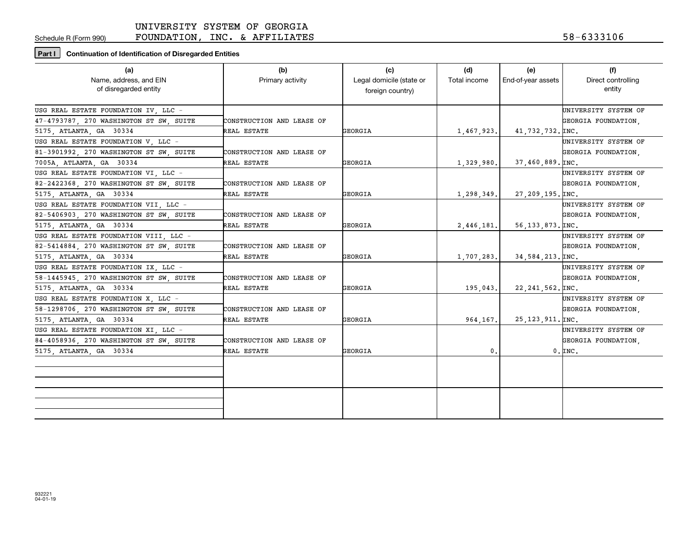Schedule R (Form 990)

FOUNDATION, INC. & AFFILIATES

# **Part I Continuation of Identification of Disregarded Entities**

| (a)                                     | (b)                       | (c)                      | (d)          | (e)                         | (f)                  |
|-----------------------------------------|---------------------------|--------------------------|--------------|-----------------------------|----------------------|
| Name, address, and EIN                  | Primary activity          | Legal domicile (state or | Total income | End-of-year assets          | Direct controlling   |
| of disregarded entity                   |                           | foreign country)         |              |                             | entity               |
|                                         |                           |                          |              |                             |                      |
| USG REAL ESTATE FOUNDATION IV LLC -     |                           |                          |              |                             | UNIVERSITY SYSTEM OF |
| 47-4793787, 270 WASHINGTON ST SW, SUITE | CONSTRUCTION AND LEASE OF |                          |              |                             | GEORGIA FOUNDATION.  |
| 5175, ATLANTA, GA 30334                 | REAL ESTATE               | GEORGIA                  | 1,467,923.   | 41,732,732. INC.            |                      |
| USG REAL ESTATE FOUNDATION V, LLC -     |                           |                          |              |                             | UNIVERSITY SYSTEM OF |
| 81-3901992, 270 WASHINGTON ST SW, SUITE | CONSTRUCTION AND LEASE OF |                          |              |                             | GEORGIA FOUNDATION,  |
| 7005A, ATLANTA, GA 30334                | REAL ESTATE               | GEORGIA                  | 1,329,980.   | $37,460,889.$ [INC.         |                      |
| USG REAL ESTATE FOUNDATION VI, LLC -    |                           |                          |              |                             | UNIVERSITY SYSTEM OF |
| 82-2422368, 270 WASHINGTON ST SW, SUITE | CONSTRUCTION AND LEASE OF |                          |              |                             | GEORGIA FOUNDATION.  |
| 5175, ATLANTA, GA 30334                 | REAL ESTATE               | GEORGIA                  | 1,298,349.   | $27, 209, 195.$ [INC.       |                      |
| USG REAL ESTATE FOUNDATION VII, LLC -   |                           |                          |              |                             | UNIVERSITY SYSTEM OF |
| 82-5406903, 270 WASHINGTON ST SW, SUITE | CONSTRUCTION AND LEASE OF |                          |              |                             | GEORGIA FOUNDATION.  |
| 5175, ATLANTA, GA 30334                 | REAL ESTATE               | GEORGIA                  | 2,446,181.   | $56, 133, 873, \text{INC.}$ |                      |
| USG REAL ESTATE FOUNDATION VIII, LLC -  |                           |                          |              |                             | UNIVERSITY SYSTEM OF |
| 82-5414884, 270 WASHINGTON ST SW, SUITE | CONSTRUCTION AND LEASE OF |                          |              |                             | GEORGIA FOUNDATION,  |
| 5175, ATLANTA, GA 30334                 | REAL ESTATE               | GEORGIA                  | 1,707,283.   | 34,584,213. INC.            |                      |
| USG REAL ESTATE FOUNDATION IX LLC -     |                           |                          |              |                             | UNIVERSITY SYSTEM OF |
| 58-1445945, 270 WASHINGTON ST SW, SUITE | CONSTRUCTION AND LEASE OF |                          |              |                             | GEORGIA FOUNDATION.  |
| 5175, ATLANTA, GA 30334                 | REAL ESTATE               | <b>GEORGIA</b>           | 195,043.     | $22, 241, 562.$ [INC.       |                      |
| USG REAL ESTATE FOUNDATION X LLC -      |                           |                          |              |                             | UNIVERSITY SYSTEM OF |
| 58-1298706, 270 WASHINGTON ST SW, SUITE | CONSTRUCTION AND LEASE OF |                          |              |                             | GEORGIA FOUNDATION,  |
| 5175, ATLANTA, GA 30334                 | REAL ESTATE               | GEORGIA                  | 964, 167.    | $25, 123, 911.$ [INC.       |                      |
| USG REAL ESTATE FOUNDATION XI, LLC -    |                           |                          |              |                             | UNIVERSITY SYSTEM OF |
| 84-4058936, 270 WASHINGTON ST SW, SUITE | CONSTRUCTION AND LEASE OF |                          |              |                             | GEORGIA FOUNDATION,  |
| 5175, ATLANTA, GA 30334                 | REAL ESTATE               | GEORGIA                  | 0.           |                             | $0.$ $\texttt{INC.}$ |
|                                         |                           |                          |              |                             |                      |
|                                         |                           |                          |              |                             |                      |
|                                         |                           |                          |              |                             |                      |
|                                         |                           |                          |              |                             |                      |
|                                         |                           |                          |              |                             |                      |
|                                         |                           |                          |              |                             |                      |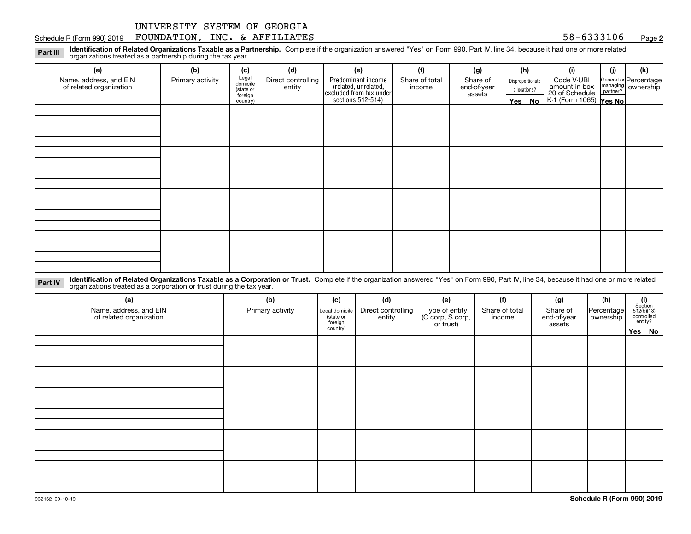#### Schedule R (Form 990) 2019  ${\bf F}$ OUNDATION,INC. & A ${\bf F}$ FILIATES  $58-6333106$  Page

**2**

**Identification of Related Organizations Taxable as a Partnership.** Complete if the organization answered "Yes" on Form 990, Part IV, line 34, because it had one or more related **Part III** organizations treated as a partnership during the tax year.

| (a)                                               | (b)              | (c)                  | (d)                          | (e)                                                                 | (f)                      | (g)                     |         | (h)              | (i)                                       | (i) | (k)                                                     |
|---------------------------------------------------|------------------|----------------------|------------------------------|---------------------------------------------------------------------|--------------------------|-------------------------|---------|------------------|-------------------------------------------|-----|---------------------------------------------------------|
| Name, address, and EIN<br>of related organization | Primary activity | Legal<br>domicile    | Direct controlling<br>entity | Predominant income                                                  | Share of total<br>income | Share of<br>end-of-year |         | Disproportionate | Code V-UBI<br>amount in box               |     | General or Percentage<br>managing ownership<br>partner? |
|                                                   |                  | (state or<br>foreign |                              |                                                                     | assets                   | allocations?            |         |                  |                                           |     |                                                         |
|                                                   |                  | country)             |                              | related, unrelated,<br>excluded from tax under<br>sections 512-514) |                          |                         | Yes $ $ | No               | 20 of Schedule<br>K-1 (Form 1065) Yes No. |     |                                                         |
|                                                   |                  |                      |                              |                                                                     |                          |                         |         |                  |                                           |     |                                                         |
|                                                   |                  |                      |                              |                                                                     |                          |                         |         |                  |                                           |     |                                                         |
|                                                   |                  |                      |                              |                                                                     |                          |                         |         |                  |                                           |     |                                                         |
|                                                   |                  |                      |                              |                                                                     |                          |                         |         |                  |                                           |     |                                                         |
|                                                   |                  |                      |                              |                                                                     |                          |                         |         |                  |                                           |     |                                                         |
|                                                   |                  |                      |                              |                                                                     |                          |                         |         |                  |                                           |     |                                                         |
|                                                   |                  |                      |                              |                                                                     |                          |                         |         |                  |                                           |     |                                                         |
|                                                   |                  |                      |                              |                                                                     |                          |                         |         |                  |                                           |     |                                                         |
|                                                   |                  |                      |                              |                                                                     |                          |                         |         |                  |                                           |     |                                                         |
|                                                   |                  |                      |                              |                                                                     |                          |                         |         |                  |                                           |     |                                                         |
|                                                   |                  |                      |                              |                                                                     |                          |                         |         |                  |                                           |     |                                                         |
|                                                   |                  |                      |                              |                                                                     |                          |                         |         |                  |                                           |     |                                                         |
|                                                   |                  |                      |                              |                                                                     |                          |                         |         |                  |                                           |     |                                                         |
|                                                   |                  |                      |                              |                                                                     |                          |                         |         |                  |                                           |     |                                                         |
|                                                   |                  |                      |                              |                                                                     |                          |                         |         |                  |                                           |     |                                                         |
|                                                   |                  |                      |                              |                                                                     |                          |                         |         |                  |                                           |     |                                                         |
|                                                   |                  |                      |                              |                                                                     |                          |                         |         |                  |                                           |     |                                                         |

**Identification of Related Organizations Taxable as a Corporation or Trust.** Complete if the organization answered "Yes" on Form 990, Part IV, line 34, because it had one or more related **Part IV** organizations treated as a corporation or trust during the tax year.

| (a)<br>Name, address, and EIN<br>of related organization | (b)<br>Primary activity | (c)<br>Legal domicile<br>(state or<br>foreign | (d)<br>Direct controlling<br>entity | (e)<br>Type of entity<br>(C corp, S corp,<br>or trust) | (f)<br>Share of total<br>income | (g)<br>Share of<br>end-of-year<br>assets | (h)<br> Percentage <br>ownership | $\begin{array}{c} \textbf{(i)}\\ \text{Section}\\ 512 \text{(b)} \text{(13)}\\ \text{controlled}\\ \text{entity?} \end{array}$ |
|----------------------------------------------------------|-------------------------|-----------------------------------------------|-------------------------------------|--------------------------------------------------------|---------------------------------|------------------------------------------|----------------------------------|--------------------------------------------------------------------------------------------------------------------------------|
|                                                          |                         | country)                                      |                                     |                                                        |                                 |                                          |                                  | Yes No                                                                                                                         |
|                                                          |                         |                                               |                                     |                                                        |                                 |                                          |                                  |                                                                                                                                |
|                                                          |                         |                                               |                                     |                                                        |                                 |                                          |                                  |                                                                                                                                |
|                                                          |                         |                                               |                                     |                                                        |                                 |                                          |                                  |                                                                                                                                |
|                                                          |                         |                                               |                                     |                                                        |                                 |                                          |                                  |                                                                                                                                |
|                                                          |                         |                                               |                                     |                                                        |                                 |                                          |                                  |                                                                                                                                |
|                                                          |                         |                                               |                                     |                                                        |                                 |                                          |                                  |                                                                                                                                |
|                                                          |                         |                                               |                                     |                                                        |                                 |                                          |                                  |                                                                                                                                |
|                                                          |                         |                                               |                                     |                                                        |                                 |                                          |                                  |                                                                                                                                |
|                                                          |                         |                                               |                                     |                                                        |                                 |                                          |                                  |                                                                                                                                |
|                                                          |                         |                                               |                                     |                                                        |                                 |                                          |                                  |                                                                                                                                |
|                                                          |                         |                                               |                                     |                                                        |                                 |                                          |                                  |                                                                                                                                |
|                                                          |                         |                                               |                                     |                                                        |                                 |                                          |                                  |                                                                                                                                |
|                                                          |                         |                                               |                                     |                                                        |                                 |                                          |                                  |                                                                                                                                |
|                                                          |                         |                                               |                                     |                                                        |                                 |                                          |                                  |                                                                                                                                |
|                                                          |                         |                                               |                                     |                                                        |                                 |                                          |                                  |                                                                                                                                |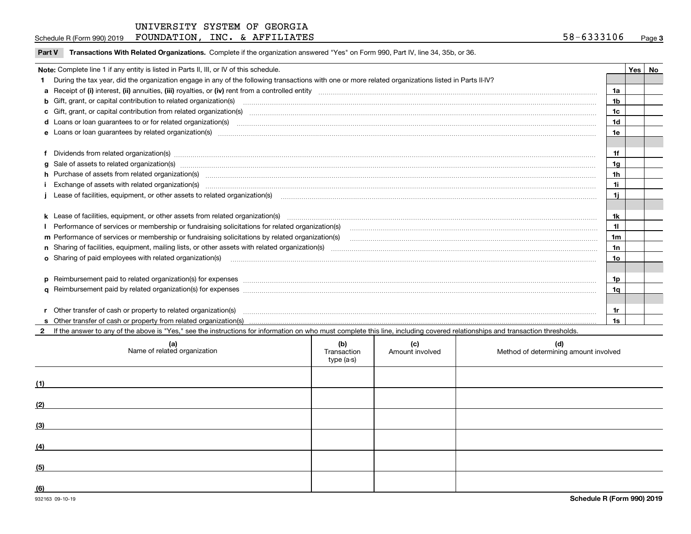Schedule R (Form 990) 2019  ${\bf F}$ OUNDATION,INC. & A ${\bf F}$ FILIATES  $58-6333106$  Page

|  |  | Part V Transactions With Related Organizations. Complete if the organization answered "Yes" on Form 990, Part IV, line 34, 35b, or 36. |  |  |  |
|--|--|----------------------------------------------------------------------------------------------------------------------------------------|--|--|--|
|--|--|----------------------------------------------------------------------------------------------------------------------------------------|--|--|--|

| Note: Complete line 1 if any entity is listed in Parts II, III, or IV of this schedule.                                                                                                                                             |                | Yes   No |
|-------------------------------------------------------------------------------------------------------------------------------------------------------------------------------------------------------------------------------------|----------------|----------|
| During the tax year, did the organization engage in any of the following transactions with one or more related organizations listed in Parts II-IV?                                                                                 |                |          |
|                                                                                                                                                                                                                                     | 1a             |          |
| <b>b</b> Gift, grant, or capital contribution to related organization(s)                                                                                                                                                            | 1b             |          |
| c Gift, grant, or capital contribution from related organization(s)                                                                                                                                                                 | 1c             |          |
| <b>d</b> Loans or loan quarantees to or for related organization(s)                                                                                                                                                                 | 1d             |          |
| e Loans or loan guarantees by related organization(s) enconversement contracts and controlled to the control of the control of the control of the control of the control of the control of the control of the control of the c      | 1e             |          |
|                                                                                                                                                                                                                                     |                |          |
| f Dividends from related organization(s) material contracts and contracts are contracted as a contract of the contract or contract or contract or contract or contract or contract or contract or contract or contract or cont      | 1f             |          |
|                                                                                                                                                                                                                                     | 1g             |          |
| h Purchase of assets from related organization(s) manufactured and content to content the content of assets from related organization(s)                                                                                            | 1 <sub>h</sub> |          |
|                                                                                                                                                                                                                                     | 1i             |          |
|                                                                                                                                                                                                                                     | 1i             |          |
|                                                                                                                                                                                                                                     |                |          |
| k Lease of facilities, equipment, or other assets from related organization(s) manufaction content and content to the content of facilities, equipment, or other assets from related organization(s) manufaction content and c      | 1k             |          |
| Performance of services or membership or fundraising solicitations for related organization(s)                                                                                                                                      | 11             |          |
| m Performance of services or membership or fundraising solicitations by related organization(s)                                                                                                                                     | 1m             |          |
|                                                                                                                                                                                                                                     | 1n             |          |
| o Sharing of paid employees with related organization(s) <b>construction</b> and account of the state of the state of the state organization(s) and construction of the state of the state of the state of the state of the state o | 10             |          |
|                                                                                                                                                                                                                                     |                |          |
| p Reimbursement paid to related organization(s) for expenses <b>manufacture and construction and construction</b> and construction and construction and construction and construction and construction and construction and constru | 1p             |          |
|                                                                                                                                                                                                                                     | 1q             |          |
|                                                                                                                                                                                                                                     |                |          |
| r Other transfer of cash or property to related organization(s)                                                                                                                                                                     | 1r             |          |
|                                                                                                                                                                                                                                     | 1s             |          |

**2**If the answer to any of the above is "Yes," see the instructions for information on who must complete this line, including covered relationships and transaction thresholds.

|     | (a)<br>Name of related organization | (b)<br>Transaction<br>type (a-s) | (c)<br>Amount involved | (d)<br>Method of determining amount involved |
|-----|-------------------------------------|----------------------------------|------------------------|----------------------------------------------|
| (1) |                                     |                                  |                        |                                              |
| (2) |                                     |                                  |                        |                                              |
| (3) |                                     |                                  |                        |                                              |
| (4) |                                     |                                  |                        |                                              |
| (5) |                                     |                                  |                        |                                              |
| (6) |                                     |                                  |                        |                                              |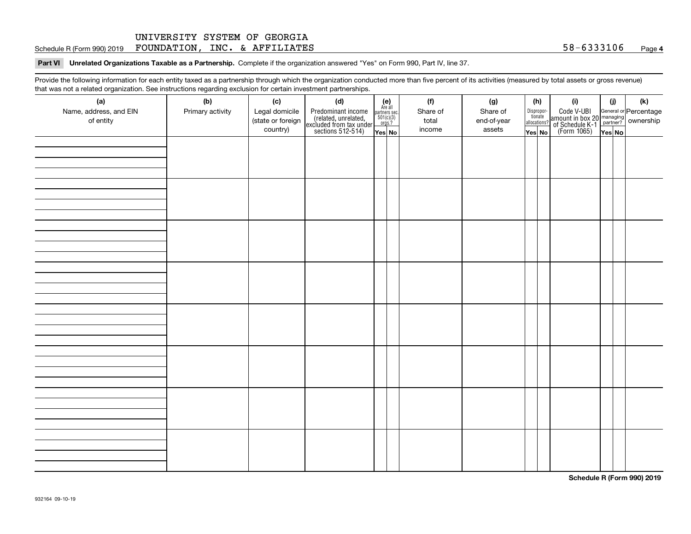#### **Part VI Unrelated Organizations Taxable as a Partnership. Complete if the organization answered "Yes" on Form 990, Part IV, line 37.**

Provide the following information for each entity taxed as a partnership through which the organization conducted more than five percent of its activities (measured by total assets or gross revenue) that was not a related organization. See instructions regarding exclusion for certain investment partnerships.

| ັ<br>(a)<br>Name, address, and EIN<br>of entity | ັ<br>ັ<br>(b)<br>Primary activity | (c)<br>Legal domicile<br>(state or foreign<br>country) | and the state of the state<br>(d)<br>Predominant income<br>(related, unrelated,<br>excluded from tax under<br>sections 512-514) | (e)<br>Are all<br>$\begin{array}{c}\n\text{partners} & \text{sec.} \\ 501(c)(3) & \text{orgs.?} \\ \end{array}$ | (f)<br>Share of<br>total<br>income | (g)<br>Share of<br>end-of-year<br>assets | (h)<br>$\begin{tabular}{ c } Dispropor-\\ \hline \textbf{tionate} \end{tabular}$<br>allocations? | (i)<br>Code V-UBI<br>amount in box 20 managing<br>of Schedule K-1<br>(Form 1065)<br>$\overline{Yes}$ No | (i)    | (k) |
|-------------------------------------------------|-----------------------------------|--------------------------------------------------------|---------------------------------------------------------------------------------------------------------------------------------|-----------------------------------------------------------------------------------------------------------------|------------------------------------|------------------------------------------|--------------------------------------------------------------------------------------------------|---------------------------------------------------------------------------------------------------------|--------|-----|
|                                                 |                                   |                                                        |                                                                                                                                 | Yes No                                                                                                          |                                    |                                          | Yes No                                                                                           |                                                                                                         | Yes No |     |
|                                                 |                                   |                                                        |                                                                                                                                 |                                                                                                                 |                                    |                                          |                                                                                                  |                                                                                                         |        |     |
|                                                 |                                   |                                                        |                                                                                                                                 |                                                                                                                 |                                    |                                          |                                                                                                  |                                                                                                         |        |     |
|                                                 |                                   |                                                        |                                                                                                                                 |                                                                                                                 |                                    |                                          |                                                                                                  |                                                                                                         |        |     |
|                                                 |                                   |                                                        |                                                                                                                                 |                                                                                                                 |                                    |                                          |                                                                                                  |                                                                                                         |        |     |
|                                                 |                                   |                                                        |                                                                                                                                 |                                                                                                                 |                                    |                                          |                                                                                                  |                                                                                                         |        |     |
|                                                 |                                   |                                                        |                                                                                                                                 |                                                                                                                 |                                    |                                          |                                                                                                  |                                                                                                         |        |     |
|                                                 |                                   |                                                        |                                                                                                                                 |                                                                                                                 |                                    |                                          |                                                                                                  |                                                                                                         |        |     |
|                                                 |                                   |                                                        |                                                                                                                                 |                                                                                                                 |                                    |                                          |                                                                                                  |                                                                                                         |        |     |

**Schedule R (Form 990) 2019**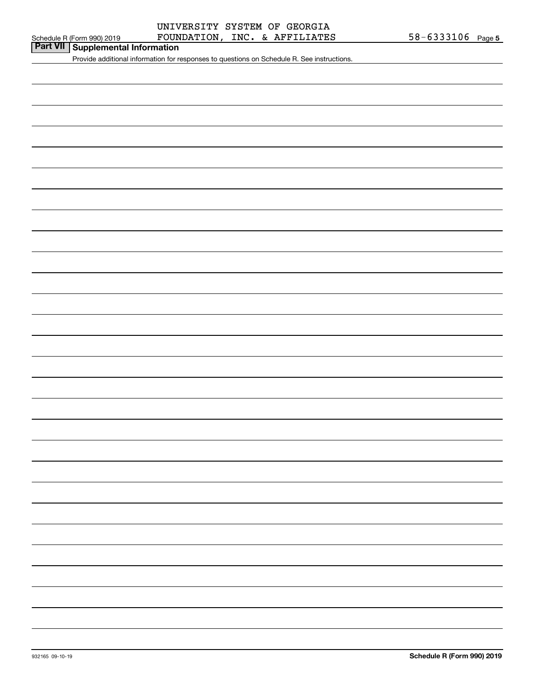# Schedule R (Form 990) 2019  ${\bf FOUNDATION}$  ,  ${\bf INC.}$  &  ${\bf AFFILLATES}$  58-6333106  ${\bf Page}$ UNIVERSITY SYSTEM OF GEORGIA

# **Part VII Supplemental Information**

Provide additional information for responses to questions on Schedule R. See instructions.